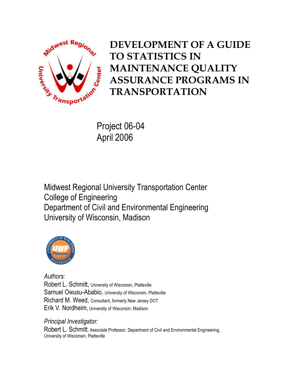

# DEVELOPMENT OF A GUIDE TO STATISTICS IN MAINTENANCE QUALITY ASSURANCE PROGRAMS IN TRANSPORTATION

Project 06-04 April 2006

Midwest Regional University Transportation Center College of Engineering Department of Civil and Environmental Engineering University of Wisconsin, Madison



Authors: Robert L. Schmitt, University of Wisconsin, Platteville Samuel Owusu-Ababio, University of Wisconsin, Platteville Richard M. Weed, Consultant, formerly New Jersey DOT Erik V. Nordheim, University of Wisconsin, Madison

Principal Investigator:

Robert L. Schmitt, Associate Professor, Department of Civil and Environmental Engineering, University of Wisconsin, Platteville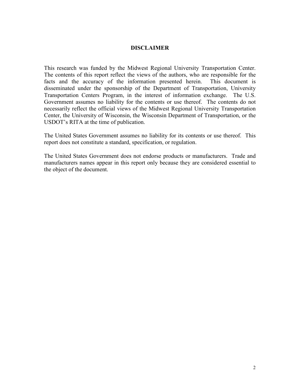#### DISCLAIMER

This research was funded by the Midwest Regional University Transportation Center. The contents of this report reflect the views of the authors, who are responsible for the facts and the accuracy of the information presented herein. This document is disseminated under the sponsorship of the Department of Transportation, University Transportation Centers Program, in the interest of information exchange. The U.S. Government assumes no liability for the contents or use thereof. The contents do not necessarily reflect the official views of the Midwest Regional University Transportation Center, the University of Wisconsin, the Wisconsin Department of Transportation, or the USDOT's RITA at the time of publication.

The United States Government assumes no liability for its contents or use thereof. This report does not constitute a standard, specification, or regulation.

The United States Government does not endorse products or manufacturers. Trade and manufacturers names appear in this report only because they are considered essential to the object of the document.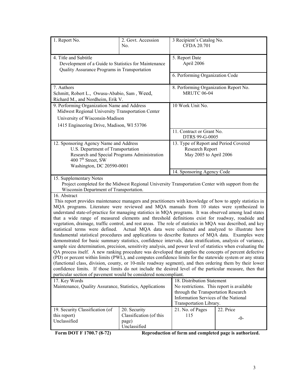| 1. Report No.                                                                                                                                                                                                                                                                                                                                                                                                                                                                                                                                                                                                                                                                                                                                                                                                                                                                                                                                                                                                                                                                                                                                                                                                                                                                                                                                                                                                                                                                                                                                                                                                                                                                                                     | 2. Govt. Accession<br>No.                                        | 3 Recipient's Catalog No.<br>CFDA 20.701                                           |                                       |  |
|-------------------------------------------------------------------------------------------------------------------------------------------------------------------------------------------------------------------------------------------------------------------------------------------------------------------------------------------------------------------------------------------------------------------------------------------------------------------------------------------------------------------------------------------------------------------------------------------------------------------------------------------------------------------------------------------------------------------------------------------------------------------------------------------------------------------------------------------------------------------------------------------------------------------------------------------------------------------------------------------------------------------------------------------------------------------------------------------------------------------------------------------------------------------------------------------------------------------------------------------------------------------------------------------------------------------------------------------------------------------------------------------------------------------------------------------------------------------------------------------------------------------------------------------------------------------------------------------------------------------------------------------------------------------------------------------------------------------|------------------------------------------------------------------|------------------------------------------------------------------------------------|---------------------------------------|--|
| 4. Title and Subtitle<br>Development of a Guide to Statistics for Maintenance<br>Quality Assurance Programs in Transportation                                                                                                                                                                                                                                                                                                                                                                                                                                                                                                                                                                                                                                                                                                                                                                                                                                                                                                                                                                                                                                                                                                                                                                                                                                                                                                                                                                                                                                                                                                                                                                                     |                                                                  | 5. Report Date<br>April 2006                                                       |                                       |  |
|                                                                                                                                                                                                                                                                                                                                                                                                                                                                                                                                                                                                                                                                                                                                                                                                                                                                                                                                                                                                                                                                                                                                                                                                                                                                                                                                                                                                                                                                                                                                                                                                                                                                                                                   |                                                                  | 6. Performing Organization Code                                                    |                                       |  |
| 7. Authors<br>Schmitt, Robert L., Owusu-Ababio, Sam, Weed,<br>Richard M., and Nordheim, Erik V.                                                                                                                                                                                                                                                                                                                                                                                                                                                                                                                                                                                                                                                                                                                                                                                                                                                                                                                                                                                                                                                                                                                                                                                                                                                                                                                                                                                                                                                                                                                                                                                                                   |                                                                  | <b>MRUTC 06-04</b>                                                                 | 8. Performing Organization Report No. |  |
| 9. Performing Organization Name and Address<br>Midwest Regional University Transportation Center                                                                                                                                                                                                                                                                                                                                                                                                                                                                                                                                                                                                                                                                                                                                                                                                                                                                                                                                                                                                                                                                                                                                                                                                                                                                                                                                                                                                                                                                                                                                                                                                                  |                                                                  | 10 Work Unit No.                                                                   |                                       |  |
| University of Wisconsin-Madison                                                                                                                                                                                                                                                                                                                                                                                                                                                                                                                                                                                                                                                                                                                                                                                                                                                                                                                                                                                                                                                                                                                                                                                                                                                                                                                                                                                                                                                                                                                                                                                                                                                                                   |                                                                  |                                                                                    |                                       |  |
| 1415 Engineering Drive, Madison, WI 53706                                                                                                                                                                                                                                                                                                                                                                                                                                                                                                                                                                                                                                                                                                                                                                                                                                                                                                                                                                                                                                                                                                                                                                                                                                                                                                                                                                                                                                                                                                                                                                                                                                                                         |                                                                  | 11. Contract or Grant No.<br>DTRS 99-G-0005                                        |                                       |  |
| 12. Sponsoring Agency Name and Address<br>U.S. Department of Transportation<br>Research and Special Programs Administration<br>400 7 <sup>th</sup> Street, SW<br>Washington, DC 20590-0001                                                                                                                                                                                                                                                                                                                                                                                                                                                                                                                                                                                                                                                                                                                                                                                                                                                                                                                                                                                                                                                                                                                                                                                                                                                                                                                                                                                                                                                                                                                        |                                                                  | 13. Type of Report and Period Covered<br>Research Report<br>May 2005 to April 2006 |                                       |  |
|                                                                                                                                                                                                                                                                                                                                                                                                                                                                                                                                                                                                                                                                                                                                                                                                                                                                                                                                                                                                                                                                                                                                                                                                                                                                                                                                                                                                                                                                                                                                                                                                                                                                                                                   |                                                                  | 14. Sponsoring Agency Code                                                         |                                       |  |
| 15. Supplementary Notes<br>Project completed for the Midwest Regional University Transportation Center with support from the<br>Wisconsin Department of Transportation.                                                                                                                                                                                                                                                                                                                                                                                                                                                                                                                                                                                                                                                                                                                                                                                                                                                                                                                                                                                                                                                                                                                                                                                                                                                                                                                                                                                                                                                                                                                                           |                                                                  |                                                                                    |                                       |  |
| 16. Abstract<br>This report provides maintenance managers and practitioners with knowledge of how to apply statistics in<br>MQA programs. Literature were reviewed and MQA manuals from 10 states were synthesized to<br>understand state-of-practice for managing statistics in MQA programs. It was observed among lead states<br>that a wide range of measured elements and threshold definitions exist for roadway, roadside and<br>vegetation, drainage, traffic control, and rest areas. The role of statistics in MQA was described, and key<br>statistical terms were defined.<br>Actual MQA data were collected and analyzed to illustrate how<br>fundamental statistical procedures and applications to describe features of MQA data. Examples were<br>demonstrated for basic summary statistics, confidence intervals, data stratification, analysis of variance,<br>sample size determination, precision, sensitivity analysis, and power level of statistics when evaluating the<br>QA process itself. A new ranking procedure was developed that applies the concepts of percent defective<br>(PD) or percent within limits (PWL), and computes confidence limits for the statewide system or any strata<br>(functional class, division, county, or 10-mile roadway segment), and then ordering them by their lower<br>confidence limits. If those limits do not include the desired level of the particular measure, then that<br>particular section of pavement would be considered noncompliant.<br>18. Distribution Statement<br>17. Key Words<br>Maintenance, Quality Assurance, Statistics, Applications<br>No restrictions. This report is available<br>through the Transportation Research |                                                                  |                                                                                    |                                       |  |
|                                                                                                                                                                                                                                                                                                                                                                                                                                                                                                                                                                                                                                                                                                                                                                                                                                                                                                                                                                                                                                                                                                                                                                                                                                                                                                                                                                                                                                                                                                                                                                                                                                                                                                                   |                                                                  | Information Services of the National<br>Transportation Library.                    |                                       |  |
| 19. Security Classification (of<br>this report)<br>Unclassified<br>$E_{\alpha r}$ DOT E 1700 7 (8.72)                                                                                                                                                                                                                                                                                                                                                                                                                                                                                                                                                                                                                                                                                                                                                                                                                                                                                                                                                                                                                                                                                                                                                                                                                                                                                                                                                                                                                                                                                                                                                                                                             | 20. Security<br>Classification (of this<br>page)<br>Unclassified | 21. No. of Pages<br>115<br>Depending of form and completed nage is outhorized      | 22. Price<br>-0-                      |  |

Form DOT F 1700.7 (8-72) Reproduction of form and completed page is authorized.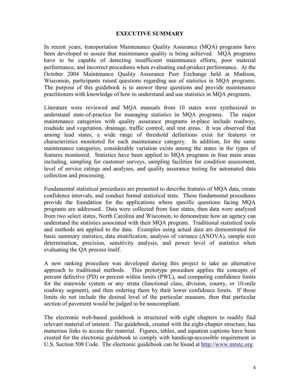#### EXECUTIVE SUMMARY

In recent years, transportation Maintenance Quality Assurance (MQA) programs have been developed to assure that maintenance quality is being achieved. MQA programs have to be capable of detecting insufficient maintenance efforts, poor material performance, and incorrect procedures when evaluating end-product performance. At the October 2004 Maintenance Quality Assurance Peer Exchange held at Madison, Wisconsin, participants raised questions regarding use of statistics in MQA programs. The purpose of this guidebook is to answer these questions and provide maintenance practitioners with knowledge of how to understand and use statistics in MQA programs.

Literature were reviewed and MQA manuals from 10 states were synthesized to understand state-of-practice for managing statistics in MQA programs. The major maintenance categories with quality assurance programs in-place include roadway, roadside and vegetation, drainage, traffic control, and rest areas. It was observed that among lead states, a wide range of threshold definitions exist for features or characteristics monitored for each maintenance category. In addition, for the same maintenance categories, considerable variation exists among the states in the types of features monitored. Statistics have been applied to MQA programs in four main areas including, sampling for customer surveys, sampling facilities for condition assessment, level of service ratings and analyses, and quality assurance testing for automated data collection and processing.

Fundamental statistical procedures are presented to describe features of MQA data, create confidence intervals, and conduct formal statistical tests. These fundamental procedures provide the foundation for the applications where specific questions facing MQA programs are addressed. Data were collected from four states, then data were analyzed from two select states, North Carolina and Wisconsin, to demonstrate how an agency can understand the statistics associated with their MQA program. Traditional statistical tools and methods are applied to the data. Examples using actual data are demonstrated for basic summary statistics, data stratification, analysis of variance (ANOVA), sample size determination, precision, sensitivity analysis, and power level of statistics when evaluating the QA process itself.

A new ranking procedure was developed during this project to take an alternative approach to traditional methods. This prototype procedure applies the concepts of percent defective (PD) or percent within limits (PWL), and computing confidence limits for the statewide system or any strata (functional class, division, county, or 10-mile roadway segment), and then ordering them by their lower confidence limits. If those limits do not include the desired level of the particular measure, then that particular section of pavement would be judged to be noncompliant.

The electronic web-based guidebook is structured with eight chapters to readily find relevant material of interest. The guidebook, created with the eight-chapter structure, has numerous links to access the material. Figures, tables, and equation captions have been created for the electronic guidebook to comply with handicap-accessible requirement in U.S. Section 508 Code. The electronic guidebook can be found at http://www.mrutc.org.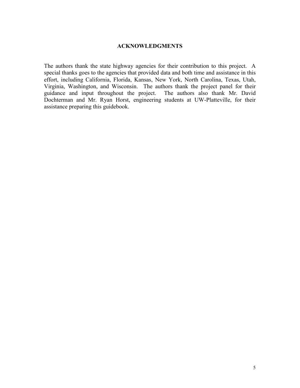## ACKNOWLEDGMENTS

The authors thank the state highway agencies for their contribution to this project. A special thanks goes to the agencies that provided data and both time and assistance in this effort, including California, Florida, Kansas, New York, North Carolina, Texas, Utah, Virginia, Washington, and Wisconsin. The authors thank the project panel for their guidance and input throughout the project. Dochterman and Mr. Ryan Horst, engineering students at UW-Platteville, for their assistance preparing this guidebook.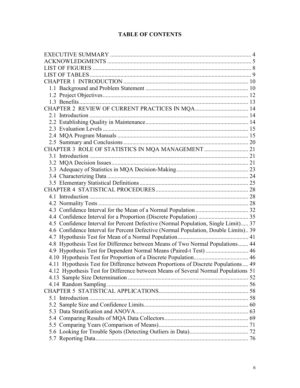## TABLE OF CONTENTS

| CHAPTER 3 ROLE OF STATISTICS IN MQA MANAGEMENT  21                                  |  |
|-------------------------------------------------------------------------------------|--|
|                                                                                     |  |
|                                                                                     |  |
|                                                                                     |  |
|                                                                                     |  |
|                                                                                     |  |
|                                                                                     |  |
|                                                                                     |  |
|                                                                                     |  |
|                                                                                     |  |
|                                                                                     |  |
| 4.5 Confidence Interval for Percent Defective (Normal Population, Single Limit) 37  |  |
| 4.6 Confidence Interval for Percent Defective (Normal Population, Double Limits) 39 |  |
|                                                                                     |  |
| 4.8 Hypothesis Test for Difference between Means of Two Normal Populations 44       |  |
| 4.9 Hypothesis Test for Dependent Normal Means (Paired-t Test)  46                  |  |
|                                                                                     |  |
| 4.11 Hypothesis Test for Difference between Proportions of Discrete Populations 49  |  |
| 4.12 Hypothesis Test for Difference between Means of Several Normal Populations 51  |  |
|                                                                                     |  |
|                                                                                     |  |
|                                                                                     |  |
|                                                                                     |  |
|                                                                                     |  |
|                                                                                     |  |
|                                                                                     |  |
|                                                                                     |  |
|                                                                                     |  |
|                                                                                     |  |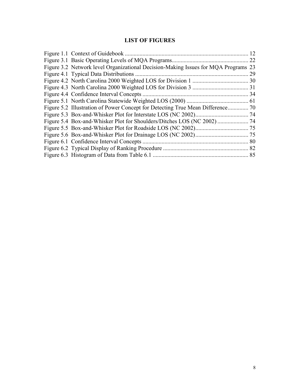# LIST OF FIGURES

| Figure 1.1 Context of Guidebook                                                    | 12   |
|------------------------------------------------------------------------------------|------|
|                                                                                    | 22   |
| Figure 3.2 Network level Organizational Decision-Making Issues for MQA Programs 23 |      |
| Figure 4.1 Typical Data Distributions.                                             | 29   |
|                                                                                    |      |
|                                                                                    |      |
| Figure 4.4 Confidence Interval Concepts.                                           | . 34 |
|                                                                                    |      |
| Figure 5.2 Illustration of Power Concept for Detecting True Mean Difference        | .70  |
|                                                                                    |      |
|                                                                                    |      |
|                                                                                    |      |
|                                                                                    |      |
|                                                                                    | 80   |
|                                                                                    |      |
| Figure 6.3 Histogram of Data from Table 6.1                                        | 85   |
|                                                                                    |      |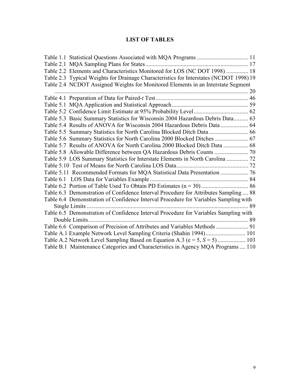## LIST OF TABLES

| Table 2.2 Elements and Characteristics Monitored for LOS (NC DOT 1998)  18             |  |
|----------------------------------------------------------------------------------------|--|
| Table 2.3 Typical Weights for Drainage Characteristics for Interstates (NCDOT 1998) 19 |  |
| Table 2.4 NCDOT Assigned Weights for Monitored Elements in an Interstate Segment       |  |
|                                                                                        |  |
|                                                                                        |  |
|                                                                                        |  |
|                                                                                        |  |
| Table 5.3 Basic Summary Statistics for Wisconsin 2004 Hazardous Debris Data 63         |  |
| Table 5.4 Results of ANOVA for Wisconsin 2004 Hazardous Debris Data  64                |  |
|                                                                                        |  |
| Table 5.6 Summary Statistics for North Carolina 2000 Blocked Ditches  67               |  |
| Table 5.7 Results of ANOVA for North Carolina 2000 Blocked Ditch Data  68              |  |
|                                                                                        |  |
| Table 5.9 LOS Summary Statistics for Interstate Elements in North Carolina  72         |  |
|                                                                                        |  |
|                                                                                        |  |
|                                                                                        |  |
|                                                                                        |  |
| Table 6.3 Demonstration of Confidence Interval Procedure for Attributes Sampling  88   |  |
| Table 6.4 Demonstration of Confidence Interval Procedure for Variables Sampling with   |  |
|                                                                                        |  |
| Table 6.5 Demonstration of Confidence Interval Procedure for Variables Sampling with   |  |
|                                                                                        |  |
| Table 6.6 Comparison of Precision of Attributes and Variables Methods  91              |  |
| Table A.1 Example Network Level Sampling Criteria (Shahin 1994) 101                    |  |
|                                                                                        |  |
| Table B.1 Maintenance Categories and Characteristics in Agency MQA Programs  110       |  |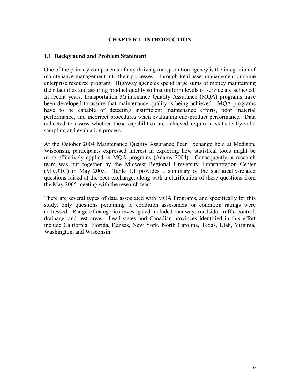## CHAPTER 1 INTRODUCTION

## 1.1 Background and Problem Statement

One of the primary components of any thriving transportation agency is the integration of maintenance management into their processes – through total asset management or some enterprise resource program. Highway agencies spend large sums of money maintaining their facilities and assuring product quality so that uniform levels of service are achieved. In recent years, transportation Maintenance Quality Assurance (MQA) programs have been developed to assure that maintenance quality is being achieved. MQA programs have to be capable of detecting insufficient maintenance efforts, poor material performance, and incorrect procedures when evaluating end-product performance. Data collected to assess whether these capabilities are achieved require a statistically-valid sampling and evaluation process.

At the October 2004 Maintenance Quality Assurance Peer Exchange held at Madison, Wisconsin, participants expressed interest in exploring how statistical tools might be more effectively applied in MQA programs (Adams 2004). Consequently, a research team was put together by the Midwest Regional University Transportation Center (MRUTC) in May 2005. Table 1.1 provides a summary of the statistically-related questions raised at the peer exchange, along with a clarification of these questions from the May 2005 meeting with the research team.

There are several types of data associated with MQA Programs, and specifically for this study, only questions pertaining to condition assessment or condition ratings were addressed. Range of categories investigated included roadway, roadside, traffic control, drainage, and rest areas. Lead states and Canadian provinces identified in this effort include California, Florida, Kansas, New York, North Carolina, Texas, Utah, Virginia, Washington, and Wisconsin.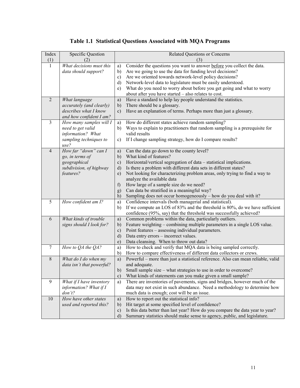| Index          | <b>Specific Question</b>                          |               | <b>Related Questions or Concerns</b>                                                              |
|----------------|---------------------------------------------------|---------------|---------------------------------------------------------------------------------------------------|
| (1)            | (2)                                               |               | (3)                                                                                               |
|                | What decisions must this                          | a)            | Consider the questions you want to answer before you collect the data.                            |
|                | data should support?                              | b)            | Are we going to use the data for funding level decisions?                                         |
|                |                                                   | $\mathbf{c})$ | Are we oriented towards network-level policy decisions?                                           |
|                |                                                   | d)            | Network-level data to legislature must be easily understood.                                      |
|                |                                                   | e)            | What do you need to worry about before you get going and what to worry                            |
|                |                                                   |               | about after you have started - also relates to cost.                                              |
| $\overline{2}$ | What language                                     | a)            | Have a standard to help lay people understand the statistics.                                     |
|                | accurately (and clearly)                          | b)            | There should be a glossary.                                                                       |
|                | describes what I know                             | $\mathbf{c})$ | Have an explanation of terms. Perhaps more than just a glossary.                                  |
|                | and how confident I am?                           |               |                                                                                                   |
| $\overline{3}$ | How many samples will I                           | a)            | How do different states achieve random sampling?                                                  |
|                | need to get valid                                 | b)            | Ways to explain to practitioners that random sampling is a prerequisite for<br>valid results      |
|                | information? What                                 |               |                                                                                                   |
|                | sampling techniques to<br>use?                    | c)            | If I change sampling strategy, how do I compare results?                                          |
| $\overline{4}$ | How far "down" can I                              | a)            | Can the data go down to the county level?                                                         |
|                | go, in terms of                                   | b)            | What kind of features?                                                                            |
|                | geographical                                      | $\mathbf{c})$ | Horizontal/vertical segregation of data - statistical implications.                               |
|                | subdivision, of highway                           | $\rm d)$      | Is there a problem with different data sets in different states?                                  |
|                | features?                                         | $\epsilon$ )  | Not looking for characterizing problem areas, only trying to find a way to                        |
|                |                                                   |               | analyze the available data                                                                        |
|                |                                                   | f             | How large of a sample size do we need?                                                            |
|                |                                                   | g)            | Can data be stratified in a meaningful way?                                                       |
|                |                                                   | h)            | Sampling does not occur homogeneously – how do you deal with it?                                  |
| 5              | How confident am I?                               | a)            | Confidence intervals (both managerial and statistical).                                           |
|                |                                                   | b)            | If we compute an LOS of 83% and the threshold is 80%, do we have sufficient                       |
|                |                                                   |               | confidence (95%, say) that the threshold was successfully achieved?                               |
| 6              | What kinds of trouble                             | a)            | Common problems within the data, particularly outliers.                                           |
|                | signs should I look for?                          | b)            | Feature weighting – combining multiple parameters in a single LOS value.                          |
|                |                                                   | $\mathbf{c})$ | Point features – assessing individual parameters.                                                 |
|                |                                                   | $\mathbf{d}$  | Data entry errors – incorrect values.                                                             |
|                |                                                   | $\epsilon$ )  | Data cleansing. When to throw out data?                                                           |
| 7              | How to QA the QA?                                 | a)            | How to check and verify that MQA data is being sampled correctly.                                 |
| $\,8\,$        |                                                   | $\mathbf{b}$  | How to compare effectiveness of different data collectors or crews.                               |
|                | What do I do when my<br>data isn't that powerful? | a)            | Powerful – more than just a statistical reference. Also can mean reliable, valid<br>and adequate. |
|                |                                                   | b)            | Small sample size – what strategies to use in order to overcome?                                  |
|                |                                                   | $\mathbf{c})$ | What kinds of statements can you make given a small sample?                                       |
| 9              | What if I have inventory                          | a)            | There are inventories of pavements, signs and bridges, however much of the                        |
|                | information? What if I                            |               | data may not exist in such abundance. Need a methodology to determine how                         |
|                | don't?                                            |               | much data is enough; cost will be an issue.                                                       |
| 10             | How have other states                             | a)            | How to report out the statistical info?                                                           |
|                | used and reported this?                           | b)            | Hit target at some specified level of confidence?                                                 |
|                |                                                   | $\mathbf{c})$ | Is this data better than last year? How do you compare the data year to year?                     |
|                |                                                   | $\mathbf{d}$  | Summary statistics should make sense to agency, public, and legislature.                          |

# Table 1.1 Statistical Questions Associated with MQA Programs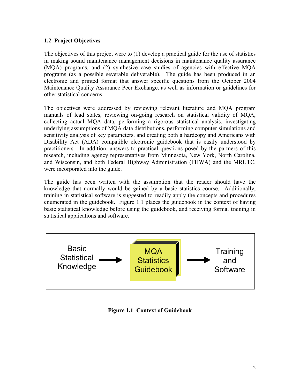## 1.2 Project Objectives

The objectives of this project were to (1) develop a practical guide for the use of statistics in making sound maintenance management decisions in maintenance quality assurance (MQA) programs, and (2) synthesize case studies of agencies with effective MQA programs (as a possible severable deliverable). The guide has been produced in an electronic and printed format that answer specific questions from the October 2004 Maintenance Quality Assurance Peer Exchange, as well as information or guidelines for other statistical concerns.

The objectives were addressed by reviewing relevant literature and MQA program manuals of lead states, reviewing on-going research on statistical validity of MQA, collecting actual MQA data, performing a rigorous statistical analysis, investigating underlying assumptions of MQA data distributions, performing computer simulations and sensitivity analysis of key parameters, and creating both a hardcopy and Americans with Disability Act (ADA) compatible electronic guidebook that is easily understood by practitioners. In addition, answers to practical questions posed by the partners of this research, including agency representatives from Minnesota, New York, North Carolina, and Wisconsin, and both Federal Highway Administration (FHWA) and the MRUTC, were incorporated into the guide.

The guide has been written with the assumption that the reader should have the knowledge that normally would be gained by a basic statistics course. Additionally, training in statistical software is suggested to readily apply the concepts and procedures enumerated in the guidebook. Figure 1.1 places the guidebook in the context of having basic statistical knowledge before using the guidebook, and receiving formal training in statistical applications and software.



Figure 1.1 Context of Guidebook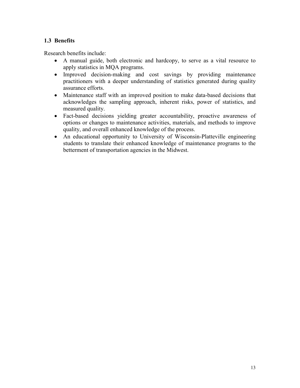## 1.3 Benefits

Research benefits include:

- A manual guide, both electronic and hardcopy, to serve as a vital resource to apply statistics in MQA programs.
- Improved decision-making and cost savings by providing maintenance practitioners with a deeper understanding of statistics generated during quality assurance efforts.
- Maintenance staff with an improved position to make data-based decisions that acknowledges the sampling approach, inherent risks, power of statistics, and measured quality.
- Fact-based decisions yielding greater accountability, proactive awareness of options or changes to maintenance activities, materials, and methods to improve quality, and overall enhanced knowledge of the process.
- An educational opportunity to University of Wisconsin-Platteville engineering students to translate their enhanced knowledge of maintenance programs to the betterment of transportation agencies in the Midwest.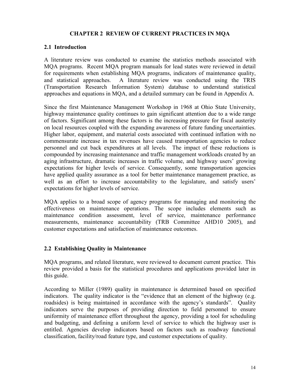## CHAPTER 2 REVIEW OF CURRENT PRACTICES IN MQA

## 2.1 Introduction

A literature review was conducted to examine the statistics methods associated with MQA programs. Recent MQA program manuals for lead states were reviewed in detail for requirements when establishing MQA programs, indicators of maintenance quality, and statistical approaches. A literature review was conducted using the TRIS (Transportation Research Information System) database to understand statistical approaches and equations in MQA, and a detailed summary can be found in Appendix A.

Since the first Maintenance Management Workshop in 1968 at Ohio State University, highway maintenance quality continues to gain significant attention due to a wide range of factors. Significant among these factors is the increasing pressure for fiscal austerity on local resources coupled with the expanding awareness of future funding uncertainties. Higher labor, equipment, and material costs associated with continued inflation with no commensurate increase in tax revenues have caused transportation agencies to reduce personnel and cut back expenditures at all levels. The impact of these reductions is compounded by increasing maintenance and traffic management workloads created by an aging infrastructure, dramatic increases in traffic volume, and highway users' growing expectations for higher levels of service. Consequently, some transportation agencies have applied quality assurance as a tool for better maintenance management practice, as well as an effort to increase accountability to the legislature, and satisfy users' expectations for higher levels of service.

MQA applies to a broad scope of agency programs for managing and monitoring the effectiveness on maintenance operations. The scope includes elements such as maintenance condition assessment, level of service, maintenance performance measurements, maintenance accountability (TRB Committee AHD10 2005), and customer expectations and satisfaction of maintenance outcomes.

## 2.2 Establishing Quality in Maintenance

MQA programs, and related literature, were reviewed to document current practice. This review provided a basis for the statistical procedures and applications provided later in this guide.

According to Miller (1989) quality in maintenance is determined based on specified indicators. The quality indicator is the "evidence that an element of the highway (e.g. roadsides) is being maintained in accordance with the agency's standards". Quality indicators serve the purposes of providing direction to field personnel to ensure uniformity of maintenance effort throughout the agency, providing a tool for scheduling and budgeting, and defining a uniform level of service to which the highway user is entitled. Agencies develop indicators based on factors such as roadway functional classification, facility/road feature type, and customer expectations of quality.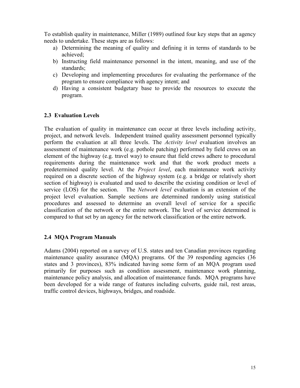To establish quality in maintenance, Miller (1989) outlined four key steps that an agency needs to undertake. These steps are as follows:

- a) Determining the meaning of quality and defining it in terms of standards to be achieved;
- b) Instructing field maintenance personnel in the intent, meaning, and use of the standards;
- c) Developing and implementing procedures for evaluating the performance of the program to ensure compliance with agency intent; and
- d) Having a consistent budgetary base to provide the resources to execute the program.

## 2.3 Evaluation Levels

The evaluation of quality in maintenance can occur at three levels including activity, project, and network levels. Independent trained quality assessment personnel typically perform the evaluation at all three levels. The Activity level evaluation involves an assessment of maintenance work (e.g. pothole patching) performed by field crews on an element of the highway (e.g. travel way) to ensure that field crews adhere to procedural requirements during the maintenance work and that the work product meets a predetermined quality level. At the *Project level*, each maintenance work activity required on a discrete section of the highway system (e.g. a bridge or relatively short section of highway) is evaluated and used to describe the existing condition or level of service (LOS) for the section. The *Network level* evaluation is an extension of the project level evaluation. Sample sections are determined randomly using statistical procedures and assessed to determine an overall level of service for a specific classification of the network or the entire network. The level of service determined is compared to that set by an agency for the network classification or the entire network.

## 2.4 MQA Program Manuals

Adams (2004) reported on a survey of U.S. states and ten Canadian provinces regarding maintenance quality assurance (MQA) programs. Of the 39 responding agencies (36 states and 3 provinces), 83% indicated having some form of an MQA program used primarily for purposes such as condition assessment, maintenance work planning, maintenance policy analysis, and allocation of maintenance funds. MQA programs have been developed for a wide range of features including culverts, guide rail, rest areas, traffic control devices, highways, bridges, and roadside.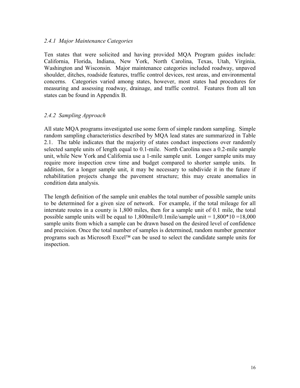## 2.4.1 Major Maintenance Categories

Ten states that were solicited and having provided MQA Program guides include: California, Florida, Indiana, New York, North Carolina, Texas, Utah, Virginia, Washington and Wisconsin. Major maintenance categories included roadway, unpaved shoulder, ditches, roadside features, traffic control devices, rest areas, and environmental concerns. Categories varied among states, however, most states had procedures for measuring and assessing roadway, drainage, and traffic control. Features from all ten states can be found in Appendix B.

## 2.4.2 Sampling Approach

All state MQA programs investigated use some form of simple random sampling. Simple random sampling characteristics described by MQA lead states are summarized in Table 2.1. The table indicates that the majority of states conduct inspections over randomly selected sample units of length equal to 0.1-mile. North Carolina uses a 0.2-mile sample unit, while New York and California use a 1-mile sample unit. Longer sample units may require more inspection crew time and budget compared to shorter sample units. In addition, for a longer sample unit, it may be necessary to subdivide it in the future if rehabilitation projects change the pavement structure; this may create anomalies in condition data analysis.

The length definition of the sample unit enables the total number of possible sample units to be determined for a given size of network. For example, if the total mileage for all interstate routes in a county is 1,800 miles, then for a sample unit of 0.1 mile, the total possible sample units will be equal to  $1,800$  mile/sample unit =  $1,800*10 = 18,000$ sample units from which a sample can be drawn based on the desired level of confidence and precision. Once the total number of samples is determined, random number generator programs such as Microsoft Excel<sup> $TM$ </sup> can be used to select the candidate sample units for inspection.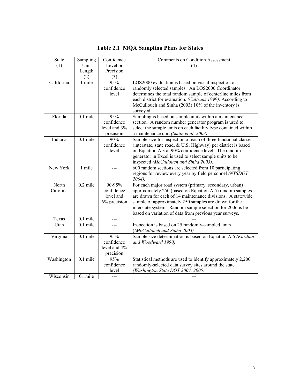| State      | Sampling              | Confidence         | <b>Comments on Condition Assessment</b>                               |
|------------|-----------------------|--------------------|-----------------------------------------------------------------------|
| (1)        | Unit                  | Level or           | (4)                                                                   |
|            | Length                | Precision          |                                                                       |
|            | (2)                   | $\frac{(3)}{95\%}$ |                                                                       |
| California | 1 mile                |                    | LOS2000 evaluation is based on visual inspection of                   |
|            |                       | confidence         | randomly selected samples. An LOS2000 Coordinator                     |
|            |                       | level              | determines the total random sample of centerline miles from           |
|            |                       |                    | each district for evaluation. (Caltrans 1999). According to           |
|            |                       |                    | McCullouch and Sinha (2003) 10% of the inventory is                   |
|            |                       |                    | surveyed.                                                             |
| Florida    | $0.1$ mile            | 95%                | Sampling is based on sample units within a maintenance                |
|            |                       | confidence         | section. A random number generator program is used to                 |
|            |                       | level and 3%       | select the sample units on each facility type contained within        |
|            |                       | precision          | a maintenance unit (Smith et al. 2003).                               |
| Indiana    | $0.1$ mile            | 90%                | Sample size for inspection of each of three functional classes        |
|            |                       | confidence         | (interstate, state road, & U.S. Highway) per district is based        |
|            |                       | level              | on Equation A.3 at 90% confidence level. The random                   |
|            |                       |                    | generator in Excel is used to select sample units to be               |
| New York   | 1 mile                |                    | inspected (McCullouch and Sinha 2003).                                |
|            |                       | ---                | 600 random sections are selected from 10 participating                |
|            |                       |                    | regions for review every year by field personnel (NYSDOT<br>$2004$ ). |
| North      | $0.2$ mile            | 90-95%             | For each major road system (primary, secondary, urban)                |
| Carolina   |                       | confidence         | approximately 250 (based on Equation A.5) random samples              |
|            |                       | level and          | are drawn for each of 14 maintenance divisions. A statewide           |
|            |                       | 6% precision       | sample of approximately 250 samples are drawn for the                 |
|            |                       |                    | interstate system. Random sample selection for 2006 is be             |
|            |                       |                    | based on variation of data from previous year surveys.                |
| Texas      | $\overline{0.1}$ mile |                    |                                                                       |
| Utah       | $0.1$ mile            |                    | Inspection is based on 25 randomly-sampled units                      |
|            |                       |                    | ((McCullouch and Sinha 2003)                                          |
| Virginia   | $0.1$ mile            | 95%                | Sample size determination is based on Equation A.6 (Kardian           |
|            |                       | confidence         | and Woodward 1990)                                                    |
|            |                       | level and 4%       |                                                                       |
|            |                       | precision          |                                                                       |
| Washington | $0.1$ mile            | 95%                | Statistical methods are used to identify approximately 2,200          |
|            |                       | confidence         | randomly-selected data survey sites around the state                  |
|            |                       | level              | (Washington State DOT 2004, 2005).                                    |
| Wisconsin  | $0.1$ mile            |                    |                                                                       |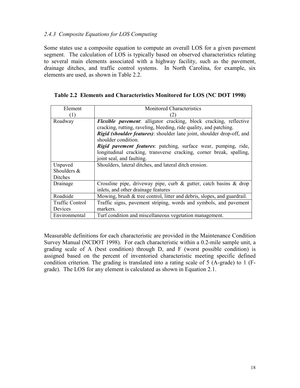## 2.4.3 Composite Equations for LOS Computing

Some states use a composite equation to compute an overall LOS for a given pavement segment. The calculation of LOS is typically based on observed characteristics relating to several main elements associated with a highway facility, such as the pavement, drainage ditches, and traffic control systems. In North Carolina, for example, six elements are used, as shown in Table 2.2.

|  | Table 2.2 Elements and Characteristics Monitored for LOS (NC DOT 1998) |  |  |
|--|------------------------------------------------------------------------|--|--|
|  |                                                                        |  |  |

| Element         | <b>Monitored Characteristics</b>                                               |  |  |
|-----------------|--------------------------------------------------------------------------------|--|--|
| (1)             | 2)                                                                             |  |  |
| Roadway         | <b>Flexible pavement:</b> alligator cracking, block cracking, reflective       |  |  |
|                 | cracking, rutting, raveling, bleeding, ride quality, and patching.             |  |  |
|                 | <i>Rigid (shoulder features)</i> : shoulder lane joint, shoulder drop-off, and |  |  |
|                 | shoulder condition                                                             |  |  |
|                 | Rigid pavement features: patching, surface wear, pumping, ride,                |  |  |
|                 | longitudinal cracking, transverse cracking, corner break, spalling,            |  |  |
|                 | joint seal, and faulting.                                                      |  |  |
| Unpaved         | Shoulders, lateral ditches, and lateral ditch erosion.                         |  |  |
| Shoulders &     |                                                                                |  |  |
| Ditches         |                                                                                |  |  |
| Drainage        | Crossline pipe, driveway pipe, curb $\&$ gutter, catch basins $\&$ drop        |  |  |
|                 | inlets, and other drainage features                                            |  |  |
| Roadside        | Mowing, brush & tree control, litter and debris, slopes, and guardrail.        |  |  |
| Traffic Control | Traffic signs, pavement striping, words and symbols, and pavement              |  |  |
| Devices         | markers.                                                                       |  |  |
| Environmental   | Turf condition and miscellaneous vegetation management.                        |  |  |

Measurable definitions for each characteristic are provided in the Maintenance Condition Survey Manual (NCDOT 1998). For each characteristic within a 0.2-mile sample unit, a grading scale of A (best condition) through D, and F (worst possible condition) is assigned based on the percent of inventoried characteristic meeting specific defined condition criterion. The grading is translated into a rating scale of 5 (A-grade) to 1 (Fgrade). The LOS for any element is calculated as shown in Equation 2.1.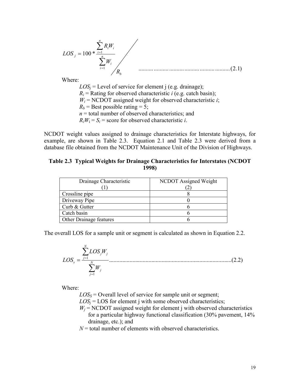$$
LOS_{j} = 100 * \frac{\sum_{i=1}^{n} R_{i}W_{i}}{\sum_{i=1}^{n} W_{i}}
$$
 (2.1)

Where:

 $LOS_j$  = Level of service for element j (e.g. drainage);  $R_i$  = Rating for observed characteristic *i* (e.g. catch basin);  $W_i$  = NCDOT assigned weight for observed characteristic *i*;  $R_b$  = Best possible rating = 5;  $n =$  total number of observed characteristics; and  $R_i W_i = S_i$  = score for observed characteristic *i*.

NCDOT weight values assigned to drainage characteristics for Interstate highways, for example, are shown in Table 2.3. Equation 2.1 and Table 2.3 were derived from a database file obtained from the NCDOT Maintenance Unit of the Division of Highways.

#### Table 2.3 Typical Weights for Drainage Characteristics for Interstates (NCDOT 1998)

| Drainage Characteristic | NCDOT Assigned Weight |
|-------------------------|-----------------------|
|                         |                       |
| Crossline pipe          |                       |
| Driveway Pipe           |                       |
| Curb & Gutter           |                       |
| Catch basin             |                       |
| Other Drainage features |                       |

The overall LOS for a sample unit or segment is calculated as shown in Equation 2.2.

....................................................................................( )2.2 1 1 ∑ ∑ = = = <sup>N</sup> j j N j j j s W LOS W LOS

Where:

 $LOS<sub>S</sub> = Overall level of service for sample unit or segment;$ 

 $LOS<sub>j</sub> = LOS$  for element j with some observed characteristics;

 $W_j$  = NCDOT assigned weight for element j with observed characteristics for a particular highway functional classification (30% pavement, 14% drainage, etc.); and

 $N =$  total number of elements with observed characteristics.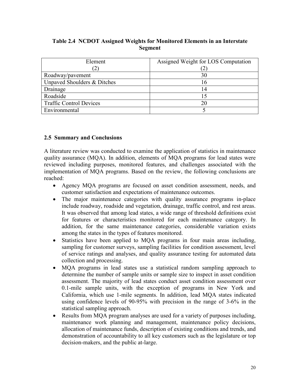|  |         | Table 2.4 NCDOT Assigned Weights for Monitored Elements in an Interstate |
|--|---------|--------------------------------------------------------------------------|
|  | Segment |                                                                          |

| Element                        | Assigned Weight for LOS Computation |
|--------------------------------|-------------------------------------|
|                                |                                     |
| Roadway/pavement               | 30                                  |
| Unpaved Shoulders & Ditches    | 16                                  |
| Drainage                       | 14                                  |
| Roadside                       |                                     |
| <b>Traffic Control Devices</b> | 20                                  |
| Environmental                  |                                     |

## 2.5 Summary and Conclusions

A literature review was conducted to examine the application of statistics in maintenance quality assurance (MQA). In addition, elements of MQA programs for lead states were reviewed including purposes, monitored features, and challenges associated with the implementation of MQA programs. Based on the review, the following conclusions are reached:

- Agency MQA programs are focused on asset condition assessment, needs, and customer satisfaction and expectations of maintenance outcomes.
- The major maintenance categories with quality assurance programs in-place include roadway, roadside and vegetation, drainage, traffic control, and rest areas. It was observed that among lead states, a wide range of threshold definitions exist for features or characteristics monitored for each maintenance category. In addition, for the same maintenance categories, considerable variation exists among the states in the types of features monitored.
- Statistics have been applied to MQA programs in four main areas including, sampling for customer surveys, sampling facilities for condition assessment, level of service ratings and analyses, and quality assurance testing for automated data collection and processing.
- MQA programs in lead states use a statistical random sampling approach to determine the number of sample units or sample size to inspect in asset condition assessment. The majority of lead states conduct asset condition assessment over 0.1-mile sample units, with the exception of programs in New York and California, which use 1-mile segments. In addition, lead MQA states indicated using confidence levels of 90-95% with precision in the range of 3-6% in the statistical sampling approach.
- Results from MQA program analyses are used for a variety of purposes including, maintenance work planning and management, maintenance policy decisions, allocation of maintenance funds, description of existing conditions and trends, and demonstration of accountability to all key customers such as the legislature or top decision-makers, and the public at-large.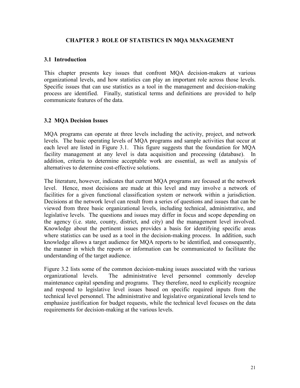## CHAPTER 3 ROLE OF STATISTICS IN MQA MANAGEMENT

## 3.1 Introduction

This chapter presents key issues that confront MQA decision-makers at various organizational levels, and how statistics can play an important role across those levels. Specific issues that can use statistics as a tool in the management and decision-making process are identified. Finally, statistical terms and definitions are provided to help communicate features of the data.

## 3.2 MQA Decision Issues

MQA programs can operate at three levels including the activity, project, and network levels. The basic operating levels of MQA programs and sample activities that occur at each level are listed in Figure 3.1. This figure suggests that the foundation for MQA facility management at any level is data acquisition and processing (database). In addition, criteria to determine acceptable work are essential, as well as analysis of alternatives to determine cost-effective solutions.

The literature, however, indicates that current MQA programs are focused at the network level. Hence, most decisions are made at this level and may involve a network of facilities for a given functional classification system or network within a jurisdiction. Decisions at the network level can result from a series of questions and issues that can be viewed from three basic organizational levels, including technical, administrative, and legislative levels. The questions and issues may differ in focus and scope depending on the agency (i.e. state, county, district, and city) and the management level involved. Knowledge about the pertinent issues provides a basis for identifying specific areas where statistics can be used as a tool in the decision-making process. In addition, such knowledge allows a target audience for MQA reports to be identified, and consequently, the manner in which the reports or information can be communicated to facilitate the understanding of the target audience.

Figure 3.2 lists some of the common decision-making issues associated with the various organizational levels. The administrative level personnel commonly develop maintenance capital spending and programs. They therefore, need to explicitly recognize and respond to legislative level issues based on specific required inputs from the technical level personnel. The administrative and legislative organizational levels tend to emphasize justification for budget requests, while the technical level focuses on the data requirements for decision-making at the various levels.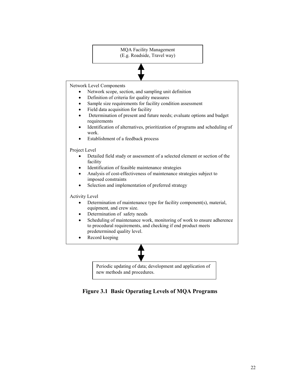MQA Facility Management (E.g. Roadside, Travel way)

Network Level Components

- Network scope, section, and sampling unit definition
- Definition of criteria for quality measures
- Sample size requirements for facility condition assessment
- Field data acquisition for facility
- Determination of present and future needs; evaluate options and budget requirements
- Identification of alternatives, prioritization of programs and scheduling of work.
- Establishment of a feedback process

Project Level

- Detailed field study or assessment of a selected element or section of the facility
- Identification of feasible maintenance strategies
- Analysis of cost-effectiveness of maintenance strategies subject to imposed constraints
- Selection and implementation of preferred strategy

Activity Level

- Determination of maintenance type for facility component(s), material, equipment, and crew size.
- Determination of safety needs
- Scheduling of maintenance work, monitoring of work to ensure adherence to procedural requirements, and checking if end product meets predetermined quality level.
- Record keeping



Periodic updating of data; development and application of new methods and procedures.

Figure 3.1 Basic Operating Levels of MQA Programs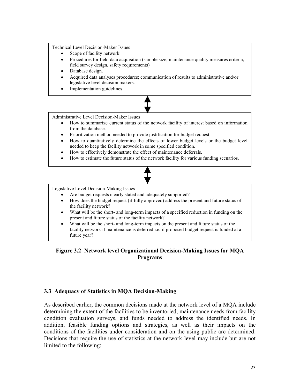Technical Level Decision-Maker Issues

- Scope of facility network
- Procedures for field data acquisition (sample size, maintenance quality measures criteria, field survey design, safety requirements)
- Database design.
- Acquired data analyses procedures; communication of results to administrative and/or legislative level decision makers.
- Implementation guidelines



Administrative Level Decision-Maker Issues

- How to summarize current status of the network facility of interest based on information from the database.
- Prioritization method needed to provide justification for budget request
- How to quantitatively determine the effects of lower budget levels or the budget level needed to keep the facility network in some specified condition.
- How to effectively demonstrate the effect of maintenance deferrals.
- How to estimate the future status of the network facility for various funding scenarios.



Legislative Level Decision-Making Issues

- Are budget requests clearly stated and adequately supported?
- How does the budget request (if fully approved) address the present and future status of the facility network?
- What will be the short- and long-term impacts of a specified reduction in funding on the present and future status of the facility network?
- What will be the short- and long-term impacts on the present and future status of the facility network if maintenance is deferred i.e. if proposed budget request is funded at a future year?

## Figure 3.2 Network level Organizational Decision-Making Issues for MQA Programs

## 3.3 Adequacy of Statistics in MQA Decision-Making

As described earlier, the common decisions made at the network level of a MQA include determining the extent of the facilities to be inventoried, maintenance needs from facility condition evaluation surveys, and funds needed to address the identified needs. In addition, feasible funding options and strategies, as well as their impacts on the conditions of the facilities under consideration and on the using public are determined. Decisions that require the use of statistics at the network level may include but are not limited to the following: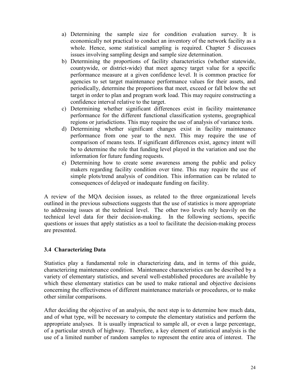- a) Determining the sample size for condition evaluation survey. It is economically not practical to conduct an inventory of the network facility as a whole. Hence, some statistical sampling is required. Chapter 5 discusses issues involving sampling design and sample size determination.
- b) Determining the proportions of facility characteristics (whether statewide, countywide, or district-wide) that meet agency target value for a specific performance measure at a given confidence level. It is common practice for agencies to set target maintenance performance values for their assets, and periodically, determine the proportions that meet, exceed or fall below the set target in order to plan and program work load. This may require constructing a confidence interval relative to the target.
- c) Determining whether significant differences exist in facility maintenance performance for the different functional classification systems, geographical regions or jurisdictions. This may require the use of analysis of variance tests.
- d) Determining whether significant changes exist in facility maintenance performance from one year to the next. This may require the use of comparison of means tests. If significant differences exist, agency intent will be to determine the role that funding level played in the variation and use the information for future funding requests.
- e) Determining how to create some awareness among the public and policy makers regarding facility condition over time. This may require the use of simple plots/trend analysis of condition. This information can be related to consequences of delayed or inadequate funding on facility.

A review of the MQA decision issues, as related to the three organizational levels outlined in the previous subsections suggests that the use of statistics is more appropriate to addressing issues at the technical level. The other two levels rely heavily on the technical level data for their decision-making. In the following sections, specific questions or issues that apply statistics as a tool to facilitate the decision-making process are presented.

## 3.4 Characterizing Data

Statistics play a fundamental role in characterizing data, and in terms of this guide, characterizing maintenance condition. Maintenance characteristics can be described by a variety of elementary statistics, and several well-established procedures are available by which these elementary statistics can be used to make rational and objective decisions concerning the effectiveness of different maintenance materials or procedures, or to make other similar comparisons.

After deciding the objective of an analysis, the next step is to determine how much data, and of what type, will be necessary to compute the elementary statistics and perform the appropriate analyses. It is usually impractical to sample all, or even a large percentage, of a particular stretch of highway. Therefore, a key element of statistical analysis is the use of a limited number of random samples to represent the entire area of interest. The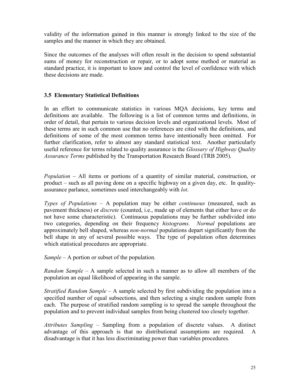validity of the information gained in this manner is strongly linked to the size of the samples and the manner in which they are obtained.

Since the outcomes of the analyses will often result in the decision to spend substantial sums of money for reconstruction or repair, or to adopt some method or material as standard practice, it is important to know and control the level of confidence with which these decisions are made.

## 3.5 Elementary Statistical Definitions

In an effort to communicate statistics in various MQA decisions, key terms and definitions are available. The following is a list of common terms and definitions, in order of detail, that pertain to various decision levels and organizational levels. Most of these terms are in such common use that no references are cited with the definitions, and definitions of some of the most common terms have intentionally been omitted. For further clarification, refer to almost any standard statistical text. Another particularly useful reference for terms related to quality assurance is the *Glossary of Highway Quality* Assurance Terms published by the Transportation Research Board (TRB 2005).

Population – All items or portions of a quantity of similar material, construction, or product – such as all paving done on a specific highway on a given day, etc. In qualityassurance parlance, sometimes used interchangeably with lot.

Types of Populations – A population may be either *continuous* (measured, such as pavement thickness) or *discrete* (counted, i.e., made up of elements that either have or do not have some characteristic). Continuous populations may be further subdivided into two categories, depending on their frequency *histograms*. Normal populations are approximately bell shaped, whereas *non-normal* populations depart significantly from the bell shape in any of several possible ways. The type of population often determines which statistical procedures are appropriate.

 $Sample - A$  portion or subset of the population.

Random Sample – A sample selected in such a manner as to allow all members of the population an equal likelihood of appearing in the sample.

*Stratified Random Sample – A sample selected by first subdividing the population into a* specified number of equal subsections, and then selecting a single random sample from each. The purpose of stratified random sampling is to spread the sample throughout the population and to prevent individual samples from being clustered too closely together.

Attributes Sampling – Sampling from a population of discrete values. A distinct advantage of this approach is that no distributional assumptions are required. A disadvantage is that it has less discriminating power than variables procedures.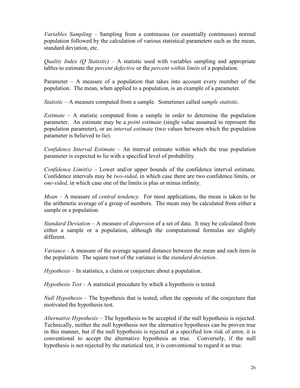Variables Sampling – Sampling from a continuous (or essentially continuous) normal population followed by the calculation of various statistical parameters such as the mean, standard deviation, etc.

*Quality Index (O Statistic)* – A statistic used with variables sampling and appropriate tables to estimate the *percent defective* or the *percent within limits* of a population.

Parameter – A measure of a population that takes into account every member of the population. The mean, when applied to a population, is an example of a parameter.

Statistic – A measure computed from a sample. Sometimes called *sample statistic*.

*Estimate* – A statistic computed from a sample in order to determine the population parameter. An estimate may be a *point estimate* (single value assumed to represent the population parameter), or an *interval estimate* (two values between which the population parameter is believed to lie).

Confidence Interval Estimate  $-$  An interval estimate within which the true population parameter is expected to lie with a specified level of probability.

Confidence  $Limit(s)$  – Lower and/or upper bounds of the confidence interval estimate. Confidence intervals may be two-sided, in which case there are two confidence limits, or one-sided, in which case one of the limits is plus or minus infinity.

*Mean* – A measure of *central tendency*. For most applications, the mean is taken to be the arithmetic average of a group of numbers. The mean may be calculated from either a sample or a population.

Standard Deviation – A measure of dispersion of a set of data. It may be calculated from either a sample or a population, although the computational formulas are slightly different.

Variance - A measure of the average squared distance between the mean and each item in the population. The square root of the variance is the *standard deviation*.

Hypothesis – In statistics, a claim or conjecture about a population.

Hypothesis Test – A statistical procedure by which a hypothesis is tested.

Null Hypothesis – The hypothesis that is tested, often the opposite of the conjecture that motivated the hypothesis test.

Alternative Hypothesis – The hypothesis to be accepted if the null hypothesis is rejected. Technically, neither the null hypothesis nor the alternative hypothesis can be proven true in this manner, but if the null hypothesis is rejected at a specified low risk of error, it is conventional to accept the alternative hypothesis as true. Conversely, if the null hypothesis is not rejected by the statistical test, it is conventional to regard it as true.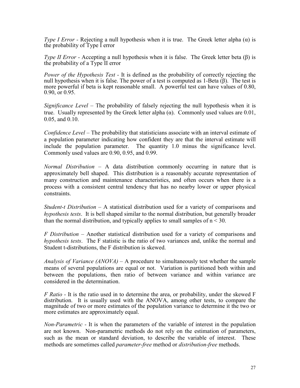Type I Error - Rejecting a null hypothesis when it is true. The Greek letter alpha ( $\alpha$ ) is the probability of Type I error

Type II Error - Accepting a null hypothesis when it is false. The Greek letter beta ( $\beta$ ) is the probability of a Type II error

Power of the Hypothesis Test - It is defined as the probability of correctly rejecting the null hypothesis when it is false. The power of a test is computed as 1-Beta  $(\beta)$ . The test is more powerful if beta is kept reasonable small. A powerful test can have values of 0.80, 0.90, or 0.95.

Significance Level – The probability of falsely rejecting the null hypothesis when it is true. Usually represented by the Greek letter alpha  $(\alpha)$ . Commonly used values are 0.01, 0.05, and 0.10.

Confidence Level – The probability that statisticians associate with an interval estimate of a population parameter indicating how confident they are that the interval estimate will include the population parameter. The quantity 1.0 minus the significance level. Commonly used values are 0.90, 0.95, and 0.99.

Normal Distribution – A data distribution commonly occurring in nature that is approximately bell shaped. This distribution is a reasonably accurate representation of many construction and maintenance characteristics, and often occurs when there is a process with a consistent central tendency that has no nearby lower or upper physical constraints.

Student-t Distribution – A statistical distribution used for a variety of comparisons and hypothesis tests. It is bell shaped similar to the normal distribution, but generally broader than the normal distribution, and typically applies to small samples of  $n < 30$ .

F Distribution – Another statistical distribution used for a variety of comparisons and hypothesis tests. The F statistic is the ratio of two variances and, unlike the normal and Student t-distributions, the F distribution is skewed.

Analysis of Variance  $(ANOVA) - A$  procedure to simultaneously test whether the sample means of several populations are equal or not. Variation is partitioned both within and between the populations, then ratio of between variance and within variance are considered in the determination.

 $F$  Ratio - It is the ratio used in to determine the area, or probability, under the skewed  $F$ distribution. It is usually used with the ANOVA, among other tests, to compare the magnitude of two or more estimates of the population variance to determine it the two or more estimates are approximately equal.

Non-Parametric - It is when the parameters of the variable of interest in the population are not known. Non-parametric methods do not rely on the estimation of parameters, such as the mean or standard deviation, to describe the variable of interest. These methods are sometimes called *parameter-free* method or *distribution-free* methods.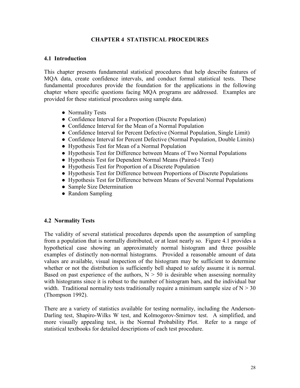## CHAPTER 4 STATISTICAL PROCEDURES

## 4.1 Introduction

This chapter presents fundamental statistical procedures that help describe features of MQA data, create confidence intervals, and conduct formal statistical tests. These fundamental procedures provide the foundation for the applications in the following chapter where specific questions facing MQA programs are addressed. Examples are provided for these statistical procedures using sample data.

- Normality Tests
- Confidence Interval for a Proportion (Discrete Population)
- Confidence Interval for the Mean of a Normal Population
- Confidence Interval for Percent Defective (Normal Population, Single Limit)
- Confidence Interval for Percent Defective (Normal Population, Double Limits)
- Hypothesis Test for Mean of a Normal Population
- Hypothesis Test for Difference between Means of Two Normal Populations
- Hypothesis Test for Dependent Normal Means (Paired-t Test)
- Hypothesis Test for Proportion of a Discrete Population
- Hypothesis Test for Difference between Proportions of Discrete Populations
- Hypothesis Test for Difference between Means of Several Normal Populations
- Sample Size Determination
- Random Sampling

## 4.2 Normality Tests

The validity of several statistical procedures depends upon the assumption of sampling from a population that is normally distributed, or at least nearly so. Figure 4.1 provides a hypothetical case showing an approximately normal histogram and three possible examples of distinctly non-normal histograms. Provided a reasonable amount of data values are available, visual inspection of the histogram may be sufficient to determine whether or not the distribution is sufficiently bell shaped to safely assume it is normal. Based on past experience of the authors,  $N > 50$  is desirable when assessing normality with histograms since it is robust to the number of histogram bars, and the individual bar width. Traditional normality tests traditionally require a minimum sample size of  $N > 30$ (Thompson 1992).

There are a variety of statistics available for testing normality, including the Anderson-Darling test, Shapiro-Wilks W test, and Kolmogorov-Smirnov test. A simplified, and more visually appealing test, is the Normal Probability Plot. Refer to a range of statistical textbooks for detailed descriptions of each test procedure.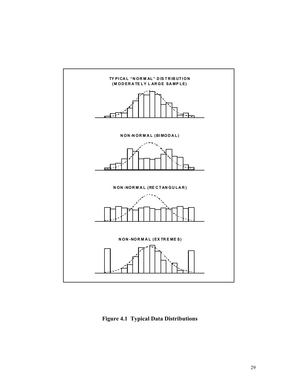

Figure 4.1 Typical Data Distributions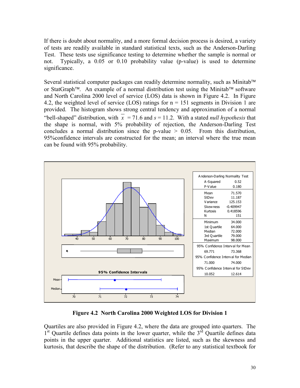If there is doubt about normality, and a more formal decision process is desired, a variety of tests are readily available in standard statistical texts, such as the Anderson-Darling Test. These tests use significance testing to determine whether the sample is normal or not. Typically, a 0.05 or 0.10 probability value (p-value) is used to determine significance.

Several statistical computer packages can readily determine normality, such as Minitab<sup>™</sup> or StatGraph<sup>TM</sup>. An example of a normal distribution test using the Minitab<sup>TM</sup> software and North Carolina 2000 level of service (LOS) data is shown in Figure 4.2. In Figure 4.2, the weighted level of service (LOS) ratings for  $n = 151$  segments in Division 1 are provided. The histogram shows strong central tendency and approximation of a normal "bell-shaped" distribution, with  $\overline{x}$  = 71.6 and s = 11.2. With a stated *null hypothesis* that the shape is normal, with 5% probability of rejection, the Anderson-Darling Test concludes a normal distribution since the p-value  $> 0.05$ . From this distribution, 95%confidence intervals are constructed for the mean; an interval where the true mean can be found with 95% probability.



Figure 4.2 North Carolina 2000 Weighted LOS for Division 1

Quartiles are also provided in Figure 4.2, where the data are grouped into quarters. The 1<sup>st</sup> Quartile defines data points in the lower quarter, while the 3<sup>rd</sup> Quartile defines data points in the upper quarter. Additional statistics are listed, such as the skewness and kurtosis, that describe the shape of the distribution. (Refer to any statistical textbook for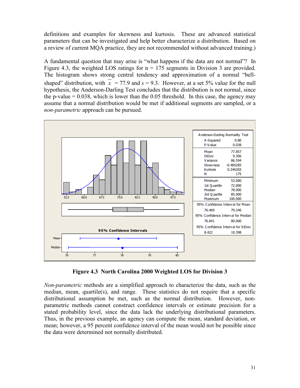definitions and examples for skewness and kurtosis. These are advanced statistical parameters that can be investigated and help better characterize a distribution. Based on a review of current MQA practice, they are not recommended without advanced training.)

A fundamental question that may arise is "what happens if the data are not normal"? In Figure 4.3, the weighted LOS ratings for  $n = 175$  segments in Division 3 are provided. The histogram shows strong central tendency and approximation of a normal "bellshaped" distribution, with  $\overline{x}$  = 77.9 and s = 9.3. However, at a set 5% value for the null hypothesis, the Anderson-Darling Test concludes that the distribution is not normal, since the p-value  $= 0.038$ , which is lower than the 0.05 threshold. In this case, the agency may assume that a normal distribution would be met if additional segments are sampled, or a non-parametric approach can be pursued.



Figure 4.3 North Carolina 2000 Weighted LOS for Division 3

Non-parametric methods are a simplified approach to characterize the data, such as the median, mean, quartile(s), and range. These statistics do not require that a specific distributional assumption be met, such as the normal distribution. However, nonparametric methods cannot construct confidence intervals or estimate precision for a stated probability level, since the data lack the underlying distributional parameters. Thus, in the previous example, an agency can compute the mean, standard deviation, or mean; however, a 95 percent confidence interval of the mean would not be possible since the data were determined not normally distributed.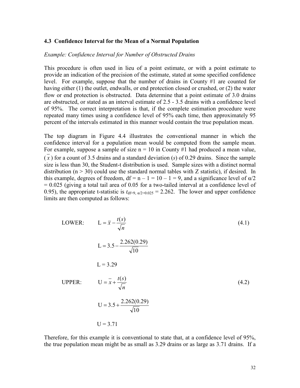#### 4.3 Confidence Interval for the Mean of a Normal Population

#### Example: Confidence Interval for Number of Obstructed Drains

This procedure is often used in lieu of a point estimate, or with a point estimate to provide an indication of the precision of the estimate, stated at some specified confidence level. For example, suppose that the number of drains in County #1 are counted for having either (1) the outlet, endwalls, or end protection closed or crushed, or (2) the water flow or end protection is obstructed. Data determine that a point estimate of 3.0 drains are obstructed, or stated as an interval estimate of 2.5 - 3.5 drains with a confidence level of 95%. The correct interpretation is that, if the complete estimation procedure were repeated many times using a confidence level of 95% each time, then approximately 95 percent of the intervals estimated in this manner would contain the true population mean.

The top diagram in Figure 4.4 illustrates the conventional manner in which the confidence interval for a population mean would be computed from the sample mean. For example, suppose a sample of size  $n = 10$  in County #1 had produced a mean value,  $(x)$  for a count of 3.5 drains and a standard deviation  $(s)$  of 0.29 drains. Since the sample size is less than 30, the Student-t distribution is used. Sample sizes with a distinct normal distribution ( $n > 30$ ) could use the standard normal tables with Z statistic), if desired. In this example, degrees of freedom,  $df = n - 1 = 10 - 1 = 9$ , and a significance level of  $\alpha/2$  $= 0.025$  (giving a total tail area of 0.05 for a two-tailed interval at a confidence level of 0.95), the appropriate t-statistic is  $t_{df=9, \alpha/2=0.025} = 2.262$ . The lower and upper confidence limits are then computed as follows:

LOWER: 
$$
L = \bar{x} - \frac{t(s)}{\sqrt{n}}
$$
 (4.1)  
\n $L = 3.5 - \frac{2.262(0.29)}{\sqrt{10}}$   
\n $L = 3.29$   
\nUPPER:  $U = \bar{x} + \frac{t(s)}{\sqrt{n}}$   
\n $U = 3.5 + \frac{2.262(0.29)}{\sqrt{10}}$   
\n $U = 3.71$  (4.2)

Therefore, for this example it is conventional to state that, at a confidence level of 95%, the true population mean might be as small as 3.29 drains or as large as 3.71 drains. If a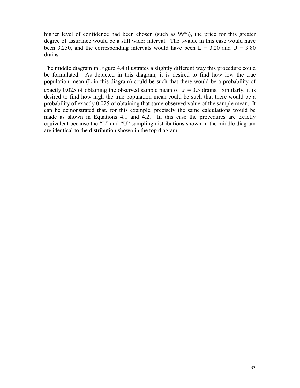higher level of confidence had been chosen (such as 99%), the price for this greater degree of assurance would be a still wider interval. The t-value in this case would have been 3.250, and the corresponding intervals would have been  $L = 3.20$  and  $U = 3.80$ drains.

The middle diagram in Figure 4.4 illustrates a slightly different way this procedure could be formulated. As depicted in this diagram, it is desired to find how low the true population mean (L in this diagram) could be such that there would be a probability of exactly 0.025 of obtaining the observed sample mean of  $\bar{x}$  = 3.5 drains. Similarly, it is desired to find how high the true population mean could be such that there would be a probability of exactly 0.025 of obtaining that same observed value of the sample mean. It can be demonstrated that, for this example, precisely the same calculations would be made as shown in Equations 4.1 and 4.2. In this case the procedures are exactly equivalent because the "L" and "U" sampling distributions shown in the middle diagram are identical to the distribution shown in the top diagram.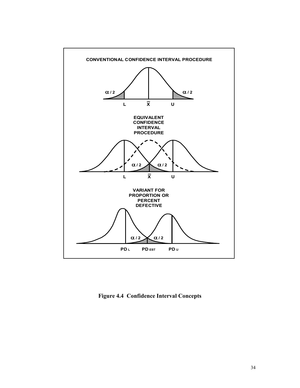

Figure 4.4 Confidence Interval Concepts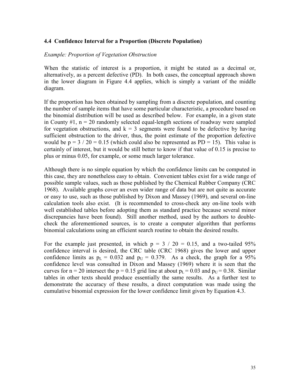### 4.4 Confidence Interval for a Proportion (Discrete Population)

#### Example: Proportion of Vegetation Obstruction

When the statistic of interest is a proportion, it might be stated as a decimal or, alternatively, as a percent defective (PD). In both cases, the conceptual approach shown in the lower diagram in Figure 4.4 applies, which is simply a variant of the middle diagram.

If the proportion has been obtained by sampling from a discrete population, and counting the number of sample items that have some particular characteristic, a procedure based on the binomial distribution will be used as described below. For example, in a given state in County  $\#1$ ,  $n = 20$  randomly selected equal-length sections of roadway were sampled for vegetation obstructions, and  $k = 3$  segments were found to be defective by having sufficient obstruction to the driver, thus, the point estimate of the proportion defective would be  $p = 3 / 20 = 0.15$  (which could also be represented as PD = 15). This value is certainly of interest, but it would be still better to know if that value of 0.15 is precise to plus or minus 0.05, for example, or some much larger tolerance.

Although there is no simple equation by which the confidence limits can be computed in this case, they are nonetheless easy to obtain. Convenient tables exist for a wide range of possible sample values, such as those published by the Chemical Rubber Company (CRC 1968). Available graphs cover an even wider range of data but are not quite as accurate or easy to use, such as those published by Dixon and Massey (1969), and several on-line calculation tools also exist. (It is recommended to cross-check any on-line tools with well established tables before adopting them as standard practice because several minor discrepancies have been found). Still another method, used by the authors to doublecheck the aforementioned sources, is to create a computer algorithm that performs binomial calculations using an efficient search routine to obtain the desired results.

For the example just presented, in which  $p = 3 / 20 = 0.15$ , and a two-tailed 95% confidence interval is desired, the CRC table (CRC 1968) gives the lower and upper confidence limits as  $p_L = 0.032$  and  $p_U = 0.379$ . As a check, the graph for a 95% confidence level was consulted in Dixon and Massey (1969) where it is seen that the curves for  $n = 20$  intersect the  $p = 0.15$  grid line at about  $p_L = 0.03$  and  $p_U = 0.38$ . Similar tables in other texts should produce essentially the same results. As a further test to demonstrate the accuracy of these results, a direct computation was made using the cumulative binomial expression for the lower confidence limit given by Equation 4.3.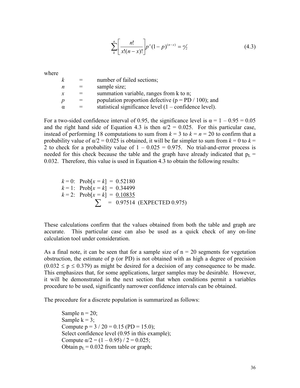$$
\sum_{k}^{n} \left[ \frac{n!}{x!(n-x)!} \right] p^{x} (1-p)^{(n-x)} = \alpha/2 \tag{4.3}
$$

where

| k |     | number of failed sections;                                       |
|---|-----|------------------------------------------------------------------|
| n |     | sample size;                                                     |
| x |     | summation variable, ranges from k to n;                          |
| р | $=$ | population proportion defective ( $p = PD / 100$ ); and          |
| α |     | statistical significance level $(1 - \text{confidence level})$ . |
|   |     |                                                                  |

For a two-sided confidence interval of 0.95, the significance level is  $\alpha = 1 - 0.95 = 0.05$ and the right hand side of Equation 4.3 is then  $\alpha/2 = 0.025$ . For this particular case, instead of performing 18 computations to sum from  $k = 3$  to  $k = n = 20$  to confirm that a probability value of  $\alpha/2 = 0.025$  is obtained, it will be far simpler to sum from  $k = 0$  to  $k = 1$ 2 to check for a probability value of  $1 - 0.025 = 0.975$ . No trial-and-error process is needed for this check because the table and the graph have already indicated that  $p_L$  = 0.032. Therefore, this value is used in Equation 4.3 to obtain the following results:

 $k = 0$ : Prob[ $x = k$ ] = 0.52180  $k = 1$ : Prob[ $x = k$ ] = 0.34499  $k = 2$ : Prob[ $x = k$ ] = 0.10835  $\sum$  = 0.97514 (EXPECTED 0.975)

These calculations confirm that the values obtained from both the table and graph are accurate. This particular case can also be used as a quick check of any on-line calculation tool under consideration.

As a final note, it can be seen that for a sample size of  $n = 20$  segments for vegetation obstruction, the estimate of p (or PD) is not obtained with as high a degree of precision  $(0.032 \le p \le 0.379)$  as might be desired for a decision of any consequence to be made. This emphasizes that, for some applications, larger samples may be desirable. However, it will be demonstrated in the next section that when conditions permit a variables procedure to be used, significantly narrower confidence intervals can be obtained.

The procedure for a discrete population is summarized as follows:

Sample  $n = 20$ ; Sample  $k = 3$ ; Compute  $p = 3 / 20 = 0.15$  (PD = 15.0); Select confidence level  $(0.95$  in this example); Compute  $\alpha/2 = (1 - 0.95) / 2 = 0.025$ ; Obtain  $p_L = 0.032$  from table or graph;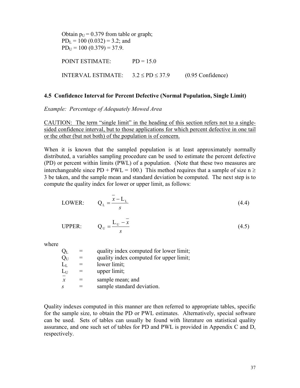Obtain  $p_U = 0.379$  from table or graph;  $PD<sub>L</sub> = 100 (0.032) = 3.2$ ; and  $PD_{U} = 100 (0.379) = 37.9.$ POINT ESTIMATE: PD = 15.0 INTERVAL ESTIMATE:  $3.2 \leq PD \leq 37.9$  (0.95 Confidence)

#### 4.5 Confidence Interval for Percent Defective (Normal Population, Single Limit)

Example: Percentage of Adequately Mowed Area

CAUTION: The term "single limit" in the heading of this section refers not to a singlesided confidence interval, but to those applications for which percent defective in one tail or the other (but not both) of the population is of concern.

When it is known that the sampled population is at least approximately normally distributed, a variables sampling procedure can be used to estimate the percent defective (PD) or percent within limits (PWL) of a population. (Note that these two measures are interchangeable since PD + PWL = 100.) This method requires that a sample of size  $n \ge$ 3 be taken, and the sample mean and standard deviation be computed. The next step is to compute the quality index for lower or upper limit, as follows:

$$
LOWER: \qquad Q_{L} = \frac{\overline{x} - L_{L}}{s}
$$
\n
$$
(4.4)
$$

UPPER: 
$$
Q_U = \frac{L_U - x}{s}
$$
 (4.5)

where

| $\rm Q_L$           | quality index computed for lower limit; |
|---------------------|-----------------------------------------|
| $Q_U$               | quality index computed for upper limit; |
| $L_{L}$             | lower limit;                            |
| $L_U$               | upper limit;                            |
| $\boldsymbol{\chi}$ | sample mean; and                        |
| S                   | sample standard deviation.              |

Quality indexes computed in this manner are then referred to appropriate tables, specific for the sample size, to obtain the PD or PWL estimates. Alternatively, special software can be used. Sets of tables can usually be found with literature on statistical quality assurance, and one such set of tables for PD and PWL is provided in Appendix C and D, respectively.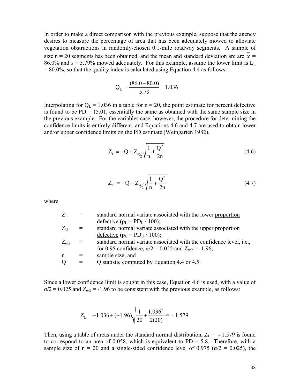In order to make a direct comparison with the previous example, suppose that the agency desires to measure the percentage of area that has been adequately mowed to alleviate vegetation obstructions in randomly-chosen 0.1-mile roadway segments. A sample of size n = 20 segments has been obtained, and the mean and standard deviation are are  $\bar{x}$  = 86.0% and  $s = 5.79\%$  mowed adequately. For this example, assume the lower limit is  $L<sub>L</sub>$ .  $= 80.0\%$ , so that the quality index is calculated using Equation 4.4 as follows:

$$
Q_{L} = \frac{(86.0 - 80.0)}{5.79} = 1.036
$$

Interpolating for  $Q_L = 1.036$  in a table for  $n = 20$ , the point estimate for percent defective is found to be  $PD = 15.01$ , essentially the same as obtained with the same sample size in the previous example. For the variables case, however, the procedure for determining the confidence limits is entirely different, and Equations 4.6 and 4.7 are used to obtain lower and/or upper confidence limits on the PD estimate (Weingarten 1982).

$$
Z_{L} = -Q + Z_{\alpha/2} \sqrt{\frac{1}{n} + \frac{Q^{2}}{2n}}
$$
\n(4.6)

$$
Z_{U} = -Q - Z_{\alpha/2} \sqrt{\frac{1}{n} + \frac{Q^2}{2n}}
$$
 (4.7)

where

| $Z_L$          |               | standard normal variate associated with the lower proportion                |
|----------------|---------------|-----------------------------------------------------------------------------|
|                |               | defective ( $p_L = PD_L / 100$ );                                           |
| $Z_{U}$        | $=$           | standard normal variate associated with the upper proportion                |
|                |               | defective ( $p_U = PD_U / 100$ );                                           |
| $Z_{\alpha/2}$ | $\frac{1}{2}$ | standard normal variate associated with the confidence level, <i>i.e.</i> , |
|                |               | for 0.95 confidence, $\alpha/2 = 0.025$ and $Z_{\alpha/2} = -1.96$ ;        |
| $\mathsf{n}$   |               | sample size; and                                                            |
| Q              | $=$           | Q statistic computed by Equation 4.4 or 4.5.                                |
|                |               |                                                                             |

Since a lower confidence limit is sought in this case, Equation 4.6 is used, with a value of  $\alpha/2 = 0.025$  and  $Z_{\alpha/2} = -1.96$  to be consistent with the previous example, as follows:

$$
Z_{\rm L} = -1.036 + (-1.96) \sqrt{\frac{1}{20} + \frac{1.036^2}{2(20)}} = -1.579
$$

Then, using a table of areas under the standard normal distribution,  $Z_L = -1.579$  is found to correspond to an area of 0.058, which is equivalent to  $PD = 5.8$ . Therefore, with a sample size of  $n = 20$  and a single-sided confidence level of 0.975 ( $\alpha/2 = 0.025$ ), the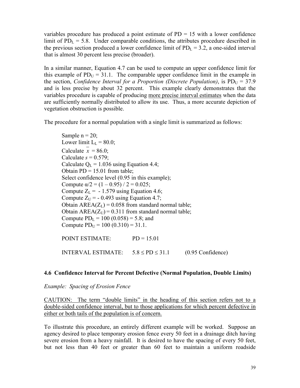variables procedure has produced a point estimate of  $PD = 15$  with a lower confidence limit of  $PD_L = 5.8$ . Under comparable conditions, the attributes procedure described in the previous section produced a lower confidence limit of  $PD<sub>L</sub> = 3.2$ , a one-sided interval that is almost 30 percent less precise (broader).

In a similar manner, Equation 4.7 can be used to compute an upper confidence limit for this example of  $PD_U = 31.1$ . The comparable upper confidence limit in the example in the section, Confidence Interval for a Proportion (Discrete Population), is  $PD_{U} = 37.9$ and is less precise by about 32 percent. This example clearly demonstrates that the variables procedure is capable of producing more precise interval estimates when the data are sufficiently normally distributed to allow its use. Thus, a more accurate depiction of vegetation obstruction is possible.

The procedure for a normal population with a single limit is summarized as follows:

Sample  $n = 20$ ; Lower limit  $L<sub>L</sub> = 80.0$ ; Calculate  $x = 86.0$ ; Calculate  $s = 0.579$ ; Calculate  $Q_L = 1.036$  using Equation 4.4; Obtain  $PD = 15.01$  from table; Select confidence level (0.95 in this example); Compute  $\alpha/2 = (1 - 0.95) / 2 = 0.025$ ; Compute  $Z_L$  = -1.579 using Equation 4.6; Compute  $Z_U$  = - 0.493 using Equation 4.7; Obtain  $AREA(Z_L) = 0.058$  from standard normal table; Obtain  $AREA(Z_U) = 0.311$  from standard normal table; Compute  $PD<sub>L</sub> = 100 (0.058) = 5.8$ ; and Compute  $PD_U = 100 (0.310) = 31.1$ . POINT ESTIMATE: PD = 15.01 INTERVAL ESTIMATE:  $5.8 \leq PD \leq 31.1$  (0.95 Confidence)

# 4.6 Confidence Interval for Percent Defective (Normal Population, Double Limits)

Example: Spacing of Erosion Fence

CAUTION: The term "double limits" in the heading of this section refers not to a double-sided confidence interval, but to those applications for which percent defective in either or both tails of the population is of concern.

To illustrate this procedure, an entirely different example will be worked. Suppose an agency desired to place temporary erosion fence every 50 feet in a drainage ditch having severe erosion from a heavy rainfall. It is desired to have the spacing of every 50 feet, but not less than 40 feet or greater than 60 feet to maintain a uniform roadside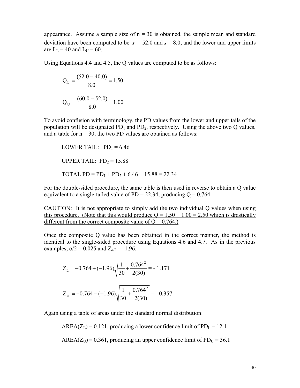appearance. Assume a sample size of  $n = 30$  is obtained, the sample mean and standard deviation have been computed to be  $\bar{x} = 52.0$  and  $s = 8.0$ , and the lower and upper limits are  $L_{L} = 40$  and  $L_{U} = 60$ .

Using Equations 4.4 and 4.5, the Q values are computed to be as follows:

$$
Q_{L} = \frac{(52.0 - 40.0)}{8.0} = 1.50
$$

$$
Q_{U} = \frac{(60.0 - 52.0)}{8.0} = 1.00
$$

To avoid confusion with terminology, the PD values from the lower and upper tails of the population will be designated  $PD_1$  and  $PD_2$ , respectively. Using the above two Q values, and a table for  $n = 30$ , the two PD values are obtained as follows:

LOWER TAIL: 
$$
PD_1 = 6.46
$$
  
UPPER TAIL:  $PD_2 = 15.88$   
TOTAL  $PD = PD_1 + PD_2 + 6.46 + 15.88 = 22.34$ 

For the double-sided procedure, the same table is then used in reverse to obtain a Q value equivalent to a single-tailed value of PD = 22.34, producing  $Q = 0.764$ .

CAUTION: It is not appropriate to simply add the two individual Q values when using this procedure. (Note that this would produce  $Q = 1.50 + 1.00 = 2.50$  which is drastically different from the correct composite value of  $Q = 0.764$ .

Once the composite Q value has been obtained in the correct manner, the method is identical to the single-sided procedure using Equations 4.6 and 4.7. As in the previous examples,  $\alpha/2 = 0.025$  and  $Z_{\alpha/2} = -1.96$ .

$$
Z_{L} = -0.764 + (-1.96)\sqrt{\frac{1}{30} + \frac{0.764^{2}}{2(30)}} = -1.171
$$

$$
Z_{U} = -0.764 - (-1.96)\sqrt{\frac{1}{30} + \frac{0.764^{2}}{2(30)}} = -0.357
$$

Again using a table of areas under the standard normal distribution:

30

 $AREA(Z_L) = 0.121$ , producing a lower confidence limit of PD<sub>L</sub> = 12.1

2(30)

AREA( $Z_U$ ) = 0.361, producing an upper confidence limit of PD $_U$  = 36.1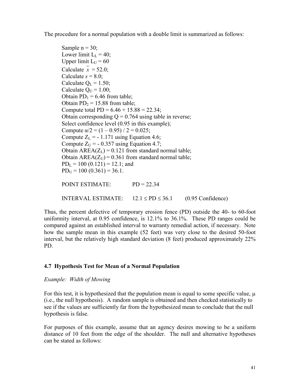The procedure for a normal population with a double limit is summarized as follows:

Sample  $n = 30$ ; Lower limit  $L<sub>L</sub> = 40$ ; Upper limit  $L_U = 60$ Calculate  $x = 52.0$ ; Calculate  $s = 8.0$ ; Calculate  $Q_L = 1.50$ ; Calculate  $Q_U = 1.00$ ; Obtain  $PD_1 = 6.46$  from table; Obtain  $PD_2 = 15.88$  from table; Compute total PD =  $6.46 + 15.88 = 22.34$ ; Obtain corresponding  $Q = 0.764$  using table in reverse; Select confidence level (0.95 in this example); Compute  $\alpha/2 = (1 - 0.95) / 2 = 0.025$ ; Compute  $Z_L$  = - 1.171 using Equation 4.6; Compute  $Z_{U}$  = - 0.357 using Equation 4.7; Obtain  $AREA(Z_L) = 0.121$  from standard normal table; Obtain  $AREA(Z_U) = 0.361$  from standard normal table;  $PD<sub>L</sub> = 100 (0.121) = 12.1$ ; and  $PD_{U} = 100 (0.361) = 36.1.$  POINT ESTIMATE: PD = 22.34 INTERVAL ESTIMATE:  $12.1 \leq PD \leq 36.1$  (0.95 Confidence)

Thus, the percent defective of temporary erosion fence (PD) outside the 40- to 60-foot uniformity interval, at 0.95 confidence, is 12.1% to 36.1%. These PD ranges could be compared against an established interval to warranty remedial action, if necessary. Note how the sample mean in this example (52 feet) was very close to the desired 50-foot interval, but the relatively high standard deviation (8 feet) produced approximately 22% PD.

# 4.7 Hypothesis Test for Mean of a Normal Population

# Example: Width of Mowing

For this test, it is hypothesized that the population mean is equal to some specific value,  $\mu$ (i.e., the null hypothesis). A random sample is obtained and then checked statistically to see if the values are sufficiently far from the hypothesized mean to conclude that the null hypothesis is false.

For purposes of this example, assume that an agency desires mowing to be a uniform distance of 10 feet from the edge of the shoulder. The null and alternative hypotheses can be stated as follows: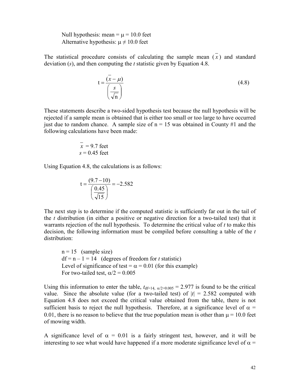Null hypothesis: mean =  $\mu$  = 10.0 feet Alternative hypothesis:  $\mu \neq 10.0$  feet

The statistical procedure consists of calculating the sample mean  $(\overline{x})$  and standard deviation  $(s)$ , and then computing the t statistic given by Equation 4.8.

$$
t = \frac{(\bar{x} - \mu)}{\left(\frac{s}{\sqrt{n}}\right)}
$$
(4.8)

These statements describe a two-sided hypothesis test because the null hypothesis will be rejected if a sample mean is obtained that is either too small or too large to have occurred just due to random chance. A sample size of  $n = 15$  was obtained in County #1 and the following calculations have been made:

$$
\overline{x} = 9.7 \text{ feet}
$$

$$
s = 0.45 \text{ feet}
$$

Using Equation 4.8, the calculations is as follows:

$$
t = \frac{(9.7 - 10)}{\left(\frac{0.45}{\sqrt{15}}\right)} = -2.582
$$

The next step is to determine if the computed statistic is sufficiently far out in the tail of the  $t$  distribution (in either a positive or negative direction for a two-tailed test) that it warrants rejection of the null hypothesis. To determine the critical value of  $t$  to make this decision, the following information must be compiled before consulting a table of the t distribution:

 $n = 15$  (sample size)  $df = n - 1 = 14$  (degrees of freedom for t statistic) Level of significance of test =  $\alpha$  = 0.01 (for this example) For two-tailed test,  $\alpha/2 = 0.005$ 

Using this information to enter the table,  $t_{df=14}$ ,  $\alpha/2=0.005 = 2.977$  is found to be the critical value. Since the absolute value (for a two-tailed test) of  $|t| = 2.582$  computed with Equation 4.8 does not exceed the critical value obtained from the table, there is not sufficient basis to reject the null hypothesis. Therefore, at a significance level of  $\alpha$  = 0.01, there is no reason to believe that the true population mean is other than  $\mu$  = 10.0 feet of mowing width.

A significance level of  $\alpha = 0.01$  is a fairly stringent test, however, and it will be interesting to see what would have happened if a more moderate significance level of  $\alpha$  =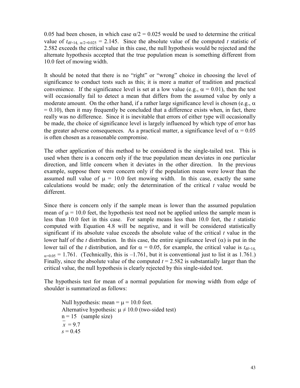0.05 had been chosen, in which case  $\alpha/2 = 0.025$  would be used to determine the critical value of  $t_{df=14, \alpha/2=0.025}$  = 2.145. Since the absolute value of the computed t statistic of 2.582 exceeds the critical value in this case, the null hypothesis would be rejected and the alternate hypothesis accepted that the true population mean is something different from 10.0 feet of mowing width.

It should be noted that there is no "right" or "wrong" choice in choosing the level of significance to conduct tests such as this; it is more a matter of tradition and practical convenience. If the significance level is set at a low value (e.g.,  $\alpha = 0.01$ ), then the test will occasionally fail to detect a mean that differs from the assumed value by only a moderate amount. On the other hand, if a rather large significance level is chosen (e.g.,  $\alpha$ )  $= 0.10$ ), then it may frequently be concluded that a difference exists when, in fact, there really was no difference. Since it is inevitable that errors of either type will occasionally be made, the choice of significance level is largely influenced by which type of error has the greater adverse consequences. As a practical matter, a significance level of  $\alpha = 0.05$ is often chosen as a reasonable compromise.

The other application of this method to be considered is the single-tailed test. This is used when there is a concern only if the true population mean deviates in one particular direction, and little concern when it deviates in the other direction. In the previous example, suppose there were concern only if the population mean were lower than the assumed null value of  $\mu$  = 10.0 feet mowing width. In this case, exactly the same calculations would be made; only the determination of the critical  $t$  value would be different.

Since there is concern only if the sample mean is lower than the assumed population mean of  $\mu$  = 10.0 feet, the hypothesis test need not be applied unless the sample mean is less than 10.0 feet in this case. For sample means less than 10.0 feet, the  $t$  statistic computed with Equation 4.8 will be negative, and it will be considered statistically significant if its absolute value exceeds the absolute value of the critical  $t$  value in the lower half of the t distribution. In this case, the entire significance level  $(\alpha)$  is put in the lower tail of the t distribution, and for  $\alpha = 0.05$ , for example, the critical value is  $t_{df=14}$  $\alpha$ =0.05 = 1.761. (Technically, this is -1.761, but it is conventional just to list it as 1.761.) Finally, since the absolute value of the computed  $t = 2.582$  is substantially larger than the critical value, the null hypothesis is clearly rejected by this single-sided test.

The hypothesis test for mean of a normal population for mowing width from edge of shoulder is summarized as follows:

Null hypothesis: mean  $= \mu = 10.0$  feet. Alternative hypothesis:  $\mu \neq 10.0$  (two-sided test)  $n = 15$  (sample size)  $\bar{x} = 9.7$  $s = 0.45$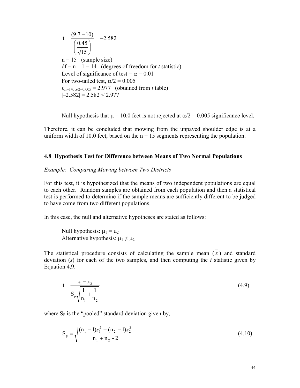.2 582 15 0.45  $t = \frac{(9.7-10)}{(0.15)} = \overline{\phantom{a}}$ J  $\backslash$  $\overline{\phantom{a}}$  $\setminus$ ſ  $=\frac{(9.7-)}{6.7-}$  $n = 15$  (sample size)  $df = n - 1 = 14$  (degrees of freedom for t statistic) Level of significance of test =  $\alpha$  = 0.01 For two-tailed test,  $\alpha/2 = 0.005$  $t_{\text{df}=14, \alpha/2=0.005} = 2.977$  (obtained from t table)  $|-2.582| = 2.582 \le 2.977$ 

Null hypothesis that  $\mu$  = 10.0 feet is not rejected at  $\alpha/2$  = 0.005 significance level.

Therefore, it can be concluded that mowing from the unpaved shoulder edge is at a uniform width of 10.0 feet, based on the  $n = 15$  segments representing the population.

#### 4.8 Hypothesis Test for Difference between Means of Two Normal Populations

#### Example: Comparing Mowing between Two Districts

For this test, it is hypothesized that the means of two independent populations are equal to each other. Random samples are obtained from each population and then a statistical test is performed to determine if the sample means are sufficiently different to be judged to have come from two different populations.

In this case, the null and alternative hypotheses are stated as follows:

Null hypothesis:  $\mu_1 = \mu_2$ Alternative hypothesis:  $\mu_1 \neq \mu_2$ 

The statistical procedure consists of calculating the sample mean  $(\overline{x})$  and standard deviation  $(s)$  for each of the two samples, and then computing the t statistic given by Equation 4.9.

$$
t = \frac{\overline{x_1} - \overline{x_2}}{S_p \sqrt{\frac{1}{n_1} + \frac{1}{n_2}}}
$$
(4.9)

where  $S_p$  is the "pooled" standard deviation given by,

$$
S_p = \sqrt{\frac{(n_1 - 1)s_1^2 + (n_2 - 1)s_2^2}{n_1 + n_2 - 2}}
$$
\n(4.10)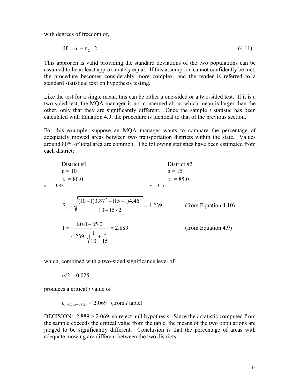with degrees of freedom of,

$$
df = n_1 + n_2 - 2 \tag{4.11}
$$

This approach is valid providing the standard deviations of the two populations can be assumed to be at least approximately equal. If this assumption cannot confidently be met, the procedure becomes considerably more complex, and the reader is referred to a standard statistical text on hypothesis testing.

Like the test for a single mean, this can be either a one-sided or a two-sided test. If it is a two-sided test, the MQA manager is not concerned about which mean is larger than the other, only that they are significantly different. Once the sample  $t$  statistic has been calculated with Equation 4.9, the procedure is identical to that of the previous section.

For this example, suppose an MQA manager wants to compare the percentage of adequately mowed areas between two transportation districts within the state. Values around 80% of total area are common. The following statistics have been estimated from each district:

| District #1                                                                                    | District #2 |
|------------------------------------------------------------------------------------------------|-------------|
| $n = 10$                                                                                       | $n = 15$    |
| $x = 80.0$                                                                                     | $s = 3.16$  |
| $s = 3.87$                                                                                     | $s = 3.16$  |
| $S_p = \sqrt{\frac{(10-1)3.87^2 + (15-1)4.46^2}{10+15\cdot 2}} = 4.239$ (from Equation 4.10)   |             |
| $t = \frac{80.0 - 85.0}{4.239 \sqrt{\frac{1}{10} + \frac{1}{15}}} = 2.889$ (from Equation 4.9) |             |

which, combined with a two-sided significance level of

 $\alpha/2 = 0.025$ 

produces a critical  $t$  value of

 $t_{\text{df}=23,\alpha=0.025} = 2.069$  (from t table)

DECISION:  $2.889 > 2.069$ , so reject null hypothesis. Since the t statistic computed from the sample exceeds the critical value from the table, the means of the two populations are judged to be significantly different. Conclusion is that the percentage of areas with adequate mowing are different between the two districts.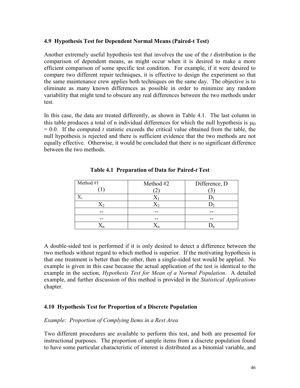### 4.9 Hypothesis Test for Dependent Normal Means (Paired-t Test)

Another extremely useful hypothesis test that involves the use of the t distribution is the comparison of dependent means, as might occur when it is desired to make a more efficient comparison of some specific test condition. For example, if it were desired to compare two different repair techniques, it is effective to design the experiment so that the same maintenance crew applies both techniques on the same day. The objective is to eliminate as many known differences as possible in order to minimize any random variability that might tend to obscure any real differences between the two methods under test.

In this case, the data are treated differently, as shown in Table 4.1. The last column in this table produces a total of n individual differences for which the null hypothesis is  $\mu_D$  $= 0.0$ . If the computed t statistic exceeds the critical value obtained from the table, the null hypothesis is rejected and there is sufficient evidence that the two methods are not equally effective. Otherwise, it would be concluded that there is no significant difference between the two methods.

| Method #1 | Method #2 | Difference, D |  |
|-----------|-----------|---------------|--|
|           |           |               |  |
|           |           |               |  |
|           |           |               |  |
| --        |           |               |  |
| --        |           |               |  |
|           |           |               |  |

Table 4.1 Preparation of Data for Paired-t Test

A double-sided test is performed if it is only desired to detect a difference between the two methods without regard to which method is superior. If the motivating hypothesis is that one treatment is better than the other, then a single-sided test would be applied. No example is given in this case because the actual application of the test is identical to the example in the section, *Hypothesis Test for Mean of a Normal Population*. A detailed example, and further discussion of this method is provided in the *Statistical Applications* chapter.

### 4.10 Hypothesis Test for Proportion of a Discrete Population

### Example: Proportion of Complying Items in a Rest Area

Two different procedures are available to perform this test, and both are presented for instructional purposes. The proportion of sample items from a discrete population found to have some particular characteristic of interest is distributed as a binomial variable, and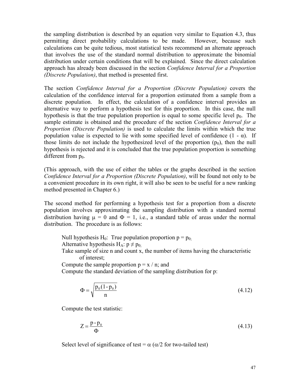the sampling distribution is described by an equation very similar to Equation 4.3, thus permitting direct probability calculations to be made. However, because such calculations can be quite tedious, most statistical tests recommend an alternate approach that involves the use of the standard normal distribution to approximate the binomial distribution under certain conditions that will be explained. Since the direct calculation approach has already been discussed in the section Confidence Interval for a Proportion (Discrete Population), that method is presented first.

The section Confidence Interval for a Proportion (Discrete Population) covers the calculation of the confidence interval for a proportion estimated from a sample from a discrete population. In effect, the calculation of a confidence interval provides an alternative way to perform a hypothesis test for this proportion. In this case, the null hypothesis is that the true population proportion is equal to some specific level  $p_0$ . The sample estimate is obtained and the procedure of the section *Confidence Interval for a* Proportion (Discrete Population) is used to calculate the limits within which the true population value is expected to lie with some specified level of confidence  $(1 - \alpha)$ . If those limits do not include the hypothesized level of the proportion  $(p_0)$ , then the null hypothesis is rejected and it is concluded that the true population proportion is something different from  $p_0$ .

(This approach, with the use of either the tables or the graphs described in the section Confidence Interval for a Proportion (Discrete Population), will be found not only to be a convenient procedure in its own right, it will also be seen to be useful for a new ranking method presented in Chapter 6.)

The second method for performing a hypothesis test for a proportion from a discrete population involves approximating the sampling distribution with a standard normal distribution having  $\mu = 0$  and  $\Phi = 1$ , i.e., a standard table of areas under the normal distribution. The procedure is as follows:

Null hypothesis H<sub>0</sub>: True population proportion  $p = p_{0}$ ;

Alternative hypothesis  $H_A: p \neq p_0$ .

 Take sample of size n and count x, the number of items having the characteristic of interest;

Compute the sample proportion  $p = x / n$ ; and

Compute the standard deviation of the sampling distribution for p:

$$
\Phi = \sqrt{\frac{p_0(1 - p_0)}{n}}
$$
\n(4.12)

Compute the test statistic:

$$
Z = \frac{p - p_0}{\Phi} \tag{4.13}
$$

Select level of significance of test =  $\alpha$  ( $\alpha/2$  for two-tailed test)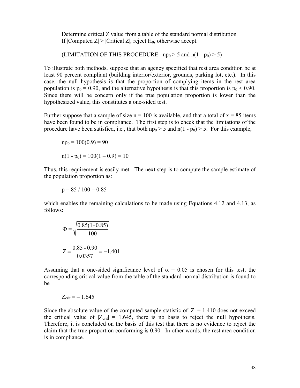Determine critical Z value from a table of the standard normal distribution If  $|Computed Z| > |Critical Z|$ , reject  $H_0$ , otherwise accept.

(LIMITATION OF THIS PROCEDURE:  $np_0 > 5$  and  $n(1 - p_0) > 5$ )

To illustrate both methods, suppose that an agency specified that rest area condition be at least 90 percent compliant (building interior/exterior, grounds, parking lot, etc.). In this case, the null hypothesis is that the proportion of complying items in the rest area population is  $p_0 = 0.90$ , and the alternative hypothesis is that this proportion is  $p_0 < 0.90$ . Since there will be concern only if the true population proportion is lower than the hypothesized value, this constitutes a one-sided test.

Further suppose that a sample of size  $n = 100$  is available, and that a total of  $x = 85$  items have been found to be in compliance. The first step is to check that the limitations of the procedure have been satisfied, i.e., that both  $np_0 > 5$  and  $n(1 - p_0) > 5$ . For this example,

$$
np_0 = 100(0.9) = 90
$$
  

$$
n(1 - p_0) = 100(1 - 0.9) = 10
$$

Thus, this requirement is easily met. The next step is to compute the sample estimate of the population proportion as:

$$
p = 85 / 100 = 0.85
$$

which enables the remaining calculations to be made using Equations 4.12 and 4.13, as follows:

$$
\Phi = \sqrt{\frac{0.85(1 - 0.85)}{100}}
$$

$$
Z = \frac{0.85 - 0.90}{0.0357} = -1.401
$$

Assuming that a one-sided significance level of  $\alpha = 0.05$  is chosen for this test, the corresponding critical value from the table of the standard normal distribution is found to be

$$
Z_{\rm crit} = -1.645
$$

Since the absolute value of the computed sample statistic of  $|Z| = 1.410$  does not exceed the critical value of  $|Z_{\text{crit}}| = 1.645$ , there is no basis to reject the null hypothesis. Therefore, it is concluded on the basis of this test that there is no evidence to reject the claim that the true proportion conforming is 0.90. In other words, the rest area condition is in compliance.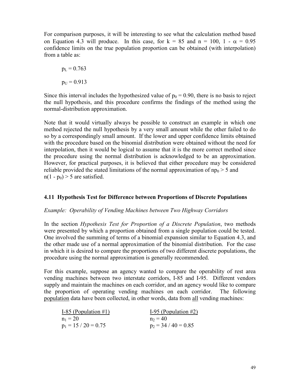For comparison purposes, it will be interesting to see what the calculation method based on Equation 4.3 will produce. In this case, for  $k = 85$  and  $n = 100$ ,  $1 - \alpha = 0.95$ confidence limits on the true population proportion can be obtained (with interpolation) from a table as:

$$
p_L = 0.763
$$

$$
p_U = 0.913
$$

Since this interval includes the hypothesized value of  $p_0 = 0.90$ , there is no basis to reject the null hypothesis, and this procedure confirms the findings of the method using the normal-distribution approximation.

Note that it would virtually always be possible to construct an example in which one method rejected the null hypothesis by a very small amount while the other failed to do so by a correspondingly small amount. If the lower and upper confidence limits obtained with the procedure based on the binomial distribution were obtained without the need for interpolation, then it would be logical to assume that it is the more correct method since the procedure using the normal distribution is acknowledged to be an approximation. However, for practical purposes, it is believed that either procedure may be considered reliable provided the stated limitations of the normal approximation of  $np_0 > 5$  and  $n(1 - p_0) > 5$  are satisfied.

### 4.11 Hypothesis Test for Difference between Proportions of Discrete Populations

### Example: Operability of Vending Machines between Two Highway Corridors

In the section *Hypothesis Test for Proportion of a Discrete Population*, two methods were presented by which a proportion obtained from a single population could be tested. One involved the summing of terms of a binomial expansion similar to Equation 4.3, and the other made use of a normal approximation of the binomial distribution. For the case in which it is desired to compare the proportions of two different discrete populations, the procedure using the normal approximation is generally recommended.

For this example, suppose an agency wanted to compare the operability of rest area vending machines between two interstate corridors, I-85 and I-95. Different vendors supply and maintain the machines on each corridor, and an agency would like to compare the proportion of operating vending machines on each corridor. The following population data have been collected, in other words, data from all vending machines:

| I-85 (Population $\#1$ ) | I-95 (Population $#2$ ) |
|--------------------------|-------------------------|
| $n_1 = 20$               | $n_2 = 40$              |
| $p_1 = 15 / 20 = 0.75$   | $p_2 = 34 / 40 = 0.85$  |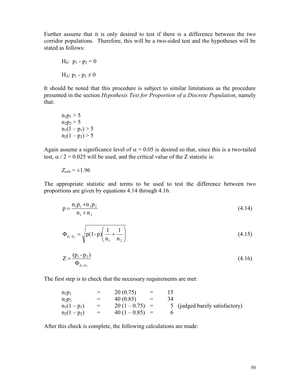Further assume that it is only desired to test if there is a difference between the two corridor populations. Therefore, this will be a two-sided test and the hypotheses will be stated as follows:

$$
H_0: p_1 - p_2 = 0
$$

$$
H_A: p_1 - p_2 \neq 0
$$

It should be noted that this procedure is subject to similar limitations as the procedure presented in the section Hypothesis Test for Proportion of a Discrete Population, namely that:

 $n_1p_1 > 5$  $n_2p_2 > 5$  $n_1(1-p_1) > 5$  $n_2(1 - p_2) > 5$ 

Again assume a significance level of  $\alpha = 0.05$  is desired so that, since this is a two-tailed test,  $\alpha$  / 2 = 0.025 will be used, and the critical value of the Z statistic is:

$$
Z_{\text{crit}} = \pm 1.96
$$

The appropriate statistic and terms to be used to test the difference between two proportions are given by equations 4.14 through 4.16.

$$
p = \frac{n_1 p_1 + n_2 p_2}{n_1 + n_2} \tag{4.14}
$$

$$
\Phi_{p_1-p_2} = \sqrt{p(1-p)\left(\frac{1}{n_1} + \frac{1}{n_2}\right)}
$$
\n(4.15)

$$
Z = \frac{(p_1 - p_2)}{\Phi_{p_1 - p_2}}\tag{4.16}
$$

The first step is to check that the necessary requirements are met:

| $n_1p_1$     | $=$ | 20(0.75)       | $=$ |    |                                |
|--------------|-----|----------------|-----|----|--------------------------------|
| $n_2p_2$     | $=$ | 40(0.85)       | $=$ | 34 |                                |
| $n_1(1-p_1)$ | $=$ | $20(1-0.75) =$ |     |    | 5 (judged barely satisfactory) |
| $n_2(1-p_2)$ | $=$ | $40(1-0.85) =$ |     |    |                                |

After this check is complete, the following calculations are made: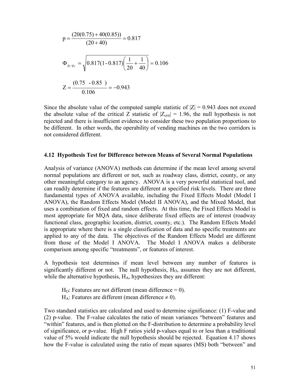$$
p = \frac{(20(0.75) + 40(0.85))}{(20 + 40)} = 0.817
$$
  
\n
$$
\Phi_{p_1 - p_2} = \sqrt{0.817(1 - 0.817)\left(\frac{1}{20} + \frac{1}{40}\right)} = 0.106
$$
  
\n
$$
Z = \frac{(0.75 - 0.85)}{0.106} = -0.943
$$

Since the absolute value of the computed sample statistic of  $|Z| = 0.943$  does not exceed the absolute value of the critical Z statistic of  $|Z_{\text{crit}}| = 1.96$ , the null hypothesis is not rejected and there is insufficient evidence to consider these two population proportions to be different. In other words, the operability of vending machines on the two corridors is not considered different.

#### 4.12 Hypothesis Test for Difference between Means of Several Normal Populations

Analysis of variance (ANOVA) methods can determine if the mean level among several normal populations are different or not, such as roadway class, district, county, or any other meaningful category to an agency. ANOVA is a very powerful statistical tool, and can readily determine if the features are different at specified risk levels. There are three fundamental types of ANOVA available, including the Fixed Effects Model (Model I ANOVA), the Random Effects Model (Model II ANOVA), and the Mixed Model, that uses a combination of fixed and random effects. At this time, the Fixed Effects Model is most appropriate for MQA data, since deliberate fixed effects are of interest (roadway functional class, geographic location, district, county, etc.). The Random Effects Model is appropriate where there is a single classification of data and no specific treatments are applied to any of the data. The objectives of the Random Effects Model are different from those of the Model I ANOVA. The Model I ANOVA makes a deliberate comparison among specific "treatments", or features of interest.

A hypothesis test determines if mean level between any number of features is significantly different or not. The null hypothesis,  $H<sub>0</sub>$ , assumes they are not different, while the alternative hypothesis,  $H_A$ , hypothesizes they are different:

 $H<sub>O</sub>$ : Features are not different (mean difference = 0). H<sub>A</sub>: Features are different (mean difference  $\neq$  0).

Two standard statistics are calculated and used to determine significance: (1) F-value and (2) p-value. The F-value calculates the ratio of mean variances "between" features and "within" features, and is then plotted on the F-distribution to determine a probability level of significance, or p-value. High F ratios yield p-values equal to or less than a traditional value of 5% would indicate the null hypothesis should be rejected. Equation 4.17 shows how the F-value is calculated using the ratio of mean squares (MS) both "between" and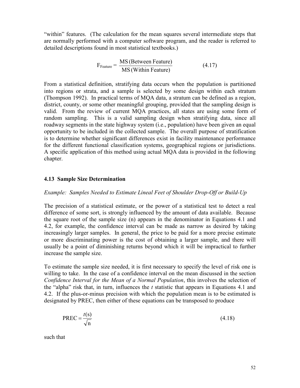"within" features. (The calculation for the mean squares several intermediate steps that are normally performed with a computer software program, and the reader is referred to detailed descriptions found in most statistical textbooks.)

$$
F_{\text{Feature}} = \frac{\text{MS (Between Feature)}}{\text{MS (Within Feature)}} \tag{4.17}
$$

From a statistical definition, stratifying data occurs when the population is partitioned into regions or strata, and a sample is selected by some design within each stratum (Thompson 1992). In practical terms of MQA data, a stratum can be defined as a region, district, county, or some other meaningful grouping, provided that the sampling design is valid. From the review of current MQA practices, all states are using some form of random sampling. This is a valid sampling design when stratifying data, since all roadway segments in the state highway system (i.e., population) have been given an equal opportunity to be included in the collected sample. The overall purpose of stratification is to determine whether significant differences exist in facility maintenance performance for the different functional classification systems, geographical regions or jurisdictions. A specific application of this method using actual MQA data is provided in the following chapter.

#### 4.13 Sample Size Determination

#### Example: Samples Needed to Estimate Lineal Feet of Shoulder Drop-Off or Build-Up

The precision of a statistical estimate, or the power of a statistical test to detect a real difference of some sort, is strongly influenced by the amount of data available. Because the square root of the sample size (n) appears in the denominator in Equations 4.1 and 4.2, for example, the confidence interval can be made as narrow as desired by taking increasingly larger samples. In general, the price to be paid for a more precise estimate or more discriminating power is the cost of obtaining a larger sample, and there will usually be a point of diminishing returns beyond which it will be impractical to further increase the sample size.

To estimate the sample size needed, it is first necessary to specify the level of risk one is willing to take. In the case of a confidence interval on the mean discussed in the section Confidence Interval for the Mean of a Normal Population, this involves the selection of the "alpha" risk that, in turn, influences the  $t$  statistic that appears in Equations 4.1 and 4.2. If the plus-or-minus precision with which the population mean is to be estimated is designated by PREC, then either of these equations can be transposed to produce

$$
PREC = \frac{t(s)}{\sqrt{n}}\tag{4.18}
$$

such that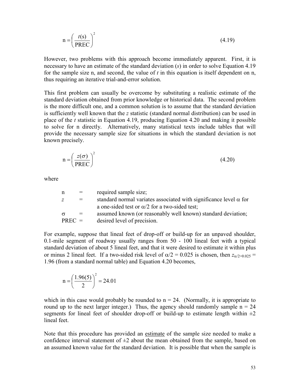$$
n = \left(\frac{t(s)}{PREC}\right)^2\tag{4.19}
$$

However, two problems with this approach become immediately apparent. First, it is necessary to have an estimate of the standard deviation (s) in order to solve Equation 4.19 for the sample size n, and second, the value of  $t$  in this equation is itself dependent on n, thus requiring an iterative trial-and-error solution.

This first problem can usually be overcome by substituting a realistic estimate of the standard deviation obtained from prior knowledge or historical data. The second problem is the more difficult one, and a common solution is to assume that the standard deviation is sufficiently well known that the z statistic (standard normal distribution) can be used in place of the  $t$  statistic in Equation 4.19, producing Equation 4.20 and making it possible to solve for n directly. Alternatively, many statistical texts include tables that will provide the necessary sample size for situations in which the standard deviation is not known precisely.

$$
n = \left(\frac{z(\sigma)}{PREC}\right)^2\tag{4.20}
$$

where

| n        | $\equiv$ | required sample size;                                                    |
|----------|----------|--------------------------------------------------------------------------|
| Ζ        | $=$      | standard normal variates associated with significance level $\alpha$ for |
|          |          | a one-sided test or $\alpha/2$ for a two-sided test;                     |
| $\sigma$ | $=$      | assumed known (or reasonably well known) standard deviation;             |
| $PREC =$ |          | desired level of precision.                                              |

For example, suppose that lineal feet of drop-off or build-up for an unpaved shoulder, 0.1-mile segment of roadway usually ranges from 50 - 100 lineal feet with a typical standard deviation of about 5 lineal feet, and that it were desired to estimate it within plus or minus 2 lineal feet. If a two-sided risk level of  $\alpha/2 = 0.025$  is chosen, then  $z_{\alpha/2=0.025}$  = 1.96 (from a standard normal table) and Equation 4.20 becomes,

$$
n = \left(\frac{1.96(5)}{2}\right)^2 = 24.01
$$

which in this case would probably be rounded to  $n = 24$ . (Normally, it is appropriate to round up to the next larger integer.) Thus, the agency should randomly sample  $n = 24$ segments for lineal feet of shoulder drop-off or build-up to estimate length within  $\pm 2$ lineal feet.

Note that this procedure has provided an estimate of the sample size needed to make a confidence interval statement of  $\pm 2$  about the mean obtained from the sample, based on an assumed known value for the standard deviation. It is possible that when the sample is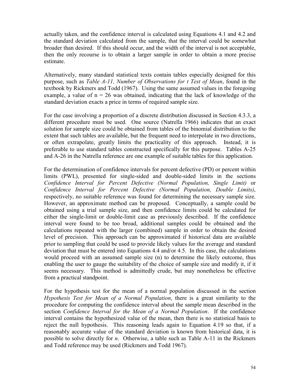actually taken, and the confidence interval is calculated using Equations 4.1 and 4.2 and the standard deviation calculated from the sample, that the interval could be somewhat broader than desired. If this should occur, and the width of the interval is not acceptable, then the only recourse is to obtain a larger sample in order to obtain a more precise estimate.

Alternatively, many standard statistical texts contain tables especially designed for this purpose, such as Table A-11, Number of Observations for t Test of Mean, found in the textbook by Rickmers and Todd (1967). Using the same assumed values in the foregoing example, a value of  $n = 26$  was obtained, indicating that the lack of knowledge of the standard deviation exacts a price in terms of required sample size.

For the case involving a proportion of a discrete distribution discussed in Section 4.3.3, a different procedure must be used. One source (Natrella 1966) indicates that an exact solution for sample size could be obtained from tables of the binomial distribution to the extent that such tables are available, but the frequent need to interpolate in two directions, or often extrapolate, greatly limits the practicality of this approach. Instead, it is preferable to use standard tables constructed specifically for this purpose. Tables A-25 and A-26 in the Natrella reference are one example of suitable tables for this application.

For the determination of confidence intervals for percent defective (PD) or percent within limits (PWL), presented for single-sided and double-sided limits in the sections Confidence Interval for Percent Defective (Normal Population, Single Limit) or Confidence Interval for Percent Defective (Normal Population, Double Limits), respectively, no suitable reference was found for determining the necessary sample size. However, an approximate method can be proposed. Conceptually, a sample could be obtained using a trial sample size, and then confidence limits could be calculated for either the single-limit or double-limit case as previously described. If the confidence interval were found to be too broad, additional samples could be obtained and the calculations repeated with the larger (combined) sample in order to obtain the desired level of precision. This approach can be approximated if historical data are available prior to sampling that could be used to provide likely values for the average and standard deviation that must be entered into Equations 4.4 and/or 4.5. In this case, the calculations would proceed with an assumed sample size (n) to determine the likely outcome, thus enabling the user to gauge the suitability of the choice of sample size and modify it, if it seems necessary. This method is admittedly crude, but may nonetheless be effective from a practical standpoint.

For the hypothesis test for the mean of a normal population discussed in the section Hypothesis Test for Mean of a Normal Population, there is a great similarity to the procedure for computing the confidence interval about the sample mean described in the section Confidence Interval for the Mean of a Normal Population. If the confidence interval contains the hypothesized value of the mean, then there is no statistical basis to reject the null hypothesis. This reasoning leads again to Equation 4.19 so that, if a reasonably accurate value of the standard deviation is known from historical data, it is possible to solve directly for n. Otherwise, a table such as Table A-11 in the Rickmers and Todd reference may be used (Rickmers and Todd 1967).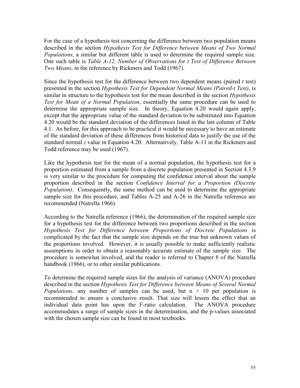For the case of a hypothesis test concerning the difference between two population means described in the section Hypothesis Test for Difference between Means of Two Normal Populations, a similar but different table is used to determine the required sample size. One such table is Table A-12, Number of Observations for t Test of Difference Between Two Means, in the reference by Rickmers and Todd (1967).

Since the hypothesis test for the difference between two dependent means (paired  $t$  test) presented in the section Hypothesis Test for Dependent Normal Means (Paired-t Test), is similar in structure to the hypothesis test for the mean described in the section *Hypothesis* Test for Mean of a Normal Population, essentially the same procedure can be used to determine the appropriate sample size. In theory, Equation 4.20 would again apply, except that the appropriate value of the standard deviation to be substituted into Equation 4.20 would be the standard deviation of the differences listed in the last column of Table 4.1. As before, for this approach to be practical it would be necessary to have an estimate of the standard deviation of these differences from historical data to justify the use of the standard normal z value in Equation 4.20. Alternatively, Table A-11 in the Rickmers and Todd reference may be used (1967).

Like the hypothesis test for the mean of a normal population, the hypothesis test for a proportion estimated from a sample from a discrete population presented in Section 4.3.9 is very similar to the procedure for computing the confidence interval about the sample proportion described in the section Confidence Interval for a Proportion (Discrete *Population*). Consequently, the same method can be used to determine the appropriate sample size for this procedure, and Tables A-25 and A-26 in the Natrella reference are recommended (Natrella 1966).

According to the Natrella reference (1966), the determination of the required sample size for a hypothesis test for the difference between two proportions described in the section Hypothesis Test for Difference between Proportions of Discrete Populations is complicated by the fact that the sample size depends on the true but unknown values of the proportions involved. However, it is usually possible to make sufficiently realistic assumptions in order to obtain a reasonably accurate estimate of the sample size. The procedure is somewhat involved, and the reader is referred to Chapter 8 of the Natrella handbook (1966), or to other similar publications.

To determine the required sample sizes for the analysis of variance (ANOVA) procedure described in the section Hypothesis Test for Difference between Means of Several Normal *Populations*, any number of samples can be used, but  $n > 10$  per population is recommended to ensure a conclusive result. That size will lessen the effect that an individual data point has upon the F-ratio calculation. The ANOVA procedure accommodates a range of sample sizes in the determination, and the p-values associated with the chosen sample size can be found in most textbooks.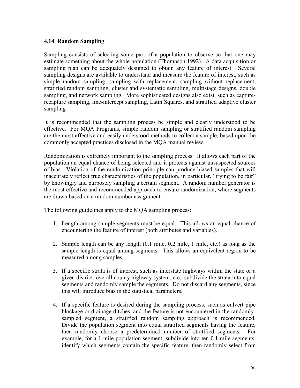# 4.14 Random Sampling

Sampling consists of selecting some part of a population to observe so that one may estimate something about the whole population (Thompson 1992). A data acquisition or sampling plan can be adequately designed to obtain any feature of interest. Several sampling designs are available to understand and measure the feature of interest, such as simple random sampling, sampling with replacement, sampling without replacement, stratified random sampling, cluster and systematic sampling, multistage designs, double sampling, and network sampling. More sophisticated designs also exist, such as capturerecapture sampling, line-intercept sampling, Latin Squares, and stratified adaptive cluster sampling

It is recommended that the sampling process be simple and clearly understood to be effective. For MQA Programs, simple random sampling or stratified random sampling are the most effective and easily understood methods to collect a sample, based upon the commonly accepted practices disclosed in the MQA manual review.

Randomization is extremely important to the sampling process. It allows each part of the population an equal chance of being selected and it protects against unsuspected sources of bias. Violation of the randomization principle can produce biased samples that will inaccurately reflect true characteristics of the population, in particular, "trying to be fair" by knowingly and purposely sampling a certain segment. A random number generator is the most effective and recommended approach to ensure randomization, where segments are drawn based on a random number assignment.

The following guidelines apply to the MQA sampling process:

- 1. Length among sample segments must be equal. This allows an equal chance of encountering the feature of interest (both attributes and variables).
- 2. Sample length can be any length (0.1 mile, 0.2 mile, 1 mile, etc.) as long as the sample length is equal among segments. This allows an equivalent region to be measured among samples.
- 3. If a specific strata is of interest, such as interstate highways within the state or a given district, overall county highway system, etc., subdivide the strata into equal segments and randomly sample the segments. Do not discard any segments, since this will introduce bias in the statistical parameters.
- 4. If a specific feature is desired during the sampling process, such as culvert pipe blockage or drainage ditches, and the feature is not encountered in the randomlysampled segment, a stratified random sampling approach is recommended. Divide the population segment into equal stratified segments having the feature, then randomly choose a predetermined number of stratified segments. For example, for a 1-mile population segment, subdivide into ten 0.1-mile segments, identify which segments contain the specific feature, then randomly select from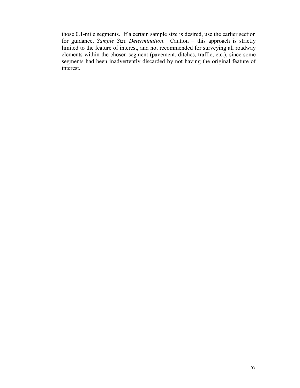those 0.1-mile segments. If a certain sample size is desired, use the earlier section for guidance, Sample Size Determination. Caution – this approach is strictly limited to the feature of interest, and not recommended for surveying all roadway elements within the chosen segment (pavement, ditches, traffic, etc.), since some segments had been inadvertently discarded by not having the original feature of interest.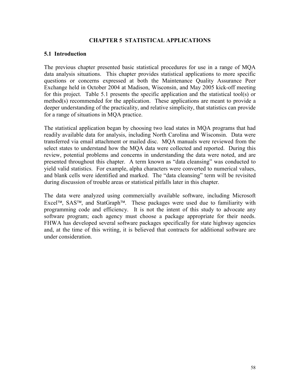## CHAPTER 5 STATISTICAL APPLICATIONS

#### 5.1 Introduction

The previous chapter presented basic statistical procedures for use in a range of MQA data analysis situations. This chapter provides statistical applications to more specific questions or concerns expressed at both the Maintenance Quality Assurance Peer Exchange held in October 2004 at Madison, Wisconsin, and May 2005 kick-off meeting for this project. Table 5.1 presents the specific application and the statistical tool(s) or method(s) recommended for the application. These applications are meant to provide a deeper understanding of the practicality, and relative simplicity, that statistics can provide for a range of situations in MQA practice.

The statistical application began by choosing two lead states in MQA programs that had readily available data for analysis, including North Carolina and Wisconsin. Data were transferred via email attachment or mailed disc. MQA manuals were reviewed from the select states to understand how the MQA data were collected and reported. During this review, potential problems and concerns in understanding the data were noted, and are presented throughout this chapter. A term known as "data cleansing" was conducted to yield valid statistics. For example, alpha characters were converted to numerical values, and blank cells were identified and marked. The "data cleansing" term will be revisited during discussion of trouble areas or statistical pitfalls later in this chapter.

The data were analyzed using commercially available software, including Microsoft Excel<sup>TM</sup>, SAS<sup>TM</sup>, and StatGraph<sup>TM</sup>. These packages were used due to familiarity with programming code and efficiency. It is not the intent of this study to advocate any software program; each agency must choose a package appropriate for their needs. FHWA has developed several software packages specifically for state highway agencies and, at the time of this writing, it is believed that contracts for additional software are under consideration.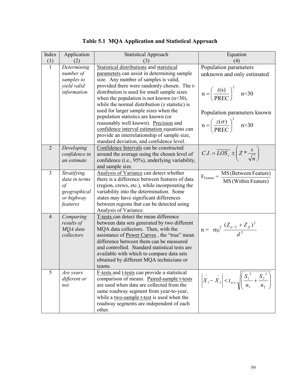| Index          | Application   | <b>Statistical Approach</b>                                                                      | Equation                                                                                                            |
|----------------|---------------|--------------------------------------------------------------------------------------------------|---------------------------------------------------------------------------------------------------------------------|
| (1)            | (2)           | $\left(3\right)$                                                                                 | (4)                                                                                                                 |
| $\mathbf{1}$   | Determining   | <b>Statistical distributions and statistical</b>                                                 | Population parameters                                                                                               |
|                | number of     | parameters can assist in determining sample                                                      | unknown and only estimated                                                                                          |
|                | samples to    | size. Any number of samples is valid,                                                            |                                                                                                                     |
|                | yield valid   | provided there were randomly chosen. The t-                                                      |                                                                                                                     |
|                | information   | distribution is used for small sample sizes                                                      | $n = \left(\frac{t(s)}{PREC}\right)^2$ n<30                                                                         |
|                |               | when the population is not known $(n<30)$ ,                                                      |                                                                                                                     |
|                |               | while the normal distribution (z statistic) is                                                   |                                                                                                                     |
|                |               | used for larger sample sizes when the                                                            | Population parameters known                                                                                         |
|                |               | population statistics are known (or                                                              |                                                                                                                     |
|                |               | reasonably well known). Precision and                                                            | $n = \left(\frac{z(\sigma)}{PREC}\right)^2$ n>30                                                                    |
|                |               | confidence interval estimation equations can                                                     |                                                                                                                     |
|                |               | provide an interrelationship of sample size,<br>standard deviation, and confidence level.        |                                                                                                                     |
| $\overline{2}$ | Developing    | Confidence Intervals can be constructed                                                          |                                                                                                                     |
|                | confidence in | around the average using the chosen level of                                                     | $C.I. = \overline{LOS_s} \pm \left( Z * \frac{s}{\sqrt{n}} \right)$                                                 |
|                | an estimate   | confidence (i.e., 95%), underlying variability,                                                  |                                                                                                                     |
|                |               | and sample size.                                                                                 |                                                                                                                     |
| 3              | Stratifying   | Analysis of Variance can detect whether                                                          |                                                                                                                     |
|                | data in terms | there is a difference between features of data                                                   | $F_{\text{Feature}} = \frac{\text{MS (Between Feature)}}{\text{MS (Within Feature)}}$                               |
|                | $\sigma f$    | (region, crews, etc.), while incorporating the                                                   |                                                                                                                     |
|                | geographical  | variability into the determination. Some                                                         |                                                                                                                     |
|                | or highway    | states may have significant differences                                                          |                                                                                                                     |
|                | features      | between regions that can be detected using                                                       |                                                                                                                     |
|                |               | Analysis of Variance.                                                                            |                                                                                                                     |
| $\overline{4}$ | Comparing     | T-tests can detect the mean difference                                                           |                                                                                                                     |
|                | results of    | between data sets generated by two different                                                     |                                                                                                                     |
|                | MQA data      | MQA data collectors. Then, with the                                                              | $n = \sigma_D^2 \frac{(Z_{\alpha/2} + Z_{\beta})^2}{d^2}$                                                           |
|                | collectors    | assistance of Power Curves, the "true" mean                                                      |                                                                                                                     |
|                |               | difference between them can be measured                                                          |                                                                                                                     |
|                |               | and controlled. Standard statistical tests are                                                   |                                                                                                                     |
|                |               | available with which to compare data sets                                                        |                                                                                                                     |
|                |               | obtained by different MQA technicians or                                                         |                                                                                                                     |
|                |               | teams.                                                                                           |                                                                                                                     |
| 5              | Are years     | <b>F-tests and t-tests can provide a statistical</b>                                             |                                                                                                                     |
|                | different or  | comparison of means. Paired-sample t-tests                                                       | $\left  \bar{X}_1 - \bar{X}_2 \right  < t_{\alpha,\nu} \sqrt{\left( \frac{S_1^2}{n_1} + \frac{S_2^2}{n_2} \right)}$ |
|                | not           | are used when data are collected from the<br>same roadway segment from year-to-year,             |                                                                                                                     |
|                |               |                                                                                                  |                                                                                                                     |
|                |               |                                                                                                  |                                                                                                                     |
|                |               |                                                                                                  |                                                                                                                     |
|                |               | while a two-sample t-test is used when the<br>roadway segments are independent of each<br>other. |                                                                                                                     |

|  |  | Table 5.1 MQA Application and Statistical Approach |
|--|--|----------------------------------------------------|
|--|--|----------------------------------------------------|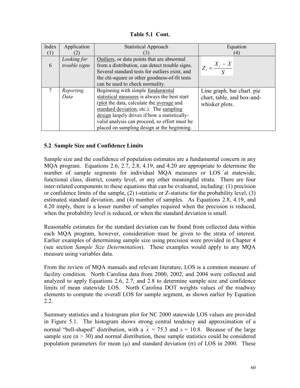Table 5.1 Cont.

| Index | Application                  | <b>Statistical Approach</b>                                                                  | Equation                        |
|-------|------------------------------|----------------------------------------------------------------------------------------------|---------------------------------|
| (1)   |                              |                                                                                              | (4)                             |
| 6     | Looking for<br>trouble signs | Outliers, or data points that are abnormal<br>from a distribution, can detect trouble signs. | $Z_i = \frac{X_i - \bar{X}}{S}$ |
|       |                              | Several standard tests for outliers exist, and                                               |                                 |
|       |                              | the chi-square or other goodness-of-fit tests                                                |                                 |
|       |                              | can be used to check normality.                                                              |                                 |
|       | Reporting                    | Beginning with simple fundamental                                                            | Line graph, bar chart. pie      |
|       | Data                         | statistical measures is always the best start                                                | chart, table, and box-and-      |
|       |                              | (plot the data, calculate the <u>average</u> and                                             | whisker plots.                  |
|       |                              | standard deviation, etc.). The sampling                                                      |                                 |
|       |                              | design largely drives if/how a statistically-                                                |                                 |
|       |                              | valid analysis can proceed, so effort must be                                                |                                 |
|       |                              | placed on sampling design at the beginning.                                                  |                                 |

## 5.2 Sample Size and Confidence Limits

Sample size and the confidence of population estimates are a fundamental concern in any MQA program. Equations 2.6, 2.7, 2.8, 4.19, and 4.20 are appropriate to determine the number of sample segments for individual MQA measures or LOS at statewide, functional class, district, county level, or any other meaningful strata. There are four inter-related components to these equations that can be evaluated, including: (1) precision or confidence limits of the sample, (2) t-statistic or Z-statistic for the probability level, (3) estimated standard deviation, and (4) number of samples. As Equations 2.8, 4.19, and 4.20 imply, there is a lesser number of samples required when the precision is reduced, when the probability level is reduced, or when the standard deviation is small.

Reasonable estimates for the standard deviation can be found from collected data within each MQA program, however, consideration must be given to the strata of interest. Earlier examples of determining sample size using precision were provided in Chapter 4 (see section Sample Size Determination). These examples would apply to any MQA measure using variables data.

From the review of MQA manuals and relevant literature, LOS is a common measure of facility condition. North Carolina data from 2000, 2002, and 2004 were collected and analyzed to apply Equations 2.6, 2.7, and 2.8 to determine sample size and confidence limits of mean statewide LOS. North Carolina DOT weights values of the roadway elements to compute the overall LOS for sample segment, as shown earlier by Equation 2.2.

Summary statistics and a histogram plot for NC 2000 statewide LOS values are provided in Figure 5.1. The histogram shows strong central tendency and approximation of a normal "bell-shaped" distribution, with a  $\bar{x}$  = 75.3 and s = 10.8. Because of the large sample size  $(n > 30)$  and normal distribution, these sample statistics could be considered population parameters for mean  $(u)$  and standard deviation  $(\sigma)$  of LOS in 2000. These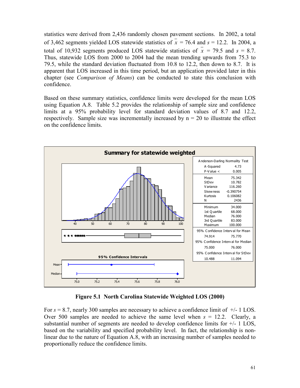statistics were derived from 2,436 randomly chosen pavement sections. In 2002, a total of 3,462 segments yielded LOS statewide statistics of  $\bar{x}$  = 76.4 and s = 12.2. In 2004, a total of 10,932 segments produced LOS statewide statistics of  $\bar{x}$  = 79.5 and  $s = 8.7$ . Thus, statewide LOS from 2000 to 2004 had the mean trending upwards from 75.3 to 79.5, while the standard deviation fluctuated from 10.8 to 12.2, then down to 8.7. It is apparent that LOS increased in this time period, but an application provided later in this chapter (see *Comparison of Means*) can be conducted to state this conclusion with confidence.

Based on these summary statistics, confidence limits were developed for the mean LOS using Equation A.8. Table 5.2 provides the relationship of sample size and confidence limits at a 95% probability level for standard deviation values of 8.7 and 12.2, respectively. Sample size was incrementally increased by  $n = 20$  to illustrate the effect on the confidence limits.



Figure 5.1 North Carolina Statewide Weighted LOS (2000)

For  $s = 8.7$ , nearly 300 samples are necessary to achieve a confidence limit of  $+/- 1$  LOS. Over 500 samples are needed to achieve the same level when  $s = 12.2$ . Clearly, a substantial number of segments are needed to develop confidence limits for  $+/- 1$  LOS, based on the variability and specified probability level. In fact, the relationship is nonlinear due to the nature of Equation A.8, with an increasing number of samples needed to proportionally reduce the confidence limits.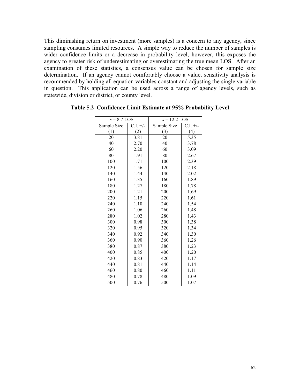This diminishing return on investment (more samples) is a concern to any agency, since sampling consumes limited resources. A simple way to reduce the number of samples is wider confidence limits or a decrease in probability level, however, this exposes the agency to greater risk of underestimating or overestimating the true mean LOS. After an examination of these statistics, a consensus value can be chosen for sample size determination. If an agency cannot comfortably choose a value, sensitivity analysis is recommended by holding all equation variables constant and adjusting the single variable in question. This application can be used across a range of agency levels, such as statewide, division or district, or county level.

| $s = 8.7$ LOS |            | $s = 12.2$ LOS |            |  |
|---------------|------------|----------------|------------|--|
| Sample Size   | $C.I. +/-$ | Sample Size    | $C.I. +/-$ |  |
| (1)           | (2)        | (3)            | (4)        |  |
| 20            | 3.81       | 20             | 5.35       |  |
| 40            | 2.70       | 40             | 3.78       |  |
| 60            | 2.20       | 60             | 3.09       |  |
| 80            | 1.91       | 80             | 2.67       |  |
| 100           | 1.71       | 100            | 2.39       |  |
| 120           | 1.56       | 120            | 2.18       |  |
| 140           | 1.44       | 140            | 2.02       |  |
| 160           | 1.35       | 160            | 1.89       |  |
| 180           | 1.27       | 180            | 1.78       |  |
| 200           | 1.21       | 200            | 1.69       |  |
| 220           | 1.15       | 220            | 1.61       |  |
| 240           | 1.10       | 240            | 1.54       |  |
| 260           | 1.06       | 260            | 1.48       |  |
| 280           | 1.02       | 280            | 1.43       |  |
| 300           | 0.98       | 300            | 1.38       |  |
| 320           | 0.95       | 320            | 1.34       |  |
| 340           | 0.92       | 340            | 1.30       |  |
| 360           | 0.90       | 360            | 1.26       |  |
| 380           | 0.87       | 380            | 1.23       |  |
| 400           | 0.85       | 400            | 1.20       |  |
| 420           | 0.83       | 420            | 1.17       |  |
| 440           | 0.81       | 440            | 1.14       |  |
| 460           | 0.80       | 460            | 1.11       |  |
| 480           | 0.78       | 480            | 1.09       |  |
| 500           | 0.76       | 500            | 1.07       |  |

Table 5.2 Confidence Limit Estimate at 95% Probability Level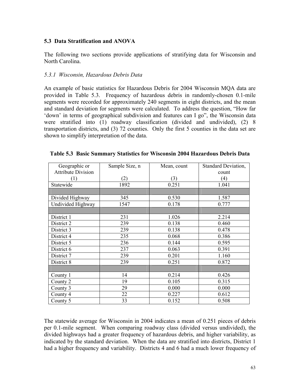## 5.3 Data Stratification and ANOVA

The following two sections provide applications of stratifying data for Wisconsin and North Carolina.

### 5.3.1 Wisconsin, Hazardous Debris Data

An example of basic statistics for Hazardous Debris for 2004 Wisconsin MQA data are provided in Table 5.3. Frequency of hazardous debris in randomly-chosen 0.1-mile segments were recorded for approximately 240 segments in eight districts, and the mean and standard deviation for segments were calculated. To address the question, "How far 'down' in terms of geographical subdivision and features can I go", the Wisconsin data were stratified into (1) roadway classification (divided and undivided), (2) 8 transportation districts, and (3) 72 counties. Only the first 5 counties in the data set are shown to simplify interpretation of the data.

| Geographic or             | Sample Size, n | Mean, count | Standard Deviation, |
|---------------------------|----------------|-------------|---------------------|
| <b>Attribute Division</b> |                |             | count               |
| (1)                       | (2)            | (3)         | $\left( 4\right)$   |
| Statewide                 | 1892           | 0.251       | 1.041               |
|                           |                |             |                     |
| Divided Highway           | 345            | 0.530       | 1.587               |
| Undivided Highway         | 1547           | 0.178       | 0.777               |
|                           |                |             |                     |
| District 1                | 231            | 1.026       | 2.214               |
| District 2                | 239            | 0.138       | 0.460               |
| District 3                | 239            | 0.138       | 0.478               |
| District 4                | 235            | 0.068       | 0.386               |
| District 5                | 236            | 0.144       | 0.595               |
| District 6                | 237            | 0.063       | 0.391               |
| District 7                | 239            | 0.201       | 1.160               |
| District 8                | 239            | 0.251       | 0.872               |
|                           |                |             |                     |
| County 1                  | 14             | 0.214       | 0.426               |
| County 2                  | 19             | 0.105       | 0.315               |
| County 3                  | 29             | 0.000       | 0.000               |
| County 4                  | 22             | 0.227       | 0.612               |
| County 5                  | 33             | 0.152       | 0.508               |

The statewide average for Wisconsin in 2004 indicates a mean of 0.251 pieces of debris per 0.1-mile segment. When comparing roadway class (divided versus undivided), the divided highways had a greater frequency of hazardous debris, and higher variability, as indicated by the standard deviation. When the data are stratified into districts, District 1 had a higher frequency and variability. Districts 4 and 6 had a much lower frequency of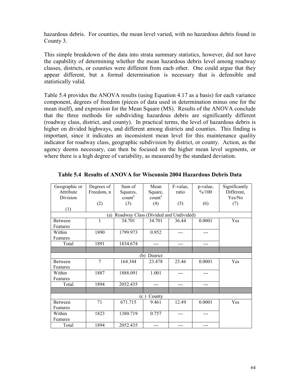hazardous debris. For counties, the mean level varied, with no hazardous debris found in County 3.

This simple breakdown of the data into strata summary statistics, however, did not have the capability of determining whether the mean hazardous debris level among roadway classes, districts, or counties were different from each other. One could argue that they appear different, but a formal determination is necessary that is defensible and statistically valid.

Table 5.4 provides the ANOVA results (using Equation 4.17 as a basis) for each variance component, degrees of freedom (pieces of data used in determination minus one for the mean itself), and expression for the Mean Square (MS). Results of the ANOVA conclude that the three methods for subdividing hazardous debris are significantly different (roadway class, district, and county). In practical terms, the level of hazardous debris is higher on divided highways, and different among districts and counties. This finding is important, since it indicates an inconsistent mean level for this maintenance quality indicator for roadway class, geographic subdivision by district, or county. Action, as the agency deems necessary, can then be focused on the higher mean level segments, or where there is a high degree of variability, as measured by the standard deviation.

| Geographic or  | Degrees of     | Sum of                                | Mean               | F-value, | p-value,           | Significantly |  |  |
|----------------|----------------|---------------------------------------|--------------------|----------|--------------------|---------------|--|--|
| Attribute      | Freedom, n     | Squares,                              | Square,            | ratio    | $\frac{9}{6}$ /100 | Different,    |  |  |
| Division       |                | count <sup>2</sup>                    | count <sup>2</sup> |          |                    | Yes/No        |  |  |
|                | (2)            | (3)                                   | (4)                | (5)      | (6)                | (7)           |  |  |
| (1)            |                |                                       |                    |          |                    |               |  |  |
|                | (a)            | Roadway Class (Divided and Undivided) |                    |          |                    |               |  |  |
| <b>Between</b> | 1              | 34.701                                | 34.701             | 36.44    | 0.0001             | Yes           |  |  |
| Features       |                |                                       |                    |          |                    |               |  |  |
| Within         | 1890           | 1799.973                              | 0.952              | ---      |                    |               |  |  |
| Features       |                |                                       |                    |          |                    |               |  |  |
| Total          | 1891           | 1834.674                              | $---$              | $---$    | ---                |               |  |  |
|                |                |                                       |                    |          |                    |               |  |  |
|                |                | (b)                                   | District           |          |                    |               |  |  |
| Between        | $\overline{7}$ | 164.344                               | 23.478             | 23.46    | 0.0001             | Yes           |  |  |
| Features       |                |                                       |                    |          |                    |               |  |  |
| Within         | 1887           | 1888.091                              | 1.001              | ---      | ---                |               |  |  |
| Features       |                |                                       |                    |          |                    |               |  |  |
| Total          | 1894           | 2052.435                              | ---                | $---$    | ---                |               |  |  |
|                |                |                                       |                    |          |                    |               |  |  |
| County<br>(c)  |                |                                       |                    |          |                    |               |  |  |
| <b>Between</b> | 71             | 671.715                               | 9.461              | 12.49    | 0.0001             | Yes           |  |  |
| Features       |                |                                       |                    |          |                    |               |  |  |
| Within         | 1823           | 1380.719                              | 0.757              | ---      |                    |               |  |  |
| Features       |                |                                       |                    |          |                    |               |  |  |
| Total          | 1894           | 2052.435                              | $---$              | $- - -$  | ---                |               |  |  |

Table 5.4 Results of ANOVA for Wisconsin 2004 Hazardous Debris Data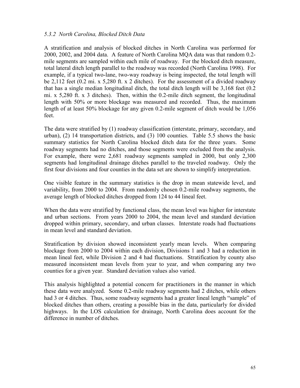## 5.3.2 North Carolina, Blocked Ditch Data

A stratification and analysis of blocked ditches in North Carolina was performed for 2000, 2002, and 2004 data. A feature of North Carolina MQA data was that random 0.2 mile segments are sampled within each mile of roadway. For the blocked ditch measure, total lateral ditch length parallel to the roadway was recorded (North Carolina 1998). For example, if a typical two-lane, two-way roadway is being inspected, the total length will be 2,112 feet (0.2 mi. x 5,280 ft. x 2 ditches). For the assessment of a divided roadway that has a single median longitudinal ditch, the total ditch length will be 3,168 feet (0.2 mi. x 5,280 ft. x 3 ditches). Then, within the 0.2-mile ditch segment, the longitudinal length with 50% or more blockage was measured and recorded. Thus, the maximum length of at least 50% blockage for any given 0.2-mile segment of ditch would be 1,056 feet.

The data were stratified by (1) roadway classification (interstate, primary, secondary, and urban), (2) 14 transportation districts, and (3) 100 counties. Table 5.5 shows the basic summary statistics for North Carolina blocked ditch data for the three years. Some roadway segments had no ditches, and those segments were excluded from the analysis. For example, there were 2,681 roadway segments sampled in 2000, but only 2,300 segments had longitudinal drainage ditches parallel to the traveled roadway. Only the first four divisions and four counties in the data set are shown to simplify interpretation.

One visible feature in the summary statistics is the drop in mean statewide level, and variability, from 2000 to 2004. From randomly chosen 0.2-mile roadway segments, the average length of blocked ditches dropped from 124 to 44 lineal feet.

When the data were stratified by functional class, the mean level was higher for interstate and urban sections. From years 2000 to 2004, the mean level and standard deviation dropped within primary, secondary, and urban classes. Interstate roads had fluctuations in mean level and standard deviation.

Stratification by division showed inconsistent yearly mean levels. When comparing blockage from 2000 to 2004 within each division, Divisions 1 and 3 had a reduction in mean lineal feet, while Division 2 and 4 had fluctuations. Stratification by county also measured inconsistent mean levels from year to year, and when comparing any two counties for a given year. Standard deviation values also varied.

This analysis highlighted a potential concern for practitioners in the manner in which these data were analyzed. Some 0.2-mile roadway segments had 2 ditches, while others had 3 or 4 ditches. Thus, some roadway segments had a greater lineal length "sample" of blocked ditches than others, creating a possible bias in the data, particularly for divided highways. In the LOS calculation for drainage, North Carolina does account for the difference in number of ditches.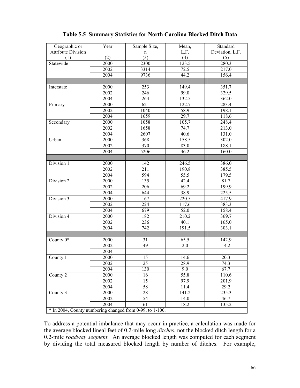| Geographic or                                            | Year | Sample Size,   | Mean,          | Standard        |
|----------------------------------------------------------|------|----------------|----------------|-----------------|
| <b>Attribute Division</b>                                |      | $\mathbf n$    | L.F.           | Deviation, L.F. |
| (1)                                                      | (2)  | (3)            | (4)            | (5)             |
| Statewide                                                | 2000 | 2300           | 123.5          | 280.3           |
|                                                          | 2002 | 3314           | 72.5           | 217.0           |
|                                                          | 2004 | 9736           | 44.2           | 156.4           |
|                                                          |      |                |                |                 |
| Interstate                                               | 2000 | 253            | 149.4          | 351.7           |
|                                                          | 2002 | 246            | 99.0           | 329.5           |
|                                                          | 2004 | 264            | 132.5          | 362.0           |
| Primary                                                  | 2000 | 621            | 122.7          | 283.4           |
|                                                          | 2002 | 1040           | 58.9           | 198.1           |
|                                                          | 2004 | 1659           | 29.7           | 118.6           |
| Secondary                                                | 2000 | 1058           | 105.7          | 248.4           |
|                                                          | 2002 | 1658           | 74.7           | 213.0           |
|                                                          | 2004 | 2607           | 40.6           | 131.0           |
| Urban                                                    | 2000 | 368            | 158.5          | 302.0           |
|                                                          | 2002 | 370            | 83.0           | 188.1           |
|                                                          | 2004 | 5206           | 46.2           | 160.0           |
|                                                          |      |                |                |                 |
| Division 1                                               | 2000 | 142            | 246.5          | 386.0           |
|                                                          | 2002 | 211            | 190.8          | 385.5           |
|                                                          | 2004 | 594            | 55.5           | 179.5           |
| Division 2                                               | 2000 | 135            | 42.4           | 81.7            |
|                                                          | 2002 | 206            | 69.2           | 199.9           |
|                                                          | 2004 | 644            | 38.9           | 225.5           |
| Division 3                                               | 2000 | 167            | 220.5          | 417.9           |
|                                                          | 2002 | 224            | 117.6          | 383.3           |
|                                                          | 2004 | 679            | 52.0           | 158.4           |
| Division 4                                               | 2000 | 182            | 210.2          | 369.7           |
|                                                          | 2002 | 236            | 40.1           | 165.0           |
|                                                          | 2004 | 742            | 191.5          | 303.1           |
|                                                          |      |                |                |                 |
| County $\overline{0^*}$                                  | 2000 | 31             | 65.5           | 142.9           |
|                                                          | 2002 | 49             | 2.0            | 14.2            |
|                                                          | 2004 | $\overline{a}$ | $\overline{a}$ | $\overline{a}$  |
| County 1                                                 | 2000 | 15             | 14.6           | 20.3            |
|                                                          | 2002 | 25             | 28.9           | 74.3            |
|                                                          | 2004 | 130            | 9.0            | 67.7            |
| County 2                                                 | 2000 | 16             | 55.8           | 110.6           |
|                                                          | 2002 | 15             | 97.9           | 201.9           |
|                                                          | 2004 | 58             | 11.4           | 29.2            |
| County 3                                                 | 2000 | 28             | 141.2          | 235.3           |
|                                                          | 2002 | 54             | 14.0           | 46.7            |
|                                                          | 2004 | 61             | 18.2           | 135.2           |
| * In 2004, County numbering changed from 0-99, to 1-100. |      |                |                |                 |

# Table 5.5 Summary Statistics for North Carolina Blocked Ditch Data

To address a potential imbalance that may occur in practice, a calculation was made for the average blocked lineal feet of 0.2-mile long ditches, not the blocked ditch length for a 0.2-mile roadway segment. An average blocked length was computed for each segment by dividing the total measured blocked length by number of ditches. For example,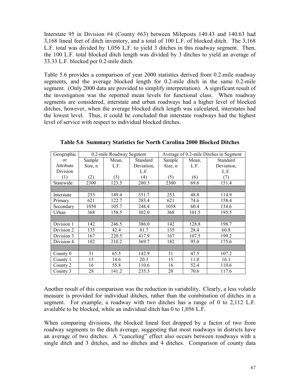Interstate 95 in Division #4 (County #63) between Mileposts 140.43 and 140.63 had 3,168 lineal feet of ditch inventory, and a total of 100 L.F. of blocked ditch. The 3,168 L.F. total was divided by 1,056 L.F. to yield 3 ditches in this roadway segment. Then, the 100 L.F. total blocked ditch length was divided by 3 ditches to yield an average of 33.33 L.F. blocked per 0.2-mile ditch.

Table 5.6 provides a comparison of year 2000 statistics derived from 0.2-mile roadway segments, and the average blocked length for 0.2-mile ditch in the same 0.2-mile segment. (Only 2000 data are provided to simplify interpretation). A significant result of the investigation was the reported mean levels for functional class. When roadway segments are considered, interstate and urban roadways had a higher level of blocked ditches, however, when the average blocked ditch length was calculated, interstates had the lowest level. Thus, it could be concluded that interstate roadways had the highest level of service with respect to individual blocked ditches.

| Geographic    |         | 0.2-mile Roadway Segment |            | Average of 0.2-mile Ditches in Segment |       |            |
|---------------|---------|--------------------------|------------|----------------------------------------|-------|------------|
| <sub>or</sub> | Sample  | Mean,                    | Standard   | Sample                                 | Mean, | Standard   |
| Attribute     | Size, n | L.F.                     | Deviation, | Size, n                                | L.F.  | Deviation, |
| Division      |         |                          | L.F.       |                                        |       | L.F.       |
| (1)           | (2)     | (3)                      | (4)        | (5)                                    | (6)   | (7)        |
| Statewide     | 2300    | 123.5                    | 280.3      | 2300                                   | 69.6  | 151.4      |
|               |         |                          |            |                                        |       |            |
| Interstate    | 253     | 149.4                    | 351.7      | 253                                    | 48.8  | 114.9      |
| Primary       | 621     | 122.7                    | 283.4      | 621                                    | 74.6  | 158.4      |
| Secondary     | 1058    | 105.7                    | 248.4      | 1058                                   | 60.4  | 134.6      |
| Urban         | 368     | 158.5                    | 302.0      | 368                                    | 101.5 | 195.5      |
|               |         |                          |            |                                        |       |            |
| Division 1    | 142     | 246.5                    | 386.0      | 142                                    | 128.8 | 198.7      |
| Division 2    | 135     | 42.4                     | 81.7       | 135                                    | 28.4  | 60.8       |
| Division 3    | 167     | 220.5                    | 417.9      | 167                                    | 107.5 | 199.2      |
| Division 4    | 182     | 210.2                    | 369.7      | 182                                    | 95.0  | 175.6      |
|               |         |                          |            |                                        |       |            |
| County 0      | 31      | 65.5                     | 142.9      | 31                                     | 47.5  | 107.2      |
| County 1      | 15      | 14.6                     | 20.3       | 15                                     | 11.0  | 16.1       |
| County 2      | 16      | 55.8                     | 110.6      | 16                                     | 52.4  | 110.6      |
| County 3      | 28      | 141.2                    | 235.3      | 28                                     | 70.6  | 117.6      |

Table 5.6 Summary Statistics for North Carolina 2000 Blocked Ditches

Another result of this comparison was the reduction in variability. Clearly, a less volatile measure is provided for individual ditches, rather than the combination of ditches in a segment. For example, a roadway with two ditches has a range of 0 to 2,112 L.F. available to be blocked, while an individual ditch has 0 to 1,056 L.F.

When comparing divisions, the blocked lineal feet dropped by a factor of two from roadway segments to the ditch average, suggesting that most roadways in districts have an average of two ditches. A "canceling" effect also occurs between roadways with a single ditch and 3 ditches, and no ditches and 4 ditches. Comparison of county data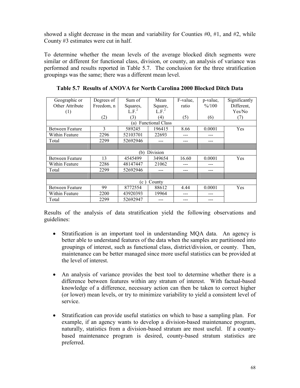showed a slight decrease in the mean and variability for Counties  $#0, #1$ , and  $#2$ , while County #3 estimates were cut in half.

To determine whether the mean levels of the average blocked ditch segments were similar or different for functional class, division, or county, an analysis of variance was performed and results reported in Table 5.7. The conclusion for the three stratification groupings was the same; there was a different mean level.

| Geographic or          | Degrees of | Sum of            | Mean                    | F-value. | p-value,        | Significantly |  |  |
|------------------------|------------|-------------------|-------------------------|----------|-----------------|---------------|--|--|
| Other Attribute        | Freedom, n | Squares,          | Square,                 | ratio    | $\frac{6}{100}$ | Different,    |  |  |
| (1)                    |            | L.F. <sup>2</sup> | L.F. <sup>2</sup>       |          |                 | Yes/No        |  |  |
|                        | (2)        | (3)               | (4)                     | (5)      | (6)             | (7)           |  |  |
|                        |            | (a)               | <b>Functional Class</b> |          |                 |               |  |  |
| <b>Between Feature</b> | 3          | 589245            | 196415                  | 8.66     | 0.0001          | Yes           |  |  |
| Within Feature         | 2296       | 52103701          | 22693                   | ---      |                 |               |  |  |
| Total                  | 2299       | 52692946          |                         |          |                 |               |  |  |
|                        |            |                   |                         |          |                 |               |  |  |
|                        |            | (b)               | <b>Division</b>         |          |                 |               |  |  |
| <b>Between Feature</b> | 13         | 4545499           | 349654                  | 16.60    | 0.0001          | Yes           |  |  |
| Within Feature         | 2286       | 48147447          | 21062                   |          |                 |               |  |  |
| Total                  | 2299       | 52692946          |                         |          |                 |               |  |  |
|                        |            |                   |                         |          |                 |               |  |  |
| County<br>(c)          |            |                   |                         |          |                 |               |  |  |
| <b>Between Feature</b> | 99         | 8772554           | 88612                   | 4.44     | 0.0001          | Yes           |  |  |
| Within Feature         | 2200       | 43920393          | 19964                   | ---      | ---             |               |  |  |
| Total                  | 2299       | 52692947          |                         |          | ---             |               |  |  |

Table 5.7 Results of ANOVA for North Carolina 2000 Blocked Ditch Data

Results of the analysis of data stratification yield the following observations and guidelines:

- Stratification is an important tool in understanding MQA data. An agency is better able to understand features of the data when the samples are partitioned into groupings of interest, such as functional class, district/division, or county. Then, maintenance can be better managed since more useful statistics can be provided at the level of interest.
- An analysis of variance provides the best tool to determine whether there is a difference between features within any stratum of interest. With factual-based knowledge of a difference, necessary action can then be taken to correct higher (or lower) mean levels, or try to minimize variability to yield a consistent level of service.
- Stratification can provide useful statistics on which to base a sampling plan. For example, if an agency wants to develop a division-based maintenance program, naturally, statistics from a division-based stratum are most useful. If a countybased maintenance program is desired, county-based stratum statistics are preferred.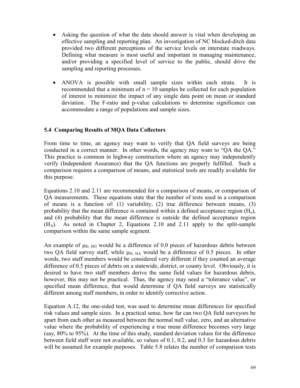- Asking the question of what the data should answer is vital when developing an effective sampling and reporting plan. An investigation of NC blocked-ditch data provided two different perceptions of the service levels on interstate roadways. Defining what measure is most useful and important in managing maintenance, and/or providing a specified level of service to the public, should drive the sampling and reporting processes.
- ANOVA is possible with small sample sizes within each strata. It is recommended that a minimum of  $n = 10$  samples be collected for each population of interest to minimize the impact of any single data point on mean or standard deviation. The F-ratio and p-value calculations to determine significance can accommodate a range of populations and sample sizes.

# 5.4 Comparing Results of MQA Data Collectors

From time to time, an agency may want to verify that QA field surveys are being conducted in a correct manner. In other words, the agency may want to "QA the QA." This practice is common in highway construction where an agency may independently verify (Independent Assurance) that the QA functions are properly fulfilled. Such a comparison requires a comparison of means, and statistical tools are readily available for this purpose.

Equations 2.10 and 2.11 are recommended for a comparison of means, or comparison of QA measurements. These equations state that the number of tests used in a comparison of means is a function of: (1) variability, (2) true difference between means, (3) probability that the mean difference is contained within a defined acceptance region  $(H_0)$ , and (4) probability that the mean difference is outside the defined acceptance region (HA). As noted in Chapter 2, Equations 2.10 and 2.11 apply to the split-sample comparison within the same sample segment.

An example of  $\mu_{D, HO}$  would be a difference of 0.0 pieces of hazardous debris between two QA field survey staff, while  $\mu_{D, HA}$  would be a difference of 0.5 pieces. In other words, two staff members would be considered very different if they counted an average difference of 0.5 pieces of debris on a statewide, district, or county level. Obviously, it is desired to have two staff members derive the same field values for hazardous debris, however, this may not be practical. Thus, the agency may need a "tolerance value", or specified mean difference, that would determine if QA field surveys are statistically different among staff members, in order to identify corrective action.

Equation A.12, the one-sided test, was used to determine mean differences for specified risk values and sample sizes. In a practical sense, how far can two QA field surveyors be apart from each other as measured between the normal null value, zero, and an alternative value where the probability of experiencing a true mean difference becomes very large (say, 80% to 95%). At the time of this study, standard deviation values for the difference between field staff were not available, so values of 0.1, 0.2, and 0.3 for hazardous debris will be assumed for example purposes. Table 5.8 relates the number of comparison tests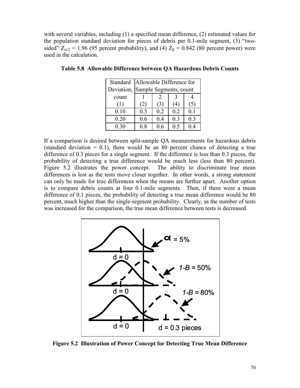with several variables, including (1) a specified mean difference, (2) estimated values for the population standard deviation for pieces of debris per 0.1-mile segment, (3) "twosided"  $Z_{\alpha/2}$  = 1.96 (95 percent probability), and (4)  $Z_{\beta}$  = 0.842 (80 percent power) were used in the calculation.

| Standard   | Allowable Difference for |     |     |     |  |  |  |  |
|------------|--------------------------|-----|-----|-----|--|--|--|--|
| Deviation, | Sample Segments, count   |     |     |     |  |  |  |  |
| count      |                          |     |     |     |  |  |  |  |
| (1)        | (2)                      | (3) | 4   | (5) |  |  |  |  |
| 0.10       | 0.3                      | 0.2 | 0.2 | 0.1 |  |  |  |  |
| 0.20       | 0.6                      | 0.4 | 0.3 | 0.3 |  |  |  |  |
| 0.30       | 0.8                      | ი 6 | 0.5 |     |  |  |  |  |

Table 5.8 Allowable Difference between QA Hazardous Debris Counts

If a comparison is desired between split-sample QA measurements for hazardous debris (standard deviation  $= 0.1$ ), there would be an 80 percent chance of detecting a true difference of 0.3 pieces for a single segment. If the difference is less than 0.3 pieces, the probability of detecting a true difference would be much less (less than 80 percent). Figure 5.2 illustrates the power concept. The ability to discriminate true mean differences is lost as the tests move closer together. In other words, a strong statement can only be made for true differences when the means are further apart. Another option is to compare debris counts at four 0.1-mile segments. Then, if there were a mean difference of 0.1 pieces, the probability of detecting a true mean difference would be 80 percent, much higher than the single-segment probability. Clearly, as the number of tests was increased for the comparison, the true mean difference between tests is decreased.



Figure 5.2 Illustration of Power Concept for Detecting True Mean Difference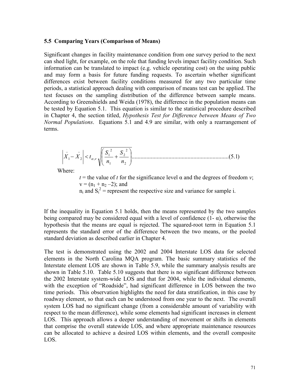#### 5.5 Comparing Years (Comparison of Means)

Significant changes in facility maintenance condition from one survey period to the next can shed light, for example, on the role that funding levels impact facility condition. Such information can be translated to impact (e.g. vehicle operating cost) on the using public and may form a basis for future funding requests. To ascertain whether significant differences exist between facility conditions measured for any two particular time periods, a statistical approach dealing with comparison of means test can be applied. The test focuses on the sampling distribution of the difference between sample means. According to Greenshields and Weida (1978), the difference in the population means can be tested by Equation 5.1. This equation is similar to the statistical procedure described in Chapter 4, the section titled, Hypothesis Test for Difference between Means of Two Normal Populations. Equations 5.1 and 4.9 are similar, with only a rearrangement of terms.

..................................................................( )1.5 2 2 2 1 2 1 <sup>1</sup> <sup>2</sup> , − < + − − n S n S X X t<sup>α</sup> <sup>ν</sup>

Where:

 $t =$  the value of t for the significance level  $\alpha$  and the degrees of freedom v;  $v = (n_1 + n_2 - 2)$ ; and

 $n_i$  and  $S_i^2$  = represent the respective size and variance for sample i.

If the inequality in Equation 5.1 holds, then the means represented by the two samples being compared may be considered equal with a level of confidence  $(1 - \alpha)$ , otherwise the hypothesis that the means are equal is rejected. The squared-root term in Equation 5.1 represents the standard error of the difference between the two means, or the pooled standard deviation as described earlier in Chapter 4.

The test is demonstrated using the 2002 and 2004 Interstate LOS data for selected elements in the North Carolina MQA program. The basic summary statistics of the Interstate element LOS are shown in Table 5.9, while the summary analysis results are shown in Table 5.10. Table 5.10 suggests that there is no significant difference between the 2002 Interstate system-wide LOS and that for 2004, while the individual elements, with the exception of "Roadside", had significant difference in LOS between the two time periods. This observation highlights the need for data stratification, in this case by roadway element, so that each can be understood from one year to the next. The overall system LOS had no significant change (from a considerable amount of variability with respect to the mean difference), while some elements had significant increases in element LOS. This approach allows a deeper understanding of movement or shifts in elements that comprise the overall statewide LOS, and where appropriate maintenance resources can be allocated to achieve a desired LOS within elements, and the overall composite LOS.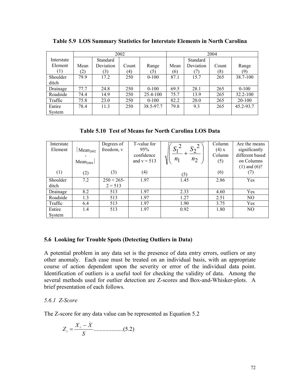|                  | 2002          |           |                  |           | 2004 |           |       |              |
|------------------|---------------|-----------|------------------|-----------|------|-----------|-------|--------------|
| Interstate       |               | Standard  |                  |           |      | Standard  |       |              |
| Element          | Mean          | Deviation | Count            | Range     | Mean | Deviation | Count | Range        |
| $\left(1\right)$ | $\binom{2}{}$ | (3)       | $\left(4\right)$ | (5)       | (6)  |           | (8)   | (9)          |
| Shoulder         | 799           | 17.2      | 250              | $0 - 100$ | 87.1 | 15.7      | 265   | 38.7-100     |
| ditch            |               |           |                  |           |      |           |       |              |
| Drainage         | 77.7          | 24.8      | 250              | $0 - 100$ | 69.5 | 28.1      | 265   | $0 - 100$    |
| Roadside         | 74.4          | 14.9      | 250              | 25.4-100  | 75.7 | 13.9      | 265   | $32.2 - 100$ |
| Traffic          | 75.8          | 23.0      | 250              | $0 - 100$ | 82.2 | 20.0      | 265   | 20-100       |
| Entire           | 78.4          | 11.3      | 250              | 38.5-97.7 | 79.8 | 9.3       | 265   | 45.2-93.7    |
| System           |               |           |                  |           |      |           |       |              |

Table 5.9 LOS Summary Statistics for Interstate Elements in North Carolina

Table 5.10 Test of Means for North Carolina LOS Data

| Interstate<br>Element | Mean <sub>2002</sub><br>Mean <sub>2004</sub> | Degrees of<br>freedom, v | T-value for<br>95%<br>confidence<br>and $v = 513$ | $S_1^2$<br>$\Delta$ 2<br>1<br>$n_2$<br>$n_1$ | Column<br>$(4)$ x<br>Column<br>(5) | Are the means<br>significantly<br>different based<br>on Columns<br>$(1)$ and $(6)$ ? |
|-----------------------|----------------------------------------------|--------------------------|---------------------------------------------------|----------------------------------------------|------------------------------------|--------------------------------------------------------------------------------------|
| (1)                   | (2)                                          | (3)                      | (4)                                               | (5)                                          | (6)                                | (7)                                                                                  |
| Shoulder<br>ditch     | 7.2                                          | $250 + 265$<br>$2 = 513$ | 1.97                                              | 1.45                                         | 2.86                               | Yes                                                                                  |
| Drainage              | 8.2                                          | 513                      | 1.97                                              | 2.33                                         | 4.60                               | Yes                                                                                  |
| Roadside              | 1.3                                          | 513                      | 1.97                                              | 1.27                                         | 2.51                               | NO.                                                                                  |
| Traffic               | 6.4                                          | 513                      | 1.97                                              | 1.90                                         | 3.75                               | Yes                                                                                  |
| Entire<br>System      | 1.4                                          | 513                      | 1.97                                              | 0.92                                         | 1.80                               | N <sub>O</sub>                                                                       |

# 5.6 Looking for Trouble Spots (Detecting Outliers in Data)

A potential problem in any data set is the presence of data entry errors, outliers or any other anomaly. Each case must be treated on an individual basis, with an appropriate course of action dependent upon the severity or error of the individual data point. Identification of outliers is a useful tool for checking the validity of data. Among the several methods used for outlier detection are Z-scores and Box-and-Whisker-plots. A brief presentation of each follows.

# 5.6.1 Z-Score

The Z-score for any data value can be represented as Equation 5.2

$$
Z_i = \frac{X_i - \bar{X}}{S}
$$
............(5.2)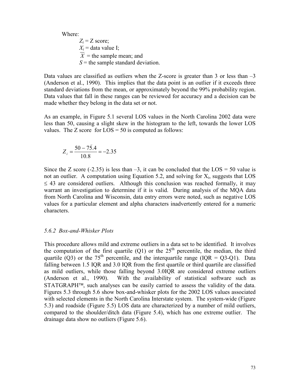Where:  $Z_i = Z$  score;  $X_i$  = data value I;  $\overline{X}$  = the sample mean; and  $S =$  the sample standard deviation.

Data values are classified as outliers when the Z-score is greater than 3 or less than –3 (Anderson et al., 1990). This implies that the data point is an outlier if it exceeds three standard deviations from the mean, or approximately beyond the 99% probability region. Data values that fall in these ranges can be reviewed for accuracy and a decision can be made whether they belong in the data set or not.

As an example, in Figure 5.1 several LOS values in the North Carolina 2002 data were less than 50, causing a slight skew in the histogram to the left, towards the lower LOS values. The Z score for  $LOS = 50$  is computed as follows:

$$
Z_i = \frac{50 - 7\bar{5}.4}{10.8} = -2.35
$$

Since the Z score (-2.35) is less than  $-3$ , it can be concluded that the LOS = 50 value is not an outlier. A computation using Equation 5.2, and solving for  $X_i$ , suggests that LOS  $\leq$  43 are considered outliers. Although this conclusion was reached formally, it may warrant an investigation to determine if it is valid. During analysis of the MQA data from North Carolina and Wisconsin, data entry errors were noted, such as negative LOS values for a particular element and alpha characters inadvertently entered for a numeric characters.

#### 5.6.2 Box-and-Whisker Plots

This procedure allows mild and extreme outliers in a data set to be identified. It involves the computation of the first quartile  $(Q1)$  or the  $25<sup>th</sup>$  percentile, the median, the third quartile (Q3) or the 75<sup>th</sup> percentile, and the interquartile range (IQR = Q3-Q1). Data falling between 1.5 IQR and 3.0 IQR from the first quartile or third quartile are classified as mild outliers, while those falling beyond 3.0IQR are considered extreme outliers (Anderson et al., 1990). With the availability of statistical software such as  $STATGRAPH<sup>TM</sup>$ , such analyses can be easily carried to assess the validity of the data. Figures 5.3 through 5.6 show box-and-whisker plots for the 2002 LOS values associated with selected elements in the North Carolina Interstate system. The system-wide (Figure 5.3) and roadside (Figure 5.5) LOS data are characterized by a number of mild outliers, compared to the shoulder/ditch data (Figure 5.4), which has one extreme outlier. The drainage data show no outliers (Figure 5.6).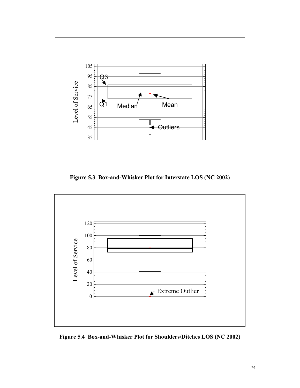

Figure 5.3 Box-and-Whisker Plot for Interstate LOS (NC 2002)



Figure 5.4 Box-and-Whisker Plot for Shoulders/Ditches LOS (NC 2002)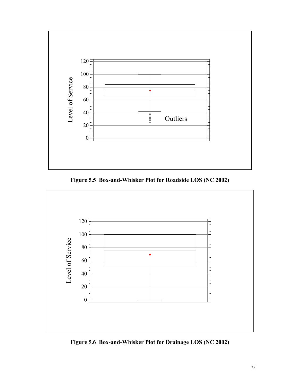

Figure 5.5 Box-and-Whisker Plot for Roadside LOS (NC 2002)



Figure 5.6 Box-and-Whisker Plot for Drainage LOS (NC 2002)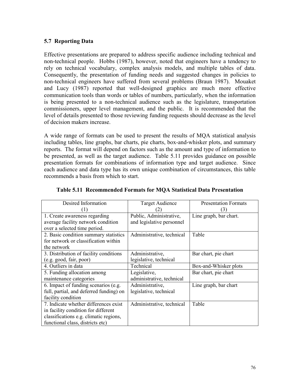## 5.7 Reporting Data

Effective presentations are prepared to address specific audience including technical and non-technical people. Hobbs (1987), however, noted that engineers have a tendency to rely on technical vocabulary, complex analysis models, and multiple tables of data. Consequently, the presentation of funding needs and suggested changes in policies to non-technical engineers have suffered from several problems (Braun 1987). Mouaket and Lucy (1987) reported that well-designed graphics are much more effective communication tools than words or tables of numbers, particularly, when the information is being presented to a non-technical audience such as the legislature, transportation commissioners, upper level management, and the public. It is recommended that the level of details presented to those reviewing funding requests should decrease as the level of decision makers increase.

A wide range of formats can be used to present the results of MQA statistical analysis including tables, line graphs, bar charts, pie charts, box-and-whisker plots, and summary reports. The format will depend on factors such as the amount and type of information to be presented, as well as the target audience. Table 5.11 provides guidance on possible presentation formats for combinations of information type and target audience. Since each audience and data type has its own unique combination of circumstances, this table recommends a basis from which to start.

| Desired Information<br>(1)                                                                                                                                 | <b>Target Audience</b>                               | <b>Presentation Formats</b><br>(3) |
|------------------------------------------------------------------------------------------------------------------------------------------------------------|------------------------------------------------------|------------------------------------|
| 1. Create awareness regarding<br>average facility network condition<br>over a selected time period.                                                        | Public, Administrative,<br>and legislative personnel | Line graph, bar chart.             |
| 2. Basic condition summary statistics<br>for network or classification within<br>the network                                                               | Administrative, technical                            | Table                              |
| 3. Distribution of facility conditions<br>(e.g. good, fair, poor)                                                                                          | Administrative,<br>legislative, technical            | Bar chart, pie chart               |
| 4. Outliers in data                                                                                                                                        | Technical                                            | Box-and-Whisker plots              |
| 5. Funding allocation among<br>maintenance categories                                                                                                      | Legislative,<br>administrative, technical            | Bar chart, pie chart               |
| 6. Impact of funding scenarios (e.g.<br>full, partial, and deferred funding) on<br>facility condition                                                      | Administrative,<br>legislative, technical            | Line graph, bar chart              |
| 7. Indicate whether differences exist<br>in facility condition for different<br>classifications e.g. climatic regions,<br>functional class, districts etc) | Administrative, technical                            | Table                              |

Table 5.11 Recommended Formats for MQA Statistical Data Presentation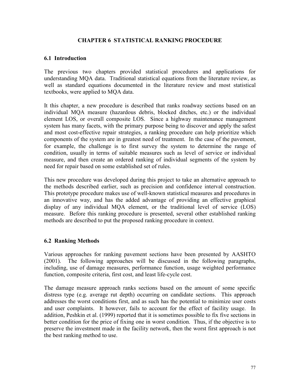### CHAPTER 6 STATISTICAL RANKING PROCEDURE

#### 6.1 Introduction

The previous two chapters provided statistical procedures and applications for understanding MQA data. Traditional statistical equations from the literature review, as well as standard equations documented in the literature review and most statistical textbooks, were applied to MQA data.

It this chapter, a new procedure is described that ranks roadway sections based on an individual MQA measure (hazardous debris, blocked ditches, etc.) or the individual element LOS, or overall composite LOS. Since a highway maintenance management system has many facets, with the primary purpose being to discover and apply the safest and most cost-effective repair strategies, a ranking procedure can help prioritize which components of the system are in greatest need of treatment. In the case of the pavement, for example, the challenge is to first survey the system to determine the range of condition, usually in terms of suitable measures such as level of service or individual measure, and then create an ordered ranking of individual segments of the system by need for repair based on some established set of rules.

This new procedure was developed during this project to take an alternative approach to the methods described earlier, such as precision and confidence interval construction. This prototype procedure makes use of well-known statistical measures and procedures in an innovative way, and has the added advantage of providing an effective graphical display of any individual MQA element, or the traditional level of service (LOS) measure. Before this ranking procedure is presented, several other established ranking methods are described to put the proposed ranking procedure in context.

## 6.2 Ranking Methods

Various approaches for ranking pavement sections have been presented by AASHTO (2001). The following approaches will be discussed in the following paragraphs, including, use of damage measures, performance function, usage weighted performance function, composite criteria, first cost, and least life-cycle cost.

The damage measure approach ranks sections based on the amount of some specific distress type (e.g. average rut depth) occurring on candidate sections. This approach addresses the worst conditions first, and as such has the potential to minimize user costs and user complaints. It however, fails to account for the effect of facility usage. In addition, Peshkin et al. (1999) reported that it is sometimes possible to fix five sections in better condition for the price of fixing one in worst condition. Thus, if the objective is to preserve the investment made in the facility network, then the worst first approach is not the best ranking method to use.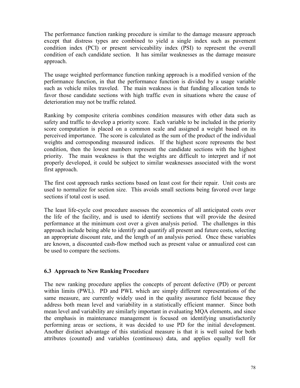The performance function ranking procedure is similar to the damage measure approach except that distress types are combined to yield a single index such as pavement condition index (PCI) or present serviceability index (PSI) to represent the overall condition of each candidate section. It has similar weaknesses as the damage measure approach.

The usage weighted performance function ranking approach is a modified version of the performance function, in that the performance function is divided by a usage variable such as vehicle miles traveled. The main weakness is that funding allocation tends to favor those candidate sections with high traffic even in situations where the cause of deterioration may not be traffic related.

Ranking by composite criteria combines condition measures with other data such as safety and traffic to develop a priority score. Each variable to be included in the priority score computation is placed on a common scale and assigned a weight based on its perceived importance. The score is calculated as the sum of the product of the individual weights and corresponding measured indices. If the highest score represents the best condition, then the lowest numbers represent the candidate sections with the highest priority. The main weakness is that the weights are difficult to interpret and if not properly developed, it could be subject to similar weaknesses associated with the worst first approach.

The first cost approach ranks sections based on least cost for their repair. Unit costs are used to normalize for section size. This avoids small sections being favored over large sections if total cost is used.

The least life-cycle cost procedure assesses the economics of all anticipated costs over the life of the facility, and is used to identify sections that will provide the desired performance at the minimum cost over a given analysis period. The challenges in this approach include being able to identify and quantify all present and future costs, selecting an appropriate discount rate, and the length of an analysis period. Once these variables are known, a discounted cash-flow method such as present value or annualized cost can be used to compare the sections.

## 6.3 Approach to New Ranking Procedure

The new ranking procedure applies the concepts of percent defective (PD) or percent within limits (PWL). PD and PWL which are simply different representations of the same measure, are currently widely used in the quality assurance field because they address both mean level and variability in a statistically efficient manner. Since both mean level and variability are similarly important in evaluating MQA elements, and since the emphasis in maintenance management is focused on identifying unsatisfactorily performing areas or sections, it was decided to use PD for the initial development. Another distinct advantage of this statistical measure is that it is well suited for both attributes (counted) and variables (continuous) data, and applies equally well for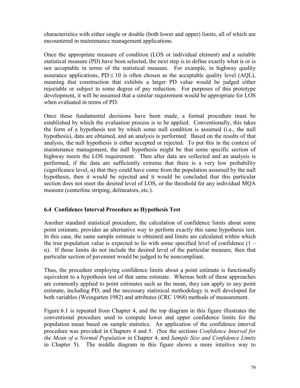characteristics with either single or double (both lower and upper) limits, all of which are encountered in maintenance management applications.

Once the appropriate measure of condition (LOS or individual element) and a suitable statistical measure (PD) have been selected, the next step is to define exactly what is or is not acceptable in terms of the statistical measure. For example, in highway quality assurance applications,  $PD \le 10$  is often chosen as the acceptable quality level (AQL), meaning that construction that exhibits a larger PD value would be judged either rejectable or subject to some degree of pay reduction. For purposes of this prototype development, it will be assumed that a similar requirement would be appropriate for LOS when evaluated in terms of PD.

Once these fundamental decisions have been made, a formal procedure must be established by which the evaluation process is to be applied. Conventionally, this takes the form of a hypothesis test by which some null condition is assumed (i.e., the null hypothesis), data are obtained, and an analysis is performed. Based on the results of that analysis, the null hypothesis is either accepted or rejected. To put this in the context of maintenance management, the null hypothesis might be that some specific section of highway meets the LOS requirement. Then after data are collected and an analysis is performed, if the data are sufficiently extreme that there is a very low probability (significance level,  $\alpha$ ) that they could have come from the population assumed by the null hypothesis, then it would be rejected and it would be concluded that this particular section does not meet the desired level of LOS, or the threshold for any individual MQA measure (centerline striping, delineators, etc.).

## 6.4 Confidence Interval Procedure as Hypothesis Test

Another standard statistical procedure, the calculation of confidence limits about some point estimate, provides an alternative way to perform exactly this same hypothesis test. In this case, the same sample estimate is obtained and limits are calculated within which the true population value is expected to lie with some specified level of confidence  $(1$ α). If those limits do not include the desired level of the particular measure, then that particular section of pavement would be judged to be noncompliant.

Thus, the procedure employing confidence limits about a point estimate is functionally equivalent to a hypothesis test of that same estimate. Whereas both of these approaches are commonly applied to point estimates such as the mean, they can apply to any point estimate, including PD, and the necessary statistical methodology is well developed for both variables (Weingarten 1982) and attributes (CRC 1968) methods of measurement.

Figure 6.1 is repeated from Chapter 4, and the top diagram in this figure illustrates the conventional procedure used to compute lower and upper confidence limits for the population mean based on sample statistics. An application of the confidence interval procedure was provided in Chapters 4 and 5. (See the sections Confidence Interval for the Mean of a Normal Population in Chapter 4, and Sample Size and Confidence Limits in Chapter 5). The middle diagram in this figure shows a more intuitive way to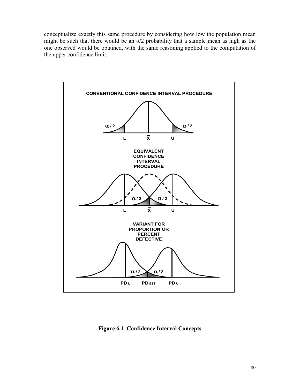conceptualize exactly this same procedure by considering how low the population mean might be such that there would be an  $\alpha/2$  probability that a sample mean as high as the one observed would be obtained, with the same reasoning applied to the computation of the upper confidence limit.

.



Figure 6.1 Confidence Interval Concepts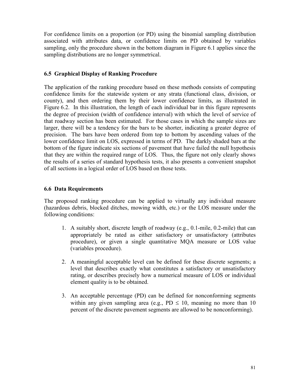For confidence limits on a proportion (or PD) using the binomial sampling distribution associated with attributes data, or confidence limits on PD obtained by variables sampling, only the procedure shown in the bottom diagram in Figure 6.1 applies since the sampling distributions are no longer symmetrical.

## 6.5 Graphical Display of Ranking Procedure

The application of the ranking procedure based on these methods consists of computing confidence limits for the statewide system or any strata (functional class, division, or county), and then ordering them by their lower confidence limits, as illustrated in Figure 6.2. In this illustration, the length of each individual bar in this figure represents the degree of precision (width of confidence interval) with which the level of service of that roadway section has been estimated. For those cases in which the sample sizes are larger, there will be a tendency for the bars to be shorter, indicating a greater degree of precision. The bars have been ordered from top to bottom by ascending values of the lower confidence limit on LOS, expressed in terms of PD. The darkly shaded bars at the bottom of the figure indicate six sections of pavement that have failed the null hypothesis that they are within the required range of LOS. Thus, the figure not only clearly shows the results of a series of standard hypothesis tests, it also presents a convenient snapshot of all sections in a logical order of LOS based on those tests.

## 6.6 Data Requirements

The proposed ranking procedure can be applied to virtually any individual measure (hazardous debris, blocked ditches, mowing width, etc.) or the LOS measure under the following conditions:

- 1. A suitably short, discrete length of roadway (e.g., 0.1-mile, 0.2-mile) that can appropriately be rated as either satisfactory or unsatisfactory (attributes procedure), or given a single quantitative MQA measure or LOS value (variables procedure).
- 2. A meaningful acceptable level can be defined for these discrete segments; a level that describes exactly what constitutes a satisfactory or unsatisfactory rating, or describes precisely how a numerical measure of LOS or individual element quality is to be obtained.
- 3. An acceptable percentage (PD) can be defined for nonconforming segments within any given sampling area (e.g., PD  $\leq$  10, meaning no more than 10 percent of the discrete pavement segments are allowed to be nonconforming).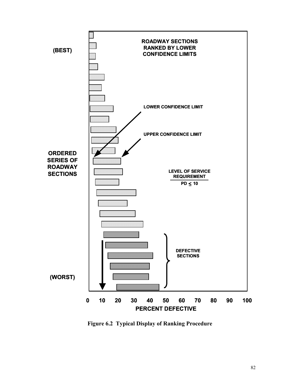

Figure 6.2 Typical Display of Ranking Procedure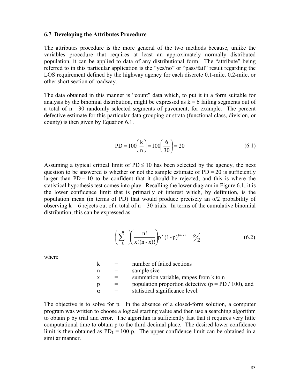#### 6.7 Developing the Attributes Procedure

The attributes procedure is the more general of the two methods because, unlike the variables procedure that requires at least an approximately normally distributed population, it can be applied to data of any distributional form. The "attribute" being referred to in this particular application is the "yes/no" or "pass/fail" result regarding the LOS requirement defined by the highway agency for each discrete 0.1-mile, 0.2-mile, or other short section of roadway.

The data obtained in this manner is "count" data which, to put it in a form suitable for analysis by the binomial distribution, might be expressed as  $k = 6$  failing segments out of a total of  $n = 30$  randomly selected segments of pavement, for example. The percent defective estimate for this particular data grouping or strata (functional class, division, or county) is then given by Equation 6.1.

$$
PD = 100\left(\frac{k}{n}\right) = 100\left(\frac{6}{30}\right) = 20
$$
 (6.1)

Assuming a typical critical limit of  $PD \le 10$  has been selected by the agency, the next question to be answered is whether or not the sample estimate of  $PD = 20$  is sufficiently larger than  $PD = 10$  to be confident that it should be rejected, and this is where the statistical hypothesis test comes into play. Recalling the lower diagram in Figure 6.1, it is the lower confidence limit that is primarily of interest which, by definition, is the population mean (in terms of PD) that would produce precisely an  $\alpha/2$  probability of observing  $k = 6$  rejects out of a total of  $n = 30$  trials. In terms of the cumulative binomial distribution, this can be expressed as

$$
\left(\sum_{k}^{n}\right)\left(\frac{n!}{x!(n-x)!}\right)p^{x}(1-p)^{(n-x)}=\frac{\alpha}{2}
$$
\n(6.2)

where

| k  | number of failed sections                               |
|----|---------------------------------------------------------|
| n  | sample size                                             |
| X. | summation variable, ranges from k to n                  |
| p  | population proportion defective ( $p = PD / 100$ ), and |
| α  | statistical significance level.                         |
|    |                                                         |

The objective is to solve for p. In the absence of a closed-form solution, a computer program was written to choose a logical starting value and then use a searching algorithm to obtain p by trial and error. The algorithm is sufficiently fast that it requires very little computational time to obtain p to the third decimal place. The desired lower confidence limit is then obtained as  $PD_L = 100$  p. The upper confidence limit can be obtained in a similar manner.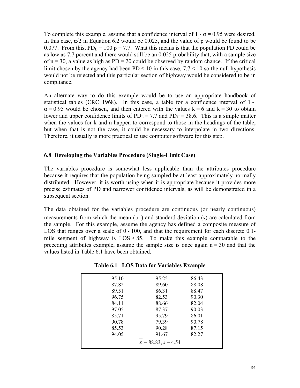To complete this example, assume that a confidence interval of  $1 - \alpha = 0.95$  were desired. In this case,  $\alpha/2$  in Equation 6.2 would be 0.025, and the value of p would be found to be 0.077. From this,  $PD_L = 100 p = 7.7$ . What this means is that the population PD could be as low as 7.7 percent and there would still be an 0.025 probability that, with a sample size of  $n = 30$ , a value as high as PD = 20 could be observed by random chance. If the critical limit chosen by the agency had been  $PD \le 10$  in this case, 7.7 < 10 so the null hypothesis would not be rejected and this particular section of highway would be considered to be in compliance.

An alternate way to do this example would be to use an appropriate handbook of statistical tables (CRC 1968). In this case, a table for a confidence interval of 1 -  $\alpha$  = 0.95 would be chosen, and then entered with the values k = 6 and k = 30 to obtain lower and upper confidence limits of  $PD_L = 7.7$  and  $PD_U = 38.6$ . This is a simple matter when the values for k and n happen to correspond to those in the headings of the table, but when that is not the case, it could be necessary to interpolate in two directions. Therefore, it usually is more practical to use computer software for this step.

#### 6.8 Developing the Variables Procedure (Single-Limit Case)

The variables procedure is somewhat less applicable than the attributes procedure because it requires that the population being sampled be at least approximately normally distributed. However, it is worth using when it is appropriate because it provides more precise estimates of PD and narrower confidence intervals, as will be demonstrated in a subsequent section.

The data obtained for the variables procedure are continuous (or nearly continuous) measurements from which the mean  $(x)$  and standard deviation  $(s)$  are calculated from the sample. For this example, assume the agency has defined a composite measure of LOS that ranges over a scale of  $0 - 100$ , and that the requirement for each discrete 0.1mile segment of highway is  $LOS \geq 85$ . To make this example comparable to the preceding attributes example, assume the sample size is once again  $n = 30$  and that the values listed in Table 6.1 have been obtained.

| 95.10 | 95.25                 | 86.43 |
|-------|-----------------------|-------|
| 87.82 | 89.60                 | 88.08 |
| 89.51 | 86.31                 | 88.47 |
| 96.75 | 82.53                 | 90.30 |
| 84.11 | 88.66                 | 82.04 |
| 97.05 | 87.37                 | 90.03 |
| 85.71 | 95.79                 | 86.01 |
| 90.78 | 79.39                 | 90.78 |
| 85.53 | 90.28                 | 87.15 |
| 94.05 | 91.67                 | 82.27 |
|       | $x = 88.83, s = 4.54$ |       |
|       |                       |       |

|  | Table 6.1 LOS Data for Variables Example |  |  |
|--|------------------------------------------|--|--|
|--|------------------------------------------|--|--|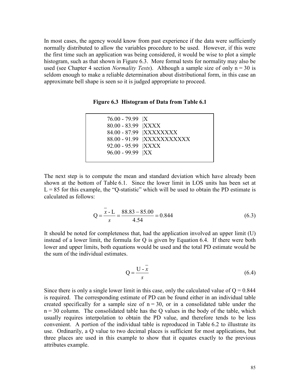In most cases, the agency would know from past experience if the data were sufficiently normally distributed to allow the variables procedure to be used. However, if this were the first time such an application was being considered, it would be wise to plot a simple histogram, such as that shown in Figure 6.3. More formal tests for normality may also be used (see Chapter 4 section *Normality Tests*). Although a sample size of only  $n = 30$  is seldom enough to make a reliable determination about distributional form, in this case an approximate bell shape is seen so it is judged appropriate to proceed.

Figure 6.3 Histogram of Data from Table 6.1

| 76.00 - 79.99   X   |                            |
|---------------------|----------------------------|
| 80.00 - 83.99  XXXX |                            |
|                     | 84.00 - 87.99   XXXXXXXX   |
|                     | 88.00 - 91.99  XXXXXXXXXXX |
| 92.00 - 95.99 XXXX  |                            |
| 96.00 - 99.99   XX  |                            |
|                     |                            |

The next step is to compute the mean and standard deviation which have already been shown at the bottom of Table 6.1. Since the lower limit in LOS units has been set at  $L = 85$  for this example, the "Q-statistic" which will be used to obtain the PD estimate is calculated as follows:

$$
Q = \frac{\overline{x} - L}{s} = \frac{88.83 - 85.00}{4.54} = 0.844
$$
 (6.3)

It should be noted for completeness that, had the application involved an upper limit (U) instead of a lower limit, the formula for Q is given by Equation 6.4. If there were both lower and upper limits, both equations would be used and the total PD estimate would be the sum of the individual estimates.

$$
Q = \frac{U - \overline{x}}{s} \tag{6.4}
$$

Since there is only a single lower limit in this case, only the calculated value of  $Q = 0.844$ is required. The corresponding estimate of PD can be found either in an individual table created specifically for a sample size of  $n = 30$ , or in a consolidated table under the  $n = 30$  column. The consolidated table has the Q values in the body of the table, which usually requires interpolation to obtain the PD value, and therefore tends to be less convenient. A portion of the individual table is reproduced in Table 6.2 to illustrate its use. Ordinarily, a Q value to two decimal places is sufficient for most applications, but three places are used in this example to show that it equates exactly to the previous attributes example.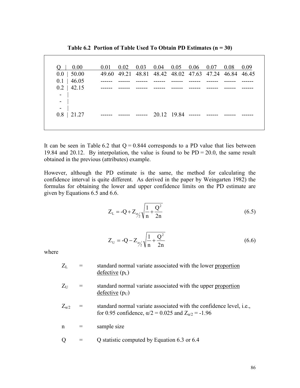| 0.00<br>$O \mid$                      | 0.01 |  |                                         |  | $0.02$ 0.03 0.04 0.05 0.06 0.07 0.08 0.09             |  |
|---------------------------------------|------|--|-----------------------------------------|--|-------------------------------------------------------|--|
| $0.0$   50.00<br>$0.1$   46.05        |      |  |                                         |  | 49.60 49.21 48.81 48.42 48.02 47.63 47.24 46.84 46.45 |  |
| $0.2$   42.15<br>$\Box$<br>$\sim$ 1.0 |      |  |                                         |  |                                                       |  |
| $\sim$ 100<br>$ \vert$                |      |  |                                         |  |                                                       |  |
| $0.8$   21.27                         |      |  | ------ ------ ------ 20 12 19 84 ------ |  |                                                       |  |

Table 6.2 Portion of Table Used To Obtain PD Estimates  $(n = 30)$ 

It can be seen in Table 6.2 that  $Q = 0.844$  corresponds to a PD value that lies between 19.84 and 20.12. By interpolation, the value is found to be  $PD = 20.0$ , the same result obtained in the previous (attributes) example.

However, although the PD estimate is the same, the method for calculating the confidence interval is quite different. As derived in the paper by Weingarten 1982) the formulas for obtaining the lower and upper confidence limits on the PD estimate are given by Equations 6.5 and 6.6.

$$
Z_{L} = -Q + Z_{\alpha/2} \sqrt{\frac{1}{n} + \frac{Q^{2}}{2n}}
$$
 (6.5)

$$
Z_{\rm U} = -Q - Z_{\alpha/2} \sqrt{\frac{1}{n} + \frac{Q^2}{2n}}
$$
 (6.6)

where

- $Z_L$  = standard normal variate associated with the lower proportion defective  $(p<sub>L</sub>)$
- $Z_{\text{U}}$  = standard normal variate associated with the upper proportion  $defective (p_U)$
- $Z_{\alpha/2}$  = standard normal variate associated with the confidence level, i.e., for 0.95 confidence,  $\alpha/2 = 0.025$  and  $Z_{\alpha/2} = -1.96$
- $n =$  sample size
- $Q =$  Q statistic computed by Equation 6.3 or 6.4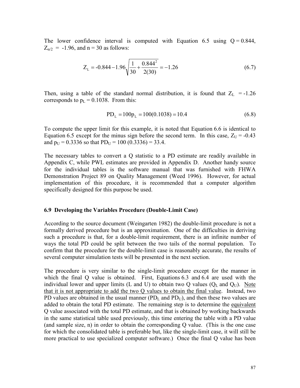The lower confidence interval is computed with Equation 6.5 using  $Q = 0.844$ ,  $Z_{\alpha/2}$  = -1.96, and n = 30 as follows:

$$
Z_{L} = -0.844 - 1.96 \sqrt{\frac{1}{30} + \frac{0.844^{2}}{2(30)}} = -1.26
$$
 (6.7)

Then, using a table of the standard normal distribution, it is found that  $Z_L = -1.26$ corresponds to  $p_L = 0.1038$ . From this:

$$
PD_{L} = 100p_{L} = 100(0.1038) = 10.4
$$
\n(6.8)

To compute the upper limit for this example, it is noted that Equation 6.6 is identical to Equation 6.5 except for the minus sign before the second term. In this case,  $Z_U = -0.43$ and  $p_U = 0.3336$  so that  $PD_U = 100 (0.3336) = 33.4$ .

The necessary tables to convert a Q statistic to a PD estimate are readily available in Appendix C, while PWL estimates are provided in Appendix D. Another handy source for the individual tables is the software manual that was furnished with FHWA Demonstration Project 89 on Quality Management (Weed 1996). However, for actual implementation of this procedure, it is recommended that a computer algorithm specifically designed for this purpose be used.

#### 6.9 Developing the Variables Procedure (Double-Limit Case)

According to the source document (Weingarten 1982) the double-limit procedure is not a formally derived procedure but is an approximation. One of the difficulties in deriving such a procedure is that, for a double-limit requirement, there is an infinite number of ways the total PD could be split between the two tails of the normal population. To confirm that the procedure for the double-limit case is reasonably accurate, the results of several computer simulation tests will be presented in the next section.

The procedure is very similar to the single-limit procedure except for the manner in which the final Q value is obtained. First, Equations 6.3 and 6.4 are used with the individual lower and upper limits (L and U) to obtain two Q values ( $Q_L$  and  $Q_U$ ). Note that it is not appropriate to add the two Q values to obtain the final value. Instead, two PD values are obtained in the usual manner  $(PD<sub>L</sub>)$  and  $PD<sub>U</sub>$ ), and then these two values are added to obtain the total PD estimate. The remaining step is to determine the equivalent Q value associated with the total PD estimate, and that is obtained by working backwards in the same statistical table used previously, this time entering the table with a PD value (and sample size, n) in order to obtain the corresponding Q value. (This is the one case for which the consolidated table is preferable but, like the single-limit case, it will still be more practical to use specialized computer software.) Once the final Q value has been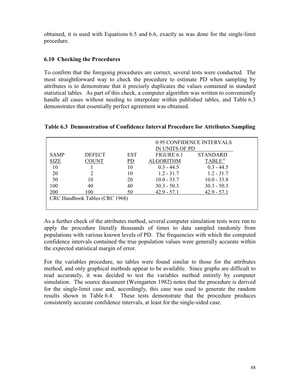obtained, it is used with Equations 6.5 and 6.6, exactly as was done for the single-limit procedure.

# 6.10 Checking the Procedures

To confirm that the foregoing procedures are correct, several tests were conducted. The most straightforward way to check the procedure to estimate PD when sampling by attributes is to demonstrate that it precisely duplicates the values contained in standard statistical tables. As part of this check, a computer algorithm was written to conveniently handle all cases without needing to interpolate within published tables, and Table 6.3 demonstrates that essentially perfect agreement was obtained.

| Table 6.3 Demonstration of Confidence Interval Procedure for Attributes Sampling |  |
|----------------------------------------------------------------------------------|--|
|----------------------------------------------------------------------------------|--|

|             |                                |            | IN UNITS OF PD   | 0.95 CONFIDENCE INTERVALS |
|-------------|--------------------------------|------------|------------------|---------------------------|
| <b>SAMP</b> | <b>DEFECT</b>                  | <b>EST</b> | FIGURE 6.1       | <b>STANDARD</b>           |
| <b>SIZE</b> | COUNT                          | PD         | <b>ALGORITHM</b> | TABLE <sup>a</sup>        |
| 10          |                                | 10         | $0.3 - 44.5$     | $0.3 - 44.5$              |
| 20          |                                | 10         | $1.2 - 31.7$     | $1.2 - 31.7$              |
| 50          | 10                             | 20         | $10.0 - 33.7$    | $10.0 - 33.8$             |
| 100         | 40                             | 40         | $30.3 - 50.3$    | $30.3 - 50.3$             |
| 200         | 100                            | 50         | $42.9 - 57.1$    | $42.9 - 57.1$             |
|             | CRC Handbook Tables (CRC 1968) |            |                  |                           |
|             |                                |            |                  |                           |

As a further check of the attributes method, several computer simulation tests were run to apply the procedure literally thousands of times to data sampled randomly from populations with various known levels of PD. The frequencies with which the computed confidence intervals contained the true population values were generally accurate within the expected statistical margin of error.

For the variables procedure, no tables were found similar to those for the attributes method, and only graphical methods appear to be available. Since graphs are difficult to read accurately, it was decided to test the variables method entirely by computer simulation. The source document (Weingarten 1982) notes that the procedure is derived for the single-limit case and, accordingly, this case was used to generate the random results shown in Table 6.4. These tests demonstrate that the procedure produces consistently accurate confidence intervals, at least for the single-sided case.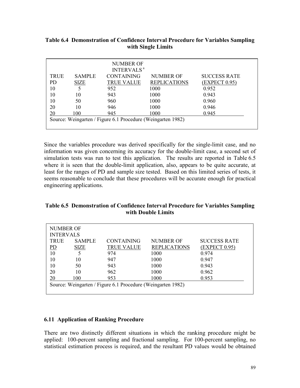|             |               | <b>NUMBER OF</b><br><b>INTERVALS<sup>a</sup></b> |                     |                     |
|-------------|---------------|--------------------------------------------------|---------------------|---------------------|
| <b>TRUE</b> | <b>SAMPLE</b> | <b>CONTAINING</b>                                | NUMBER OF           | <b>SUCCESS RATE</b> |
| PD.         | <b>SIZE</b>   | <b>TRUE VALUE</b>                                | <b>REPLICATIONS</b> | (EXPECT 0.95)       |
| 10          |               | 952                                              | 1000                | 0.952               |
| 10          | 10            | 943                                              | 1000                | 0.943               |
| 10          | 50            | 960                                              | 1000                | 0.960               |
| 20          | 10            | 946                                              | 1000                | 0.946               |
| 20          | 100           | 945                                              | 1000                | 0.945               |

Table 6.4 Demonstration of Confidence Interval Procedure for Variables Sampling with Single Limits

Since the variables procedure was derived specifically for the single-limit case, and no information was given concerning its accuracy for the double-limit case, a second set of simulation tests was run to test this application. The results are reported in Table 6.5 where it is seen that the double-limit application, also, appears to be quite accurate, at least for the ranges of PD and sample size tested. Based on this limited series of tests, it seems reasonable to conclude that these procedures will be accurate enough for practical engineering applications.

| Table 6.5 Demonstration of Confidence Interval Procedure for Variables Sampling |
|---------------------------------------------------------------------------------|
| with Double Limits                                                              |

| NUMBER OF        |               |                                                             |                     |                     |  |  |  |  |
|------------------|---------------|-------------------------------------------------------------|---------------------|---------------------|--|--|--|--|
| <b>INTERVALS</b> |               |                                                             |                     |                     |  |  |  |  |
| <b>TRUE</b>      | <b>SAMPLE</b> | <b>CONTAINING</b>                                           | <b>NUMBER OF</b>    | <b>SUCCESS RATE</b> |  |  |  |  |
| $\underline{PD}$ | <b>SIZE</b>   | TRUE VALUE                                                  | <b>REPLICATIONS</b> | <b>EXPECT 0.95)</b> |  |  |  |  |
| 10               |               | 974                                                         | 1000                | 0.974               |  |  |  |  |
| 10               | 10            | 947                                                         | 1000                | 0.947               |  |  |  |  |
| 10               | 50            | 943                                                         | 1000                | 0.943               |  |  |  |  |
| 20               | 10            | 962                                                         | 1000                | 0.962               |  |  |  |  |
| 20               | 100           | 953                                                         | 1000                | 0.953               |  |  |  |  |
|                  |               | Source: Weingarten / Figure 6.1 Procedure (Weingarten 1982) |                     |                     |  |  |  |  |

#### 6.11 Application of Ranking Procedure

There are two distinctly different situations in which the ranking procedure might be applied: 100-percent sampling and fractional sampling. For 100-percent sampling, no statistical estimation process is required, and the resultant PD values would be obtained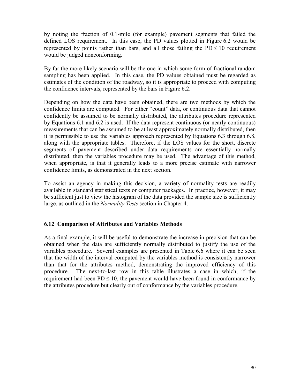by noting the fraction of 0.1-mile (for example) pavement segments that failed the defined LOS requirement. In this case, the PD values plotted in Figure 6.2 would be represented by points rather than bars, and all those failing the  $PD \le 10$  requirement would be judged nonconforming.

By far the more likely scenario will be the one in which some form of fractional random sampling has been applied. In this case, the PD values obtained must be regarded as estimates of the condition of the roadway, so it is appropriate to proceed with computing the confidence intervals, represented by the bars in Figure 6.2.

Depending on how the data have been obtained, there are two methods by which the confidence limits are computed. For either "count" data, or continuous data that cannot confidently be assumed to be normally distributed, the attributes procedure represented by Equations 6.1 and 6.2 is used. If the data represent continuous (or nearly continuous) measurements that can be assumed to be at least approximately normally distributed, then it is permissible to use the variables approach represented by Equations 6.3 through 6.8, along with the appropriate tables. Therefore, if the LOS values for the short, discrete segments of pavement described under data requirements are essentially normally distributed, then the variables procedure may be used. The advantage of this method, when appropriate, is that it generally leads to a more precise estimate with narrower confidence limits, as demonstrated in the next section.

To assist an agency in making this decision, a variety of normality tests are readily available in standard statistical texts or computer packages. In practice, however, it may be sufficient just to view the histogram of the data provided the sample size is sufficiently large, as outlined in the Normality Tests section in Chapter 4.

## 6.12 Comparison of Attributes and Variables Methods

As a final example, it will be useful to demonstrate the increase in precision that can be obtained when the data are sufficiently normally distributed to justify the use of the variables procedure. Several examples are presented in Table 6.6 where it can be seen that the width of the interval computed by the variables method is consistently narrower than that for the attributes method, demonstrating the improved efficiency of this procedure. The next-to-last row in this table illustrates a case in which, if the requirement had been  $PD \le 10$ , the pavement would have been found in conformance by the attributes procedure but clearly out of conformance by the variables procedure.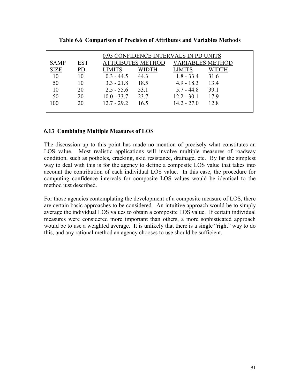| 0.95 CONFIDENCE INTERVALS IN PD UNITS |                |               |                          |                         |              |  |  |
|---------------------------------------|----------------|---------------|--------------------------|-------------------------|--------------|--|--|
| <b>SAMP</b>                           | <b>EST</b>     |               | <b>ATTRIBUTES METHOD</b> | <b>VARIABLES METHOD</b> |              |  |  |
| <b>SIZE</b>                           | P <sub>D</sub> | <b>LIMITS</b> | <b>WIDTH</b>             | <b>LIMITS</b>           | <b>WIDTH</b> |  |  |
| 10                                    | 10             | $0.3 - 44.5$  | 44.3                     | $1.8 - 33.4$            | 31.6         |  |  |
| 50                                    | 10             | $3.3 - 21.8$  | 18.5                     | $4.9 - 18.3$            | 13.4         |  |  |
| 10                                    | 20             | $2.5 - 55.6$  | 53.1                     | $5.7 - 44.8$            | 39.1         |  |  |
| 50                                    | 20             | $10.0 - 33.7$ | 23.7                     | $12.2 - 30.1$           | 17.9         |  |  |
| 100                                   | 20             | $12.7 - 29.2$ | 16.5                     | $14.2 - 27.0$           | 12.8         |  |  |
|                                       |                |               |                          |                         |              |  |  |

Table 6.6 Comparison of Precision of Attributes and Variables Methods

## 6.13 Combining Multiple Measures of LOS

The discussion up to this point has made no mention of precisely what constitutes an LOS value. Most realistic applications will involve multiple measures of roadway condition, such as potholes, cracking, skid resistance, drainage, etc. By far the simplest way to deal with this is for the agency to define a composite LOS value that takes into account the contribution of each individual LOS value. In this case, the procedure for computing confidence intervals for composite LOS values would be identical to the method just described.

For those agencies contemplating the development of a composite measure of LOS, there are certain basic approaches to be considered. An intuitive approach would be to simply average the individual LOS values to obtain a composite LOS value. If certain individual measures were considered more important than others, a more sophisticated approach would be to use a weighted average. It is unlikely that there is a single "right" way to do this, and any rational method an agency chooses to use should be sufficient.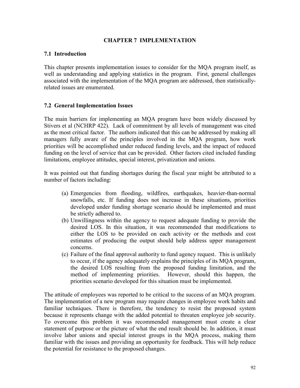### CHAPTER 7 IMPLEMENTATION

#### 7.1 Introduction

This chapter presents implementation issues to consider for the MQA program itself, as well as understanding and applying statistics in the program. First, general challenges associated with the implementation of the MQA program are addressed, then statisticallyrelated issues are enumerated.

### 7.2 General Implementation Issues

The main barriers for implementing an MQA program have been widely discussed by Stivers et al (NCHRP 422). Lack of commitment by all levels of management was cited as the most critical factor. The authors indicated that this can be addressed by making all managers fully aware of the principles involved in the MQA program, how work priorities will be accomplished under reduced funding levels, and the impact of reduced funding on the level of service that can be provided. Other factors cited included funding limitations, employee attitudes, special interest, privatization and unions.

It was pointed out that funding shortages during the fiscal year might be attributed to a number of factors including:

- (a) Emergencies from flooding, wildfires, earthquakes, heavier-than-normal snowfalls, etc. If funding does not increase in these situations, priorities developed under funding shortage scenario should be implemented and must be strictly adhered to.
- (b) Unwillingness within the agency to request adequate funding to provide the desired LOS. In this situation, it was recommended that modifications to either the LOS to be provided on each activity or the methods and cost estimates of producing the output should help address upper management concerns.
- (c) Failure of the final approval authority to fund agency request. This is unlikely to occur, if the agency adequately explains the principles of its MQA program, the desired LOS resulting from the proposed funding limitation, and the method of implementing priorities. However, should this happen, the priorities scenario developed for this situation must be implemented.

The attitude of employees was reported to be critical to the success of an MQA program. The implementation of a new program may require changes in employee work habits and familiar techniques. There is therefore, the tendency to resist the proposed system because it represents change with the added potential to threaten employee job security. To overcome this problem it was recommended management must create a clear statement of purpose or the picture of what the end result should be. In addition, it must involve labor unions and special interest groups in the MQA process, making them familiar with the issues and providing an opportunity for feedback. This will help reduce the potential for resistance to the proposed changes.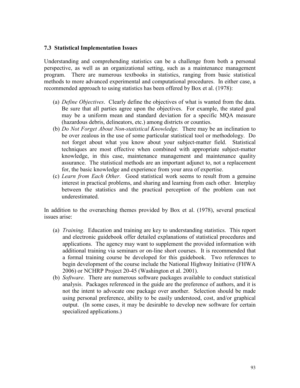#### 7.3 Statistical Implementation Issues

Understanding and comprehending statistics can be a challenge from both a personal perspective, as well as an organizational setting, such as a maintenance management program. There are numerous textbooks in statistics, ranging from basic statistical methods to more advanced experimental and computational procedures. In either case, a recommended approach to using statistics has been offered by Box et al. (1978):

- (a) Define Objectives. Clearly define the objectives of what is wanted from the data. Be sure that all parties agree upon the objectives. For example, the stated goal may be a uniform mean and standard deviation for a specific MQA measure (hazardous debris, delineators, etc.) among districts or counties.
- (b) Do Not Forget About Non-statistical Knowledge. There may be an inclination to be over zealous in the use of some particular statistical tool or methodology. Do not forget about what you know about your subject-matter field. Statistical techniques are most effective when combined with appropriate subject-matter knowledge, in this case, maintenance management and maintenance quality assurance. The statistical methods are an important adjunct to, not a replacement for, the basic knowledge and experience from your area of expertise.
- (c) Learn from Each Other. Good statistical work seems to result from a genuine interest in practical problems, and sharing and learning from each other. Interplay between the statistics and the practical perception of the problem can not underestimated.

In addition to the overarching themes provided by Box et al. (1978), several practical issues arise:

- (a) Training. Education and training are key to understanding statistics. This report and electronic guidebook offer detailed explanations of statistical procedures and applications. The agency may want to supplement the provided information with additional training via seminars or on-line short courses. It is recommended that a formal training course be developed for this guidebook. Two references to begin development of the course include the National Highway Initiative (FHWA 2006) or NCHRP Project 20-45 (Washington et al. 2001).
- (b) Software. There are numerous software packages available to conduct statistical analysis. Packages referenced in the guide are the preference of authors, and it is not the intent to advocate one package over another. Selection should be made using personal preference, ability to be easily understood, cost, and/or graphical output. (In some cases, it may be desirable to develop new software for certain specialized applications.)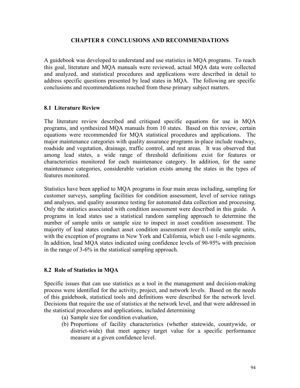#### CHAPTER 8 CONCLUSIONS AND RECOMMENDATIONS

A guidebook was developed to understand and use statistics in MQA programs. To reach this goal, literature and MQA manuals were reviewed, actual MQA data were collected and analyzed, and statistical procedures and applications were described in detail to address specific questions presented by lead states in MQA. The following are specific conclusions and recommendations reached from these primary subject matters.

#### 8.1 Literature Review

The literature review described and critiqued specific equations for use in MQA programs, and synthesized MQA manuals from 10 states. Based on this review, certain equations were recommended for MQA statistical procedures and applications. The major maintenance categories with quality assurance programs in-place include roadway, roadside and vegetation, drainage, traffic control, and rest areas. It was observed that among lead states, a wide range of threshold definitions exist for features or characteristics monitored for each maintenance category. In addition, for the same maintenance categories, considerable variation exists among the states in the types of features monitored.

Statistics have been applied to MQA programs in four main areas including, sampling for customer surveys, sampling facilities for condition assessment, level of service ratings and analyses, and quality assurance testing for automated data collection and processing. Only the statistics associated with condition assessment were described in this guide. A programs in lead states use a statistical random sampling approach to determine the number of sample units or sample size to inspect in asset condition assessment. The majority of lead states conduct asset condition assessment over 0.1-mile sample units, with the exception of programs in New York and California, which use 1-mile segments. In addition, lead MQA states indicated using confidence levels of 90-95% with precision in the range of 3-6% in the statistical sampling approach.

#### 8.2 Role of Statistics in MQA

Specific issues that can use statistics as a tool in the management and decision-making process were identified for the activity, project, and network levels. Based on the needs of this guidebook, statistical tools and definitions were described for the network level. Decisions that require the use of statistics at the network level, and that were addressed in the statistical procedures and applications, included determining

- (a) Sample size for condition evaluation,
- (b) Proportions of facility characteristics (whether statewide, countywide, or district-wide) that meet agency target value for a specific performance measure at a given confidence level.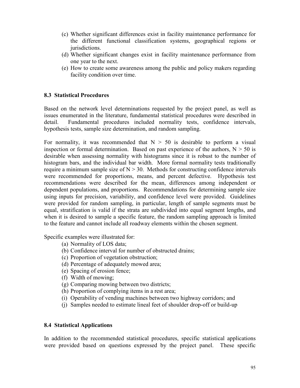- (c) Whether significant differences exist in facility maintenance performance for the different functional classification systems, geographical regions or jurisdictions.
- (d) Whether significant changes exist in facility maintenance performance from one year to the next.
- (e) How to create some awareness among the public and policy makers regarding facility condition over time.

### 8.3 Statistical Procedures

Based on the network level determinations requested by the project panel, as well as issues enumerated in the literature, fundamental statistical procedures were described in detail. Fundamental procedures included normality tests, confidence intervals, hypothesis tests, sample size determination, and random sampling.

For normality, it was recommended that  $N > 50$  is desirable to perform a visual inspection or formal determination. Based on past experience of the authors,  $N > 50$  is desirable when assessing normality with histograms since it is robust to the number of histogram bars, and the individual bar width. More formal normality tests traditionally require a minimum sample size of  $N > 30$ . Methods for constructing confidence intervals were recommended for proportions, means, and percent defective. Hypothesis test recommendations were described for the mean, differences among independent or dependent populations, and proportions. Recommendations for determining sample size using inputs for precision, variability, and confidence level were provided. Guidelines were provided for random sampling, in particular, length of sample segments must be equal, stratification is valid if the strata are subdivided into equal segment lengths, and when it is desired to sample a specific feature, the random sampling approach is limited to the feature and cannot include all roadway elements within the chosen segment.

Specific examples were illustrated for:

- (a) Normality of LOS data;
- (b) Confidence interval for number of obstructed drains;
- (c) Proportion of vegetation obstruction;
- (d) Percentage of adequately mowed area;
- (e) Spacing of erosion fence;
- (f) Width of mowing;
- (g) Comparing mowing between two districts;
- (h) Proportion of complying items in a rest area;
- (i) Operability of vending machines between two highway corridors; and
- (j) Samples needed to estimate lineal feet of shoulder drop-off or build-up

## 8.4 Statistical Applications

In addition to the recommended statistical procedures, specific statistical applications were provided based on questions expressed by the project panel. These specific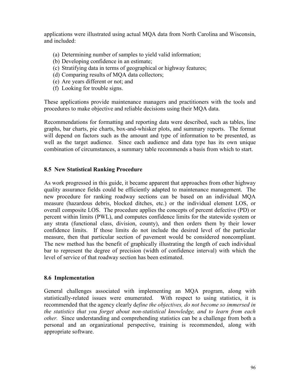applications were illustrated using actual MQA data from North Carolina and Wisconsin, and included:

- (a) Determining number of samples to yield valid information;
- (b) Developing confidence in an estimate;
- (c) Stratifying data in terms of geographical or highway features;
- (d) Comparing results of MQA data collectors;
- (e) Are years different or not; and
- (f) Looking for trouble signs.

These applications provide maintenance managers and practitioners with the tools and procedures to make objective and reliable decisions using their MQA data.

Recommendations for formatting and reporting data were described, such as tables, line graphs, bar charts, pie charts, box-and-whisker plots, and summary reports. The format will depend on factors such as the amount and type of information to be presented, as well as the target audience. Since each audience and data type has its own unique combination of circumstances, a summary table recommends a basis from which to start.

# 8.5 New Statistical Ranking Procedure

As work progressed in this guide, it became apparent that approaches from other highway quality assurance fields could be efficiently adapted to maintenance management. The new procedure for ranking roadway sections can be based on an individual MQA measure (hazardous debris, blocked ditches, etc.) or the individual element LOS, or overall composite LOS. The procedure applies the concepts of percent defective (PD) or percent within limits (PWL), and computes confidence limits for the statewide system or any strata (functional class, division, county), and then orders them by their lower confidence limits. If those limits do not include the desired level of the particular measure, then that particular section of pavement would be considered noncompliant. The new method has the benefit of graphically illustrating the length of each individual bar to represent the degree of precision (width of confidence interval) with which the level of service of that roadway section has been estimated.

## 8.6 Implementation

General challenges associated with implementing an MQA program, along with statistically-related issues were enumerated. With respect to using statistics, it is recommended that the agency clearly define the objectives, do not become so immersed in the statistics that you forget about non-statistical knowledge, and to learn from each other. Since understanding and comprehending statistics can be a challenge from both a personal and an organizational perspective, training is recommended, along with appropriate software.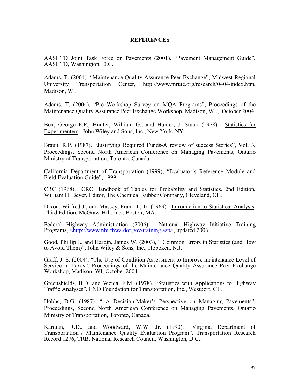#### **REFERENCES**

AASHTO Joint Task Force on Pavements (2001). "Pavement Management Guide", AASHTO, Washington, D.C.

Adams, T. (2004). "Maintenance Quality Assurance Peer Exchange", Midwest Regional University Transportation Center, http://www.mrutc.org/research/0404/index.htm, Madison, WI.

Adams, T. (2004). "Pre Workshop Survey on MQA Programs", Proceedings of the Maintenance Quality Assurance Peer Exchange Workshop, Madison, WI., October 2004

Box, George E.P., Hunter, William G., and Hunter, J. Stuart (1978). Statistics for Experimenters. John Wiley and Sons, Inc., New York, NY.

Braun, R.P. (1987). "Justifying Required Funds-A review of success Stories", Vol. 3, Proceedings, Second North American Conference on Managing Pavements, Ontario Ministry of Transportation, Toronto, Canada.

California Department of Transportation (1999), "Evaluator's Reference Module and Field Evaluation Guide", 1999.

CRC (1968). CRC Handbook of Tables for Probability and Statistics. 2nd Edition, William H. Beyer, Editor, The Chemical Rubber Company, Cleveland, OH.

Dixon, Wilfred J., and Massey, Frank J., Jr. (1969). Introduction to Statistical Analysis. Third Edition, McGraw-Hill, Inc., Boston, MA.

Federal Highway Administration (2006). National Highway Initiative Training Programs, <http://www.nhi.fhwa.dot.gov/training.asp>, updated 2006.

Good, Phillip I., and Hardin, James W. (2003), " Common Errors in Statistics (and How to Avoid Them)", John Wiley & Sons, Inc., Hoboken, N.J.

Graff, J. S. (2004). "The Use of Condition Assessment to Improve maintenance Level of Service in Texas<sup>5</sup>, Proceedings of the Maintenance Quality Assurance Peer Exchange Workshop, Madison, WI, October 2004.

Greenshields, B.D. and Weida, F.M. (1978). "Statistics with Applications to Highway Traffic Analyses", ENO Foundation for Transportation, Inc., Westport, CT.

Hobbs, D.G. (1987). " A Decision-Maker's Perspective on Managing Pavements", Proceedings, Second North American Conference on Managing Pavements, Ontario Ministry of Transportation, Toronto, Canada.

Kardian, R.D., and Woodward, W.W. Jr. (1990). "Virginia Department of Transportation's Maintenance Quality Evaluation Program", Transportation Research Record 1276, TRB, National Research Council, Washington, D.C..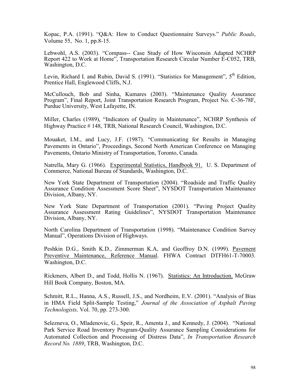Kopac, P.A. (1991). "Q&A: How to Conduct Questionnaire Surveys." Public Roads, Volume 55, No. 1, pp.8-15.

Lebwohl, A.S. (2003). "Compass-- Case Study of How Wisconsin Adapted NCHRP Report 422 to Work at Home", Transportation Research Circular Number E-C052, TRB, Washington, D.C.

Levin, Richard I. and Rubin, David S. (1991). "Statistics for Management", 5<sup>th</sup> Edition, Prentice Hall, Englewood Cliffs, N.J.

McCullouch, Bob and Sinha, Kumares (2003). "Maintenance Quality Assurance Program", Final Report, Joint Transportation Research Program, Project No. C-36-78F, Purdue University, West Lafayette, IN.

Miller, Charles (1989), "Indicators of Quality in Maintenance", NCHRP Synthesis of Highway Practice # 148, TRB, National Research Council, Washington, D.C.

Mouaket, I.M., and Lucy, J.F. (1987). "Communicating for Results in Managing Pavements in Ontario", Proceedings, Second North American Conference on Managing Pavements, Ontario Ministry of Transportation, Toronto, Canada.

Natrella, Mary G. (1966). Experimental Statistics, Handbook 91. U. S. Department of Commerce, National Bureau of Standards, Washington, D.C.

New York State Department of Transportation (2004). "Roadside and Traffic Quality Assurance Condition Assessment Score Sheet", NYSDOT Transportation Maintenance Division, Albany, NY.

New York State Department of Transportation (2001). "Paving Project Quality Assurance Assessment Rating Guidelines", NYSDOT Transportation Maintenance Division, Albany, NY.

North Carolina Department of Transportation (1998). "Maintenance Condition Survey Manual", Operations Division of Highways.

Peshkin D.G., Smith K.D., Zimmerman K.A, and Geoffroy D.N. (1999). Pavement Preventive Maintenance, Reference Manual. FHWA Contract DTFH61-T-70003. Washington, D.C.

Rickmers, Albert D., and Todd, Hollis N. (1967). Statistics: An Introduction. McGraw Hill Book Company, Boston, MA.

Schmitt, R.L., Hanna, A.S., Russell, J.S., and Nordheim, E.V. (2001). "Analysis of Bias in HMA Field Split-Sample Testing," Journal of the Association of Asphalt Paving Technologists, Vol. 70, pp. 273-300.

Selezneva, O., Mladenovic, G., Speir, R., Amenta J., and Kennedy, J. (2004). "National Park Service Road Inventory Program-Quality Assurance Sampling Considerations for Automated Collection and Processing of Distress Data", In Transportation Research Record No. 1889, TRB, Washington, D.C.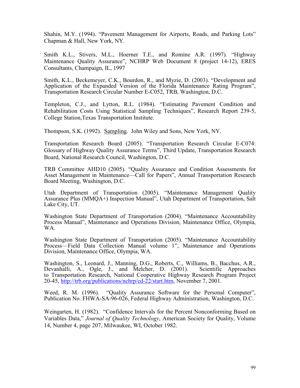Shahin, M.Y. (1994). "Pavement Management for Airports, Roads, and Parking Lots" Chapman & Hall, New York, NY.

Smith K.L., Stivers, M.L., Hoerner T.E., and Romine A.R. (1997). "Highway Maintenance Quality Assurance", NCHRP Web Document 8 (project 14-12), ERES Consultants, Champaign, IL, 1997

Smith, K.L., Beckemeyer, C.K., Bourdon, R., and Myzie, D. (2003). "Development and Application of the Expanded Version of the Florida Maintenance Rating Program", Transportation Research Circular Number E-C052, TRB, Washington, D.C.

Templeton, C.J., and Lytton, R.L. (1984). "Estimating Pavement Condition and Rehabilitation Costs Using Statistical Sampling Techniques", Research Report 239-5, College Station,Texas Transportation Institute.

Thompson, S.K. (1992). Sampling. John Wiley and Sons, New York, NY.

Transportation Research Board (2005). "Transportation Research Circular E-C074: Glossary of Highway Quality Assurance Terms", Third Update, Transportation Research Board, National Research Council, Washington, D.C.

TRB Committee AHD10 (2005). "Quality Assurance and Condition Assessments for Asset Management in Maintenance—Call for Papers", Annual Transportation Research Board Meeting, Washington, D.C.

Utah Department of Transportation (2005). "Maintenance Management Quality Assurance Plus (MMQA+) Inspection Manual", Utah Department of Transportation, Salt Lake City, UT.

Washington State Department of Transportation (2004). "Maintenance Accountability Process Manual", Maintenance and Operations Division, Maintenance Office, Olympia, WA.

Washington State Department of Transportation (2005). "Maintenance Accountability Process—Field Data Collection Manual volume 1", Maintenance and Operations Division, Maintenance Office, Olympia, WA.

Washington, S., Leonard, J., Manning, D.G., Roberts, C., Williams, B., Bacchus, A.R., Devanhalli, A., Ogle, J., and Melcher, D. (2001). Scientific Approaches Devanhalli, A., Ogle, J., and Melcher, D. (2001). to Transportation Research, National Cooperative Highway Research Program Project 20-45, http://trb.org/publications/nchrp/cd-22/start.htm, November 7, 2001.

Weed, R. M. (1996). "Quality Assurance Software for the Personal Computer", Publication No. FHWA-SA-96-026, Federal Highway Administration, Washington, D.C.

Weingarten, H. (1982). "Confidence Intervals for the Percent Nonconforming Based on Variables Data," Journal of Quality Technology, American Society for Quality, Volume 14, Number 4, page 207, Milwaukee, WI, October 1982.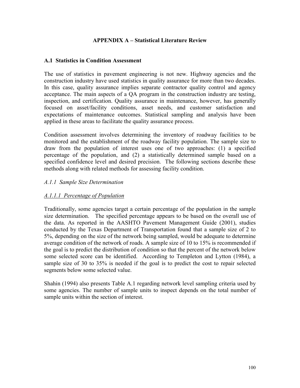### APPENDIX A – Statistical Literature Review

#### A.1 Statistics in Condition Assessment

The use of statistics in pavement engineering is not new. Highway agencies and the construction industry have used statistics in quality assurance for more than two decades. In this case, quality assurance implies separate contractor quality control and agency acceptance. The main aspects of a QA program in the construction industry are testing, inspection, and certification. Quality assurance in maintenance, however, has generally focused on asset/facility conditions, asset needs, and customer satisfaction and expectations of maintenance outcomes. Statistical sampling and analysis have been applied in these areas to facilitate the quality assurance process.

Condition assessment involves determining the inventory of roadway facilities to be monitored and the establishment of the roadway facility population. The sample size to draw from the population of interest uses one of two approaches: (1) a specified percentage of the population, and (2) a statistically determined sample based on a specified confidence level and desired precision. The following sections describe these methods along with related methods for assessing facility condition.

#### A.1.1 Sample Size Determination

#### A.1.1.1 Percentage of Population

Traditionally, some agencies target a certain percentage of the population in the sample size determination. The specified percentage appears to be based on the overall use of the data. As reported in the AASHTO Pavement Management Guide (2001), studies conducted by the Texas Department of Transportation found that a sample size of 2 to 5%, depending on the size of the network being sampled, would be adequate to determine average condition of the network of roads. A sample size of 10 to 15% is recommended if the goal is to predict the distribution of condition so that the percent of the network below some selected score can be identified. According to Templeton and Lytton (1984), a sample size of 30 to 35% is needed if the goal is to predict the cost to repair selected segments below some selected value.

Shahin (1994) also presents Table A.1 regarding network level sampling criteria used by some agencies. The number of sample units to inspect depends on the total number of sample units within the section of interest.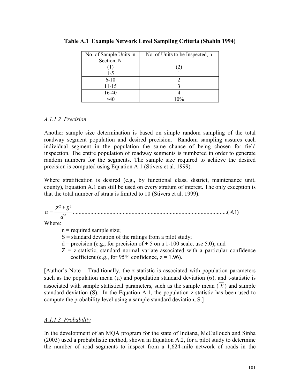| No. of Sample Units in | No. of Units to be Inspected, n |
|------------------------|---------------------------------|
| Section, N             |                                 |
|                        | 2                               |
| $1 - 5$                |                                 |
| $6 - 10$               |                                 |
| $11 - 15$              |                                 |
| 16-40                  |                                 |
|                        | $10\%$                          |

### Table A.1 Example Network Level Sampling Criteria (Shahin 1994)

## A.1.1.2 Precision

Another sample size determination is based on simple random sampling of the total roadway segment population and desired precision. Random sampling assures each individual segment in the population the same chance of being chosen for field inspection. The entire population of roadway segments is numbered in order to generate random numbers for the segments. The sample size required to achieve the desired precision is computed using Equation A.1 (Stivers et al. 1999).

Where stratification is desired (e.g., by functional class, district, maintenance unit, county), Equation A.1 can still be used on every stratum of interest. The only exception is that the total number of strata is limited to 10 (Stivers et al. 1999).

.........................................................................................................( )1. \* 2  $2 * C^2$ A d  $n = \frac{Z^2 * S}{r^2}$ 

Where:

 $n$  = required sample size;

- $S =$  standard deviation of the ratings from a pilot study;
- $d = \text{precision}$  (e.g., for precision of  $\pm 5$  on a 1-100 scale, use 5.0); and
- $Z = z$ -statistic, standard normal variate associated with a particular confidence coefficient (e.g., for 95% confidence,  $z = 1.96$ ).

[Author's Note – Traditionally, the z-statistic is associated with population parameters such as the population mean ( $\mu$ ) and population standard deviation ( $\sigma$ ), and t-statistic is associated with sample statistical parameters, such as the sample mean  $(X)$  and sample standard deviation (S). In the Equation A.1, the population z-statistic has been used to compute the probability level using a sample standard deviation, S.]

## A.1.1.3 Probability

In the development of an MQA program for the state of Indiana, McCullouch and Sinha (2003) used a probabilistic method, shown in Equation A.2, for a pilot study to determine the number of road segments to inspect from a 1,624-mile network of roads in the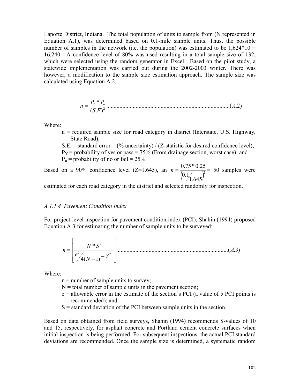Laporte District, Indiana. The total population of units to sample from (N represented in Equation A.1), was determined based on 0.1-mile sample units. Thus, the possible number of samples in the network (i.e. the population) was estimated to be  $1,624*10 =$ 16,240. A confidence level of 80% was used resulting in a total sample size of 132, which were selected using the random generator in Excel. Based on the pilot study, a statewide implementation was carried out during the 2002-2003 winter. There was however, a modification to the sample size estimation approach. The sample size was calculated using Equation A.2.

$$
n = \frac{P_{Y} * P_{n}}{(S.E)^{2}}
$$
.................(A.2)

Where:

- n = required sample size for road category in district (Interstate, U.S. Highway, State Road);
- S.E. = standard error =  $(\%$  uncertainty) / (Z-statistic for desired confidence level);
- $P_Y$  = probability of yes or pass = 75% (From drainage section, worst case); and
- $P_n$  = probability of no or fail = 25%.

Based on a 90% confidence level (Z=1.645), an  $n = \frac{0.75 - 0.25}{0.1645}$  $0.1$  $n = \frac{0.75 * 0.25}{(0.14)} = 50$  samples were

estimated for each road category in the district and selected randomly for inspection.

#### A.1.1.4 Pavement Condition Index

For project-level inspection for pavement condition index (PCI), Shahin (1994) proposed Equation A.3 for estimating the number of sample units to be surveyed:

$$
n = \left[\frac{N * S^{2}}{e^{2} / 4(N-1) + S^{2}}\right]
$$
.................(A.3)

Where:

 $n =$  number of sample units to survey;

- $N =$  total number of sample units in the pavement section;
- e = allowable error in the estimate of the section's PCI (a value of 5 PCI points is recommended); and
- S = standard deviation of the PCI between sample units in the section.

Based on data obtained from field surveys, Shahin (1994) recommends S-values of 10 and 15, respectively, for asphalt concrete and Portland cement concrete surfaces when initial inspection is being performed. For subsequent inspections, the actual PCI standard deviations are recommended. Once the sample size is determined, a systematic random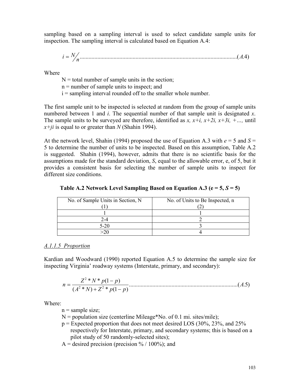sampling based on a sampling interval is used to select candidate sample units for inspection. The sampling interval is calculated based on Equation A.4:

$$
i = N/n \tag{A.4}
$$

Where

 $N =$  total number of sample units in the section;

n = number of sample units to inspect; and

i = sampling interval rounded off to the smaller whole number.

The first sample unit to be inspected is selected at random from the group of sample units numbered between 1 and *i*. The sequential number of that sample unit is designated x. The sample units to be surveyed are therefore, identified as x,  $x+i$ ,  $x+2i$ ,  $x+3i$ ,  $+...$ , until  $x+ji$  is equal to or greater than N (Shahin 1994).

At the network level, Shahin (1994) proposed the use of Equation A.3 with  $e = 5$  and  $S =$ 5 to determine the number of units to be inspected. Based on this assumption, Table A.2 is suggested. Shahin (1994), however, admits that there is no scientific basis for the assumptions made for the standard deviation, S, equal to the allowable error, e, of 5, but it provides a consistent basis for selecting the number of sample units to inspect for different size conditions.

| No. of Sample Units in Section, N | No. of Units to Be Inspected, n |
|-----------------------------------|---------------------------------|
|                                   |                                 |
|                                   |                                 |
| 2-4                               |                                 |
| $5-20$                            |                                 |
|                                   |                                 |

Table A.2 Network Level Sampling Based on Equation A.3 ( $e = 5$ ,  $S = 5$ )

## A.1.1.5 Proportion

Kardian and Woodward (1990) reported Equation A.5 to determine the sample size for inspecting Virginia' roadway systems (Interstate, primary, and secondary):

$$
n = \frac{Z^2 * N * p(1-p)}{(A^2 * N) + Z^2 * p(1-p)}
$$
.................(A.5)

Where:

 $n =$ sample size;

 $N =$  population size (centerline Mileage\*No. of 0.1 mi. sites/mile);

 $p =$  Expected proportion that does not meet desired LOS (30%, 23%, and 25%) respectively for Interstate, primary, and secondary systems; this is based on a pilot study of 50 randomly-selected sites);

A = desired precision (precision  $\frac{6}{100\%}$ ); and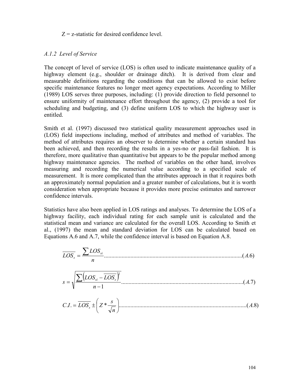#### $Z = z$ -statistic for desired confidence level.

#### A.1.2 Level of Service

The concept of level of service (LOS) is often used to indicate maintenance quality of a highway element (e.g., shoulder or drainage ditch). It is derived from clear and measurable definitions regarding the conditions that can be allowed to exist before specific maintenance features no longer meet agency expectations. According to Miller (1989) LOS serves three purposes, including: (1) provide direction to field personnel to ensure uniformity of maintenance effort throughout the agency, (2) provide a tool for scheduling and budgeting, and (3) define uniform LOS to which the highway user is entitled.

Smith et al. (1997) discussed two statistical quality measurement approaches used in (LOS) field inspections including, method of attributes and method of variables. The method of attributes requires an observer to determine whether a certain standard has been achieved, and then recording the results in a yes-no or pass-fail fashion. It is therefore, more qualitative than quantitative but appears to be the popular method among highway maintenance agencies. The method of variables on the other hand, involves measuring and recording the numerical value according to a specified scale of measurement. It is more complicated than the attributes approach in that it requires both an approximately normal population and a greater number of calculations, but it is worth consideration when appropriate because it provides more precise estimates and narrower confidence intervals.

Statistics have also been applied in LOS ratings and analyses. To determine the LOS of a highway facility, each individual rating for each sample unit is calculated and the statistical mean and variance are calculated for the overall LOS. According to Smith et al., (1997) the mean and standard deviation for LOS can be calculated based on Equations A.6 and A.7, while the confidence interval is based on Equation A.8.

$$
\overline{LOS_s} = \frac{\sum LOS_{si}}{n} \tag{A.6}
$$
\n
$$
s = \sqrt{\frac{\sum (LOS_{si} - \overline{LOS_s})^2}{n - 1}} \tag{A.7}
$$
\n
$$
C.I. = \overline{LOS_s} \pm \left(Z * \frac{s}{\sqrt{n}}\right) \tag{A.8}
$$

n

 $\setminus$ 

J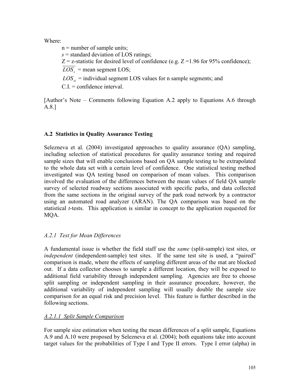Where:

 $n =$  number of sample units;  $s =$  standard deviation of LOS ratings;  $Z = z$ -statistic for desired level of confidence (e.g.  $Z = 1.96$  for 95% confidence);  $LOS<sub>s</sub>$  = mean segment LOS;  $LOS_{si}$  = individual segment LOS values for n sample segments; and

 $C.I. =$  confidence interval.

[Author's Note – Comments following Equation A.2 apply to Equations A.6 through A.8.]

# A.2 Statistics in Quality Assurance Testing

Selezneva et al. (2004) investigated approaches to quality assurance (QA) sampling, including selection of statistical procedures for quality assurance testing and required sample sizes that will enable conclusions based on QA sample testing to be extrapolated to the whole data set with a certain level of confidence. One statistical testing method investigated was QA testing based on comparison of mean values. This comparison involved the evaluation of the differences between the mean values of field QA sample survey of selected roadway sections associated with specific parks, and data collected from the same sections in the original survey of the park road network by a contractor using an automated road analyzer (ARAN). The QA comparison was based on the statistical t-tests. This application is similar in concept to the application requested for MQA.

# A.2.1 Test for Mean Differences

A fundamental issue is whether the field staff use the same (split-sample) test sites, or independent (independent-sample) test sites. If the same test site is used, a "paired" comparison is made, where the effects of sampling different areas of the mat are blocked out. If a data collector chooses to sample a different location, they will be exposed to additional field variability through independent sampling. Agencies are free to choose split sampling or independent sampling in their assurance procedure, however, the additional variability of independent sampling will usually double the sample size comparison for an equal risk and precision level. This feature is further described in the following sections.

# A.2.1.1 Split Sample Comparison

For sample size estimation when testing the mean differences of a split sample, Equations A.9 and A.10 were proposed by Selezneva et al. (2004); both equations take into account target values for the probabilities of Type I and Type II errors. Type I error (alpha) in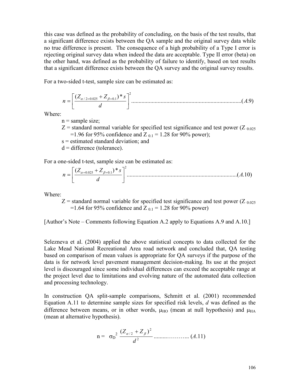this case was defined as the probability of concluding, on the basis of the test results, that a significant difference exists between the QA sample and the original survey data while no true difference is present. The consequence of a high probability of a Type I error is rejecting original survey data when indeed the data are acceptable. Type II error (beta) on the other hand, was defined as the probability of failure to identify, based on test results that a significant difference exists between the QA survey and the original survey results.

For a two-sided t-test, sample size can be estimated as:

...........................................................................( )9. ( \*) 2 / 2 .0 025 1.0 A d Z Z s n + = <sup>α</sup> = β =

Where:

 $n =$ sample size;

 $Z$  = standard normal variable for specified test significance and test power (Z  $_{0.025}$ ) =1.96 for 95% confidence and Z  $_{0.1}$  = 1.28 for 90% power);

s = estimated standard deviation; and

 $d =$  difference (tolerance).

For a one-sided t-test, sample size can be estimated as:

...........................................................................( .10) ( \*) 2 .0 025 1.0 A d Z Z s n + = <sup>α</sup> = β =

Where:

 $Z$  = standard normal variable for specified test significance and test power ( $Z_{0.025}$ ) =1.64 for 95% confidence and Z  $_{0.1}$  = 1.28 for 90% power)

[Author's Note – Comments following Equation A.2 apply to Equations A.9 and A.10.]

Selezneva et al. (2004) applied the above statistical concepts to data collected for the Lake Mead National Recreational Area road network and concluded that, QA testing based on comparison of mean values is appropriate for QA surveys if the purpose of the data is for network level pavement management decision-making. Its use at the project level is discouraged since some individual differences can exceed the acceptable range at the project level due to limitations and evolving nature of the automated data collection and processing technology.

In construction QA split-sample comparisons, Schmitt et al. (2001) recommended Equation A.11 to determine sample sizes for specified risk levels,  $d$  was defined as the difference between means, or in other words,  $\mu_{HO}$  (mean at null hypothesis) and  $\mu_{HA}$ (mean at alternative hypothesis).

$$
n = \sigma_D^2 \frac{(Z_{\alpha/2} + Z_{\beta})^2}{d^2} \dots \dots \dots \dots \dots \dots (A.11)
$$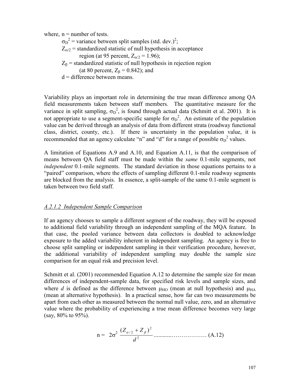where,  $n =$  number of tests.

 $\sigma_{\rm D}^2$  = variance between split samples (std. dev.)<sup>2</sup>;

 $Z_{\alpha/2}$  = standardized statistic of null hypothesis in acceptance

region (at 95 percent,  $Z_{\alpha/2} = 1.96$ );

 $Z_{\beta}$  = standardized statistic of null hypothesis in rejection region (at 80 percent,  $Z_\beta$  = 0.842); and

 $d =$  difference between means.

Variability plays an important role in determining the true mean difference among QA field measurements taken between staff members. The quantitative measure for the variance in split sampling,  $\sigma_D^2$ , is found through actual data (Schmitt et al. 2001). It is not appropriate to use a segment-specific sample for  $\sigma_D^2$ . An estimate of the population value can be derived through an analysis of data from different strata (roadway functional class, district, county, etc.). If there is uncertainty in the population value, it is recommended that an agency calculate "n" and "d" for a range of possible  $\sigma_D^2$  values.

A limitation of Equations A.9 and A.10, and Equation A.11, is that the comparison of means between QA field staff must be made within the same 0.1-mile segments, not independent 0.1-mile segments. The standard deviation in those equations pertains to a "paired" comparison, where the effects of sampling different 0.1-mile roadway segments are blocked from the analysis. In essence, a split-sample of the same 0.1-mile segment is taken between two field staff.

#### A.2.1.2 Independent Sample Comparison

If an agency chooses to sample a different segment of the roadway, they will be exposed to additional field variability through an independent sampling of the MQA feature. In that case, the pooled variance between data collectors is doubled to acknowledge exposure to the added variability inherent in independent sampling. An agency is free to choose split sampling or independent sampling in their verification procedure, however, the additional variability of independent sampling may double the sample size comparison for an equal risk and precision level.

Schmitt et al. (2001) recommended Equation A.12 to determine the sample size for mean differences of independent-sample data, for specified risk levels and sample sizes, and where d is defined as the difference between  $\mu_{HO}$  (mean at null hypothesis) and  $\mu_{HA}$ (mean at alternative hypothesis). In a practical sense, how far can two measurements be apart from each other as measured between the normal null value, zero, and an alternative value where the probability of experiencing a true mean difference becomes very large (say, 80% to 95%).

$$
n = 2\sigma^2 \frac{(Z_{\alpha/2} + Z_{\beta})^2}{d^2} \dots \dots \dots \dots \dots \dots \dots \dots \dots (A.12)
$$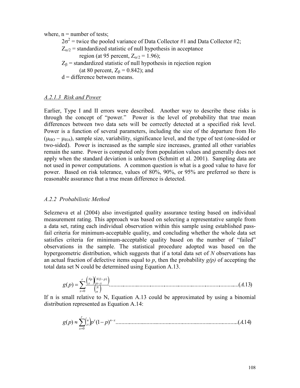where,  $n =$  number of tests;

 $2\sigma^2$  = twice the pooled variance of Data Collector #1 and Data Collector #2;

 $Z_{\alpha/2}$  = standardized statistic of null hypothesis in acceptance

region (at 95 percent,  $Z_{\alpha/2} = 1.96$ );

 $Z_\beta$  = standardized statistic of null hypothesis in rejection region (at 80 percent,  $Z_\beta$  = 0.842); and

 $d =$  difference between means.

## A.2.1.3 Risk and Power

Earlier, Type I and II errors were described. Another way to describe these risks is through the concept of "power." Power is the level of probability that true mean differences between two data sets will be correctly detected at a specified risk level. Power is a function of several parameters, including the size of the departure from Ho  $(\mu_{HO} - \mu_{HA})$ , sample size, variability, significance level, and the type of test (one-sided or two-sided). Power is increased as the sample size increases, granted all other variables remain the same. Power is computed only from population values and generally does not apply when the standard deviation is unknown (Schmitt et al. 2001). Sampling data are not used in power computations. A common question is what is a good value to have for power. Based on risk tolerance, values of 80%, 90%, or 95% are preferred so there is reasonable assurance that a true mean difference is detected.

## A.2.2 Probabilistic Method

Selezneva et al (2004) also investigated quality assurance testing based on individual measurement rating. This approach was based on selecting a representative sample from a data set, rating each individual observation within this sample using established passfail criteria for minimum-acceptable quality, and concluding whether the whole data set satisfies criteria for minimum-acceptable quality based on the number of "failed" observations in the sample. The statistical procedure adopted was based on the hypergeometric distribution, which suggests that if a total data set of N observations has an actual fraction of defective items equal to p, then the probability  $g(p)$  of accepting the total data set N could be determined using Equation A.13.

( )( ) ( ) ( ) ..............................................................................................( .13) 0 1( ) g p A r x N n N p n x Np x ∑= − <sup>−</sup> =

If n is small relative to N, Equation A.13 could be approximated by using a binomial distribution represented as Equation A.14:

( ) ( ) 1( ) ...................................................................................( .14) 0 g p p p A x n x r x n x − = <sup>≈</sup>∑ <sup>−</sup>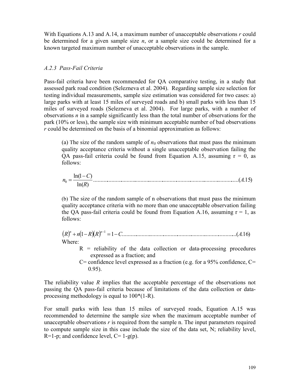With Equations A.13 and A.14, a maximum number of unacceptable observations  $r$  could be determined for a given sample size  $n$ , or a sample size could be determined for a known targeted maximum number of unacceptable observations in the sample.

### A.2.3 Pass-Fail Criteria

Pass-fail criteria have been recommended for QA comparative testing, in a study that assessed park road condition (Selezneva et al. 2004). Regarding sample size selection for testing individual measurements, sample size estimation was considered for two cases: a) large parks with at least 15 miles of surveyed roads and b) small parks with less than 15 miles of surveyed roads (Selezneva et al. 2004). For large parks, with a number of observations  $n$  in a sample significantly less than the total number of observations for the park (10% or less), the sample size with minimum acceptable number of bad observations  $r$  could be determined on the basis of a binomial approximation as follows:

(a) The size of the random sample of  $n_0$  observations that must pass the minimum quality acceptance criteria without a single unacceptable observation failing the QA pass-fail criteria could be found from Equation A.15, assuming  $r = 0$ , as follows:

.........................................................................................................( .15) ln( ) ln(1 ) <sup>0</sup> A R C n − =

(b) The size of the random sample of n observations that must pass the minimum quality acceptance criteria with no more than one unacceptable observation failing the QA pass-fail criteria could be found from Equation A.16, assuming  $r = 1$ , as follows:

( ) (1 )( ) 1 .................................................................................( .16) 1 R n R R C A n n + − = − − Where:

- $R$  = reliability of the data collection or data-processing procedures expressed as a fraction; and
- $C=$  confidence level expressed as a fraction (e.g. for a 95% confidence,  $C=$ 0.95).

The reliability value R implies that the acceptable percentage of the observations not passing the QA pass-fail criteria because of limitations of the data collection or dataprocessing methodology is equal to 100\*(1-R).

For small parks with less than 15 miles of surveyed roads, Equation A.15 was recommended to determine the sample size when the maximum acceptable number of unacceptable observations  $r$  is required from the sample n. The input parameters required to compute sample size in this case include the size of the data set, N; reliability level,  $R=1-p$ ; and confidence level,  $C=1-g(p)$ .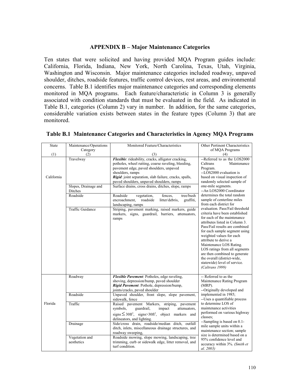### APPENDIX B – Major Maintenance Categories

Ten states that were solicited and having provided MQA Program guides include: California, Florida, Indiana, New York, North Carolina, Texas, Utah, Virginia, Washington and Wisconsin. Major maintenance categories included roadway, unpaved shoulder, ditches, roadside features, traffic control devices, rest areas, and environmental concerns. Table B.1 identifies major maintenance categories and corresponding elements monitored in MQA programs. Each feature/characteristic in Column 3 is generally associated with condition standards that must be evaluated in the field. As indicated in Table B.1, categories (Column 2) vary in number. In addition, for the same categories, considerable variation exists between states in the feature types (Column 3) that are monitored.

| State      | Maintenance/Operations          | Monitored Feature/Characteristics                                                                                                                                                                                                  | Other Pertinent Characteristics                                                                                                                                                                                                                                                                                                                                                                                                           |
|------------|---------------------------------|------------------------------------------------------------------------------------------------------------------------------------------------------------------------------------------------------------------------------------|-------------------------------------------------------------------------------------------------------------------------------------------------------------------------------------------------------------------------------------------------------------------------------------------------------------------------------------------------------------------------------------------------------------------------------------------|
|            | Category                        |                                                                                                                                                                                                                                    | of MQA Programs                                                                                                                                                                                                                                                                                                                                                                                                                           |
| (1)        | (2)                             | (3)                                                                                                                                                                                                                                | (4)                                                                                                                                                                                                                                                                                                                                                                                                                                       |
| California | Travelway                       | Flexible: rideability, cracks, alligator cracking,<br>potholes, wheel rutting, coarse raveling, bleeding,<br>pavement edge, paved shoulders, unpaved<br>shoulders, ramps<br>Rigid: joint separation, slab failure, cracks, spalls, | --Referred to as the LOS2000<br>Maintenance<br>Caltrans<br>Program.<br>--LOS2000 evaluation is<br>based on visual inspection of                                                                                                                                                                                                                                                                                                           |
|            | Slopes, Drainage and<br>Ditches | paved shoulders, unpaved shoulders, ramps<br>Surface drains, cross drains, ditches, slope, ramps                                                                                                                                   | randomly selected sample of<br>one-mile segments.<br>-- An LOS2000 Coordinator                                                                                                                                                                                                                                                                                                                                                            |
|            | Roadside                        | Roadside<br>tree/bush<br>fences.<br>vegetation,<br>encroachment,<br>roadside<br>litter/debris.<br>graffiti.<br>landscaping, ramps                                                                                                  | determines the total random<br>sample of centerline miles<br>from each district for                                                                                                                                                                                                                                                                                                                                                       |
|            | Traffic Guidance                | Striping, pavement marking, raised markers, guide<br>markers, signs, guardrail, barriers, attenuators,<br>ramps                                                                                                                    | evaluation. Pass/Fail threshold<br>criteria have been established<br>for each of the maintenance<br>attributes listed in Column 3.<br>Pass/Fail results are combined<br>for each sample segment using<br>weighted values for each<br>attribute to derive a<br>Maintenance LOS Rating.<br>LOS ratings from all segments<br>are then combined to generate<br>the overall (district-wide,<br>statewide) level of service.<br>(Caltrans 1999) |
|            | Roadway                         | Flexible Pavement: Potholes, edge raveling,<br>shoving, depression/bump, paved shoulder<br>Rigid Pavement: Pothole, depression/bump,<br>joints/cracks, paved shoulder                                                              | -- Referred to as the<br>Maintenance Rating Program<br>(MRP).<br>--Originally developed and                                                                                                                                                                                                                                                                                                                                               |
|            | Roadside                        | Unpaved shoulder, front slope, slope pavement,<br>sidewalk, fence                                                                                                                                                                  | implemented in 1985;<br>--Uses a quantifiable process                                                                                                                                                                                                                                                                                                                                                                                     |
| Florida    | Traffic                         | Raised pavement Markers,<br>striping, pavement<br>symbols.<br>guardrail,<br>impact<br>attenuators,<br>$signs \leq 30$ ft <sup>2</sup> , signs>30ft <sup>2</sup> , object markers and<br>delineators, and lighting.                 | to determine LOS of<br>maintenance activities<br>performed on various highway<br>classes:<br>--Sampling is based on 0.1-                                                                                                                                                                                                                                                                                                                  |
|            | Drainage<br>Vegetation and      | Side/cross drain, roadside/median ditch, outfall<br>ditch, inlets, miscellaneous drainage structures, and<br>roadway sweeping,<br>Roadside mowing, slope mowing, landscaping, tree                                                 | mile sample units within a<br>maintenance section; sample<br>size is determined based on a                                                                                                                                                                                                                                                                                                                                                |
|            | aesthetics                      | trimming, curb or sidewalk edge, litter removal, and<br>turf condition.                                                                                                                                                            | 95% confidence level and<br>accuracy within 3%. (Smith et<br>al. 2003)                                                                                                                                                                                                                                                                                                                                                                    |

#### Table B.1 Maintenance Categories and Characteristics in Agency MQA Programs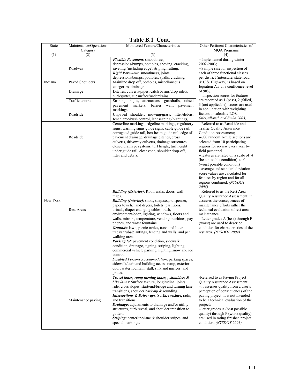| State    | Maintenance/Operations | 1 KUIV 171 1<br>vvn.<br>Monitored Feature/Characteristics                                                  | Other Pertinent Characteristics of                                        |
|----------|------------------------|------------------------------------------------------------------------------------------------------------|---------------------------------------------------------------------------|
|          | Category               |                                                                                                            | <b>MQA Programs</b>                                                       |
| (1)      | (2)                    | (3)                                                                                                        | (4)                                                                       |
|          |                        | Flexible Pavement: smoothness,                                                                             | --Implemented during winter                                               |
|          |                        | depressions/bumps, potholes, shoving, cracking,                                                            | 2002-2003;                                                                |
|          | Roadway                | raveling (including edge)/striping, rutting.                                                               | --Sample size for inspection of                                           |
|          |                        | Rigid Pavement: smoothness, joints,<br>depressions/bumps, potholes, spalls, cracking.                      | each of three functional classes<br>per district (interstate, state road, |
| Indiana  | Paved Shoulders        | Mainline drop off, potholes, miscellaneous                                                                 | & U.S. Highway) is based on                                               |
|          |                        | categories, drainage                                                                                       | Equation A.3 at a confidence level                                        |
|          | Drainage               | Ditches, culverts/pipes, catch basins/drop inlets,                                                         | of 90%.                                                                   |
|          |                        | curb/gutter, subsurface/underdrains.                                                                       | -- Inspection scores for features                                         |
|          | Traffic control        | Striping, signs, attenuators, guardrails, raised                                                           | are recorded as 1 (pass), 2 (failed),                                     |
|          |                        | pavement markers,<br>barrier wall, pavement                                                                | 3 (not applicable); scores are used                                       |
|          |                        | markings.                                                                                                  | in conjunction with weighting<br>factors to calculate LOS.                |
|          | Roadside               | Unpaved shoulder, mowing/grass, litter/debris,                                                             | (McCullouch and Sinha 2003)                                               |
|          |                        | fence, tree/bush control, landscaping (plantings).                                                         | --Referred to as Roadside and                                             |
|          |                        | Centerline markings, edgeline markings, regulatory<br>signs, warning signs guide signs, cable guide rail,  | Traffic Quality Assurance                                                 |
|          |                        | corrugated guide rail, box beam guide rail, edge of                                                        | Condition Assessment:                                                     |
|          | Roadside               | pavement drainage, drainage ditches, cross                                                                 | --600 random 1-mile sections are                                          |
|          |                        | culverts, driveway culverts, drainage structures,                                                          | selected from 10 participating                                            |
|          |                        | closed drainage systems, turf height, turf height                                                          | regions for review every year by                                          |
|          |                        | under guide rail, clear zone, shoulder drop-off,                                                           | field personnel                                                           |
|          |                        | litter and debris.                                                                                         | --features are rated on a scale of 4                                      |
|          |                        |                                                                                                            | (best possible condition) to 0<br>(worst possible condition)              |
|          |                        |                                                                                                            | --average and standard deviation                                          |
|          |                        |                                                                                                            | score values are calculated for                                           |
|          |                        |                                                                                                            | features by region and for all                                            |
|          |                        |                                                                                                            | regions combined. (NYSDOT                                                 |
|          |                        |                                                                                                            | 2004)                                                                     |
|          |                        | <b>Building (Exterior):</b> Roof, walls, doors, wall                                                       | --Referred to as the Rest Area                                            |
| New York |                        | maps.                                                                                                      | Quality Assurance Assessment; it                                          |
|          | <b>Rest Areas</b>      | <b>Building (Interior)</b> : sinks, soap/soap dispenser,<br>paper towels/hand dryers, toilets, partitions, | assesses the consequences of<br>maintenance efforts rather the            |
|          |                        | urinals, diaper changing tables, trash,                                                                    | technical evaluation of rest area                                         |
|          |                        | environment/odor, lighting, windows, floors and                                                            | maintenance.                                                              |
|          |                        | walls, mirrors, temperature, vending machines, pay                                                         | --Letter grades A (best) through F                                        |
|          |                        | phones, and water fountains.                                                                               | (worst) are used to describe                                              |
|          |                        | Grounds: lawn, picnic tables, trash and litter,                                                            | condition for characteristics of the                                      |
|          |                        | trees/shrubs/plantings, fencing and walls, and pet                                                         | rest area. (NYSDOT 2004)                                                  |
|          |                        | walking area.<br>Parking lot: pavement condition, sidewalk                                                 |                                                                           |
|          |                        | condition, drainage, signing, striping, lighting,                                                          |                                                                           |
|          |                        | commercial vehicle parking, lighting, snow and ice                                                         |                                                                           |
|          |                        | control.                                                                                                   |                                                                           |
|          |                        | Disabled Persons Accommodation: parking spaces,                                                            |                                                                           |
|          |                        | sidewalk/curb and building access ramp, exterior                                                           |                                                                           |
|          |                        | door, water fountain, stall, sink and mirrors, and<br>grates.                                              |                                                                           |
|          |                        | Travel lanes, ramp turning lanes, , shoulders &                                                            | -Referred to as Paving Project                                            |
|          |                        | bike lanes: Surface texture, longitudinal joints,                                                          | <b>Ouality Assurance Assessment</b> ;                                     |
|          | Maintenance paving     | ride, cross slopes, start/end/bridge and turning lane                                                      | -- it assesses quality from a user's                                      |
|          |                        | transitions, shoulder back-up $&$ rounding.                                                                | perception of consequences of the                                         |
|          |                        | Intersections & Driveways: Surface texture, radii,                                                         | paving project. It is not intended                                        |
|          |                        | and transitions.                                                                                           | to be a technical evaluation of the                                       |
|          |                        | Drainage: adjustments to drainage and/or utility                                                           | project:                                                                  |
|          |                        | structures, curb reveal, and shoulder transition to                                                        | --letter grades A (best possible<br>quality) through F (worst quality)    |
|          |                        | gutters.<br>Striping: centerline/lane & shoulder stripes, and                                              | are used in rating finished project                                       |
|          |                        | special markings.                                                                                          | condition. (NYSDOT 2001)                                                  |
|          |                        |                                                                                                            |                                                                           |

### Table B.1 Cont.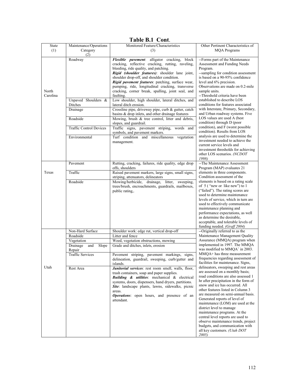| State    | Maintenance/Operations         | Monitored Feature/Characteristics                                                                        | Other Pertinent Characteristics of                                                                 |
|----------|--------------------------------|----------------------------------------------------------------------------------------------------------|----------------------------------------------------------------------------------------------------|
| (1)      | Category                       | (3)                                                                                                      | <b>MQA</b> Programs                                                                                |
|          | (2)                            |                                                                                                          | --Forms part of the Maintenance                                                                    |
|          | Roadway                        | Flexible pavement: alligator cracking, block<br>cracking, reflective cracking, rutting, raveling,        | Assessment and Funding Needs                                                                       |
|          |                                | bleeding, ride quality, and patching.                                                                    | Program.                                                                                           |
|          |                                | Rigid (shoulder features): shoulder lane joint,                                                          | --sampling for condition assessment                                                                |
|          |                                | shoulder drop-off, and shoulder condition.<br>Rigid pavement features: patching, surface wear,           | is based on a 90-95% confidence<br>level and 6% precision.                                         |
|          |                                | pumping, ride, longitudinal cracking, transverse                                                         | Observations are made on 0.2-mile                                                                  |
| North    |                                | cracking, corner break, spalling, joint seal, and                                                        | sample units.                                                                                      |
| Carolina |                                | faulting.                                                                                                | --Threshold criteria have been                                                                     |
|          | Unpaved Shoulders &            | Low shoulder, high shoulder, lateral ditches, and<br>lateral ditch erosion.                              | established to describe LOS<br>conditions for features associated                                  |
|          | Ditches<br>Drainage            | Crossline pipe, driveway pipe, curb & gutter, catch                                                      | with Interstate, Primary, Secondary,                                                               |
|          |                                | basins & drop inlets, and other drainage features                                                        | and Urban roadway systems. Five                                                                    |
|          | Roadside                       | Mowing, brush & tree control, litter and debris,                                                         | LOS values are used A (best                                                                        |
|          |                                | slopes, and guardrail.                                                                                   | condition) through D (poor<br>condition), and F (worst possible                                    |
|          | <b>Traffic Control Devices</b> | Traffic signs, pavement striping,<br>words and<br>symbols, and pavement markers.                         | condition). Results from LOS                                                                       |
|          | Environmental                  | Turf condition and miscellaneous<br>vegetation                                                           | analysis are used to determine the                                                                 |
|          |                                | management.                                                                                              | investment needed to achieve the                                                                   |
|          |                                |                                                                                                          | current service levels and<br>investment thresholds for achieving                                  |
|          |                                |                                                                                                          | other LOS scenarios. (NCDOT                                                                        |
|          |                                |                                                                                                          | 1998)                                                                                              |
|          | Pavement                       | Rutting, cracking, failures, ride quality, edge drop                                                     | -- The Maintenance Assessment                                                                      |
| Texas    | Traffic                        | offs, shoulders<br>Raised pavement markers, large signs, small signs,                                    | Program (MAP) evaluates 21<br>elements in three components.                                        |
|          |                                | striping, attenuators, delineators                                                                       | Condition assessment of the                                                                        |
|          | Roadside                       | Mowing/herbicide, drainage, litter, sweeping,                                                            | elements is based on a rating scale                                                                |
|          |                                | trees/brush, encroachments, guardrails, mailboxes,                                                       | of 5 ("new or like new") to 1<br>("failed"). The rating scores are                                 |
|          |                                | public rating,.                                                                                          | used to determine maintenance                                                                      |
|          |                                |                                                                                                          | levels of service, which in turn are                                                               |
|          |                                |                                                                                                          | used to effectively communicate                                                                    |
|          |                                |                                                                                                          | maintenance planning and<br>performance expectations, as well                                      |
|          |                                |                                                                                                          | as determine the desirable,                                                                        |
|          |                                |                                                                                                          | acceptable, and tolerable levels of                                                                |
|          |                                |                                                                                                          | funding needed. (Graff 2004)                                                                       |
|          | Non-Hard Surface<br>Roadside   | Shoulder work: edge rut, vertical drop-off<br>Litter and fence                                           | --Originally referred to as the<br>Maintenance Management Quality<br>Assurance (MMQA) program when |
|          | Vegetation                     | Weed, vegetation obstructions, mowing                                                                    |                                                                                                    |
| Utah     | Drainage<br>Slope<br>and       | Grade and ditches, inlets, erosion                                                                       | implemented in 1997. The MMQA                                                                      |
|          | Repair                         |                                                                                                          | was modified to MMOA <sup>+</sup> in 2003.                                                         |
|          | <b>Traffic Services</b>        | Pavement striping, pavement markings, signs,                                                             | MMQA+ has three measurement<br>frequencies regarding assessment of                                 |
|          |                                | delineation, guardrail, sweeping, curb/gutter and<br>islands.                                            | facilities for maintenance. Signs,                                                                 |
|          | Rest Area                      | Janitorial services: rest room smell, walls, floor,                                                      | delineators, sweeping and rest areas                                                               |
|          |                                | trash containers, soap and paper supplies.                                                               | are assessed on a monthly basis;                                                                   |
|          |                                | <b>Building &amp; utilities</b> : mechanical & electrical                                                | road conditions are also assessed 1<br>hr after precipitation in the form of                       |
|          |                                | systems, doors, dispensers, hand dryers, partitions.<br>Site: landscape plants, lawns, sidewalks, picnic | snow and ice has occurred. All                                                                     |
|          |                                | areas.                                                                                                   | other features listed in Column 3                                                                  |
|          |                                | <b>Operations:</b> open hours, and presence of an                                                        | are measured on semi-annual basis.<br>Generated reports of level of                                |
|          |                                | attendant.                                                                                               | maintenance (LOM) are used at the                                                                  |
|          |                                |                                                                                                          | district level to manage                                                                           |
|          |                                |                                                                                                          | maintenance programs. At the                                                                       |
|          |                                |                                                                                                          | central level reports are used to                                                                  |
|          |                                |                                                                                                          | observe maintenance trends, project<br>budgets, and communication with                             |
|          |                                |                                                                                                          | all key customers. (Utah DOT                                                                       |
|          |                                |                                                                                                          | 2005)                                                                                              |

#### Table B.1 Cont.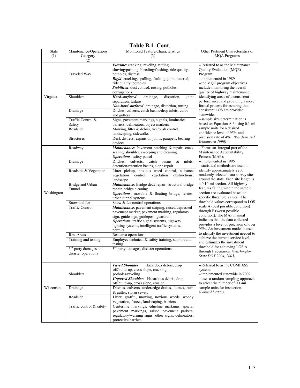Table B.1 Cont.

| (2)<br>Flexible: cracking, raveling, rutting,<br>--Referred to as the Maintenance<br>shoving/pushing, bleeding/flushing, ride quality,<br>Quality Evaluation (MQE)<br>Traveled Way<br>potholes, distress<br>Program;<br>--implemented in 1989<br>Rigid: cracking, spalling, faulting, joint material,<br>-- the MQE program objectives<br>ride quality, potholes<br>Stabilized: dust control, rutting, potholes,<br>include monitoring the overall<br>corrugations<br>quality of highway maintenance,<br>Hard-surfaced:<br>identifying areas of inconsistent<br>Virginia<br>Shoulders<br>drainage,<br>distortion.<br>joint<br>performance, and providing a more<br>separation, failure<br>formal process for assuring that<br>Non-hard surfaced: drainage, distortion, rutting<br>consistent LOS are provided<br>Ditches, culverts, catch basins/drop inlets, curbs<br>Drainage<br>statewide:<br>and gutters<br>--sample size determination is<br>Traffic Control &<br>Signs, pavement markings, signals, luminaries,<br>based on Equation A.6 using 0.1-mi<br>barriers, delineators, object markers<br>Safety<br>sample units for a desired<br>Roadside<br>Mowing, litter & debris, tree/bush control,<br>confidence level of 95% and<br>landscaping, sidewalks<br>precision rate of 4%. (Kardian and<br>Deck distress, expansion joints, parapets, bearing<br>Structures<br>Woodward 1990)<br>devices<br>Maintenance: Pavement patching & repair, crack<br>--Forms an integral part of the<br>Roadway<br>sealing, shoulder, sweeping and cleaning<br>Maintenance Accountability<br>Operations: safety patrol<br>Process (MAP);<br>--implemented in 1996<br>Ditches.<br>culverts.<br>catch<br>basins<br>&<br>Drainage<br>inlets.<br>--statistical methods are used to<br>detention/retention basins, slope repair<br>Roadside & Vegetation<br>Litter pickup, noxious weed control, nuisance<br>identify approximately 2200<br>randomly selected data survey sites<br>vegetation<br>control,<br>vegetation<br>obstructions,<br>around the state. Each site length is<br>landscape<br>a 0.10-mi section. All highway<br>Bridge and Urban<br>Maintenance: Bridge deck repair, structural bridge<br>features falling within the sample<br>Tunnel<br>repair, bridge cleaning.<br>Washington<br>section are evaluated based on<br>Operations: movable & floating bridge, ferries,<br>specific threshold values. The<br>urban tunnel systems<br>threshold values correspond to LOS<br>Snow & Ice control operations<br>Snow and Ice<br>scale A (best possible condition)<br><b>Traffic Control</b><br>Maintenance: pavement striping, raised/depressed<br>through F (worst possible<br>pavement marker, pavement marking, regulatory<br>condition). The MAP manual<br>sign, guide sign, guidepost, guardrail.<br>indicates that the data collected<br>Operations: traffic signal systems, highway<br>provides a level of precision of over<br>lighting systems, intelligent traffic systems,<br>95%. An investment model is used<br>permits<br>to identify the investment needed to<br>Rest area operations<br>Rest Areas<br>achieve the current service level,<br>Employee technical $\&$ safety training, support and<br>Training and testing<br>and estimates the investment<br>testing<br>threshold for achieving LOS A<br>3 <sup>rd</sup> party damages, disaster operations<br>3 <sup>rd</sup> -party damages and<br>through F scenarios. (Washington<br>disaster operations<br>State DOT 2004, 2005)<br><b>Paved Shoulder:</b><br>Hazardous debris, drop<br>--Referred to as the COMPASS<br>off/build-up, cross slope, cracking,<br>system;<br>Shoulders<br>--implemented statewide in 2002;<br>potholes/raveling<br>Unpaved Shoulder: Hazardous debris, drop<br>--uses a random sampling approach<br>off/build-up, cross slope, erosion<br>to select the number of 0.1-mi<br>Wisconsin<br>Ditches, culverts, under/edge drains, flumes, curb<br>sample units for inspection.<br>Drainage<br>(Lebwohl 2003).<br>& gutter, storm sewer.<br>Litter, graffiti, mowing, noxious weeds, woody<br>Roadside<br>vegetation, fences, landscaping, barriers<br>Traffic control & safety<br>Centerline markings, edgeline markings, special<br>pavement markings, raised pavement parkers,<br>regulatory/warning signs, other signs, delineators,<br>protective barriers. | State | Maintenance/Operations | Monitored Feature/Characteristics | Other Pertinent Characteristics of |
|-----------------------------------------------------------------------------------------------------------------------------------------------------------------------------------------------------------------------------------------------------------------------------------------------------------------------------------------------------------------------------------------------------------------------------------------------------------------------------------------------------------------------------------------------------------------------------------------------------------------------------------------------------------------------------------------------------------------------------------------------------------------------------------------------------------------------------------------------------------------------------------------------------------------------------------------------------------------------------------------------------------------------------------------------------------------------------------------------------------------------------------------------------------------------------------------------------------------------------------------------------------------------------------------------------------------------------------------------------------------------------------------------------------------------------------------------------------------------------------------------------------------------------------------------------------------------------------------------------------------------------------------------------------------------------------------------------------------------------------------------------------------------------------------------------------------------------------------------------------------------------------------------------------------------------------------------------------------------------------------------------------------------------------------------------------------------------------------------------------------------------------------------------------------------------------------------------------------------------------------------------------------------------------------------------------------------------------------------------------------------------------------------------------------------------------------------------------------------------------------------------------------------------------------------------------------------------------------------------------------------------------------------------------------------------------------------------------------------------------------------------------------------------------------------------------------------------------------------------------------------------------------------------------------------------------------------------------------------------------------------------------------------------------------------------------------------------------------------------------------------------------------------------------------------------------------------------------------------------------------------------------------------------------------------------------------------------------------------------------------------------------------------------------------------------------------------------------------------------------------------------------------------------------------------------------------------------------------------------------------------------------------------------------------------------------------------------------------------------------------------------------------------------------------------------------------------------------------------------------------------------------------------------------------------------------------------------------------------------------------------------------------------------------------------------------------------------------------------------------------------------------------------------------------------------------------------------------------------------------------------------------------------------------------------------------------------------------------------------------------|-------|------------------------|-----------------------------------|------------------------------------|
|                                                                                                                                                                                                                                                                                                                                                                                                                                                                                                                                                                                                                                                                                                                                                                                                                                                                                                                                                                                                                                                                                                                                                                                                                                                                                                                                                                                                                                                                                                                                                                                                                                                                                                                                                                                                                                                                                                                                                                                                                                                                                                                                                                                                                                                                                                                                                                                                                                                                                                                                                                                                                                                                                                                                                                                                                                                                                                                                                                                                                                                                                                                                                                                                                                                                                                                                                                                                                                                                                                                                                                                                                                                                                                                                                                                                                                                                                                                                                                                                                                                                                                                                                                                                                                                                                                                                                                 | (1)   | Category               | (3)                               | <b>MQA Programs</b>                |
|                                                                                                                                                                                                                                                                                                                                                                                                                                                                                                                                                                                                                                                                                                                                                                                                                                                                                                                                                                                                                                                                                                                                                                                                                                                                                                                                                                                                                                                                                                                                                                                                                                                                                                                                                                                                                                                                                                                                                                                                                                                                                                                                                                                                                                                                                                                                                                                                                                                                                                                                                                                                                                                                                                                                                                                                                                                                                                                                                                                                                                                                                                                                                                                                                                                                                                                                                                                                                                                                                                                                                                                                                                                                                                                                                                                                                                                                                                                                                                                                                                                                                                                                                                                                                                                                                                                                                                 |       |                        |                                   |                                    |
|                                                                                                                                                                                                                                                                                                                                                                                                                                                                                                                                                                                                                                                                                                                                                                                                                                                                                                                                                                                                                                                                                                                                                                                                                                                                                                                                                                                                                                                                                                                                                                                                                                                                                                                                                                                                                                                                                                                                                                                                                                                                                                                                                                                                                                                                                                                                                                                                                                                                                                                                                                                                                                                                                                                                                                                                                                                                                                                                                                                                                                                                                                                                                                                                                                                                                                                                                                                                                                                                                                                                                                                                                                                                                                                                                                                                                                                                                                                                                                                                                                                                                                                                                                                                                                                                                                                                                                 |       |                        |                                   |                                    |
|                                                                                                                                                                                                                                                                                                                                                                                                                                                                                                                                                                                                                                                                                                                                                                                                                                                                                                                                                                                                                                                                                                                                                                                                                                                                                                                                                                                                                                                                                                                                                                                                                                                                                                                                                                                                                                                                                                                                                                                                                                                                                                                                                                                                                                                                                                                                                                                                                                                                                                                                                                                                                                                                                                                                                                                                                                                                                                                                                                                                                                                                                                                                                                                                                                                                                                                                                                                                                                                                                                                                                                                                                                                                                                                                                                                                                                                                                                                                                                                                                                                                                                                                                                                                                                                                                                                                                                 |       |                        |                                   |                                    |
|                                                                                                                                                                                                                                                                                                                                                                                                                                                                                                                                                                                                                                                                                                                                                                                                                                                                                                                                                                                                                                                                                                                                                                                                                                                                                                                                                                                                                                                                                                                                                                                                                                                                                                                                                                                                                                                                                                                                                                                                                                                                                                                                                                                                                                                                                                                                                                                                                                                                                                                                                                                                                                                                                                                                                                                                                                                                                                                                                                                                                                                                                                                                                                                                                                                                                                                                                                                                                                                                                                                                                                                                                                                                                                                                                                                                                                                                                                                                                                                                                                                                                                                                                                                                                                                                                                                                                                 |       |                        |                                   |                                    |
|                                                                                                                                                                                                                                                                                                                                                                                                                                                                                                                                                                                                                                                                                                                                                                                                                                                                                                                                                                                                                                                                                                                                                                                                                                                                                                                                                                                                                                                                                                                                                                                                                                                                                                                                                                                                                                                                                                                                                                                                                                                                                                                                                                                                                                                                                                                                                                                                                                                                                                                                                                                                                                                                                                                                                                                                                                                                                                                                                                                                                                                                                                                                                                                                                                                                                                                                                                                                                                                                                                                                                                                                                                                                                                                                                                                                                                                                                                                                                                                                                                                                                                                                                                                                                                                                                                                                                                 |       |                        |                                   |                                    |
|                                                                                                                                                                                                                                                                                                                                                                                                                                                                                                                                                                                                                                                                                                                                                                                                                                                                                                                                                                                                                                                                                                                                                                                                                                                                                                                                                                                                                                                                                                                                                                                                                                                                                                                                                                                                                                                                                                                                                                                                                                                                                                                                                                                                                                                                                                                                                                                                                                                                                                                                                                                                                                                                                                                                                                                                                                                                                                                                                                                                                                                                                                                                                                                                                                                                                                                                                                                                                                                                                                                                                                                                                                                                                                                                                                                                                                                                                                                                                                                                                                                                                                                                                                                                                                                                                                                                                                 |       |                        |                                   |                                    |
|                                                                                                                                                                                                                                                                                                                                                                                                                                                                                                                                                                                                                                                                                                                                                                                                                                                                                                                                                                                                                                                                                                                                                                                                                                                                                                                                                                                                                                                                                                                                                                                                                                                                                                                                                                                                                                                                                                                                                                                                                                                                                                                                                                                                                                                                                                                                                                                                                                                                                                                                                                                                                                                                                                                                                                                                                                                                                                                                                                                                                                                                                                                                                                                                                                                                                                                                                                                                                                                                                                                                                                                                                                                                                                                                                                                                                                                                                                                                                                                                                                                                                                                                                                                                                                                                                                                                                                 |       |                        |                                   |                                    |
|                                                                                                                                                                                                                                                                                                                                                                                                                                                                                                                                                                                                                                                                                                                                                                                                                                                                                                                                                                                                                                                                                                                                                                                                                                                                                                                                                                                                                                                                                                                                                                                                                                                                                                                                                                                                                                                                                                                                                                                                                                                                                                                                                                                                                                                                                                                                                                                                                                                                                                                                                                                                                                                                                                                                                                                                                                                                                                                                                                                                                                                                                                                                                                                                                                                                                                                                                                                                                                                                                                                                                                                                                                                                                                                                                                                                                                                                                                                                                                                                                                                                                                                                                                                                                                                                                                                                                                 |       |                        |                                   |                                    |
|                                                                                                                                                                                                                                                                                                                                                                                                                                                                                                                                                                                                                                                                                                                                                                                                                                                                                                                                                                                                                                                                                                                                                                                                                                                                                                                                                                                                                                                                                                                                                                                                                                                                                                                                                                                                                                                                                                                                                                                                                                                                                                                                                                                                                                                                                                                                                                                                                                                                                                                                                                                                                                                                                                                                                                                                                                                                                                                                                                                                                                                                                                                                                                                                                                                                                                                                                                                                                                                                                                                                                                                                                                                                                                                                                                                                                                                                                                                                                                                                                                                                                                                                                                                                                                                                                                                                                                 |       |                        |                                   |                                    |
|                                                                                                                                                                                                                                                                                                                                                                                                                                                                                                                                                                                                                                                                                                                                                                                                                                                                                                                                                                                                                                                                                                                                                                                                                                                                                                                                                                                                                                                                                                                                                                                                                                                                                                                                                                                                                                                                                                                                                                                                                                                                                                                                                                                                                                                                                                                                                                                                                                                                                                                                                                                                                                                                                                                                                                                                                                                                                                                                                                                                                                                                                                                                                                                                                                                                                                                                                                                                                                                                                                                                                                                                                                                                                                                                                                                                                                                                                                                                                                                                                                                                                                                                                                                                                                                                                                                                                                 |       |                        |                                   |                                    |
|                                                                                                                                                                                                                                                                                                                                                                                                                                                                                                                                                                                                                                                                                                                                                                                                                                                                                                                                                                                                                                                                                                                                                                                                                                                                                                                                                                                                                                                                                                                                                                                                                                                                                                                                                                                                                                                                                                                                                                                                                                                                                                                                                                                                                                                                                                                                                                                                                                                                                                                                                                                                                                                                                                                                                                                                                                                                                                                                                                                                                                                                                                                                                                                                                                                                                                                                                                                                                                                                                                                                                                                                                                                                                                                                                                                                                                                                                                                                                                                                                                                                                                                                                                                                                                                                                                                                                                 |       |                        |                                   |                                    |
|                                                                                                                                                                                                                                                                                                                                                                                                                                                                                                                                                                                                                                                                                                                                                                                                                                                                                                                                                                                                                                                                                                                                                                                                                                                                                                                                                                                                                                                                                                                                                                                                                                                                                                                                                                                                                                                                                                                                                                                                                                                                                                                                                                                                                                                                                                                                                                                                                                                                                                                                                                                                                                                                                                                                                                                                                                                                                                                                                                                                                                                                                                                                                                                                                                                                                                                                                                                                                                                                                                                                                                                                                                                                                                                                                                                                                                                                                                                                                                                                                                                                                                                                                                                                                                                                                                                                                                 |       |                        |                                   |                                    |
|                                                                                                                                                                                                                                                                                                                                                                                                                                                                                                                                                                                                                                                                                                                                                                                                                                                                                                                                                                                                                                                                                                                                                                                                                                                                                                                                                                                                                                                                                                                                                                                                                                                                                                                                                                                                                                                                                                                                                                                                                                                                                                                                                                                                                                                                                                                                                                                                                                                                                                                                                                                                                                                                                                                                                                                                                                                                                                                                                                                                                                                                                                                                                                                                                                                                                                                                                                                                                                                                                                                                                                                                                                                                                                                                                                                                                                                                                                                                                                                                                                                                                                                                                                                                                                                                                                                                                                 |       |                        |                                   |                                    |
|                                                                                                                                                                                                                                                                                                                                                                                                                                                                                                                                                                                                                                                                                                                                                                                                                                                                                                                                                                                                                                                                                                                                                                                                                                                                                                                                                                                                                                                                                                                                                                                                                                                                                                                                                                                                                                                                                                                                                                                                                                                                                                                                                                                                                                                                                                                                                                                                                                                                                                                                                                                                                                                                                                                                                                                                                                                                                                                                                                                                                                                                                                                                                                                                                                                                                                                                                                                                                                                                                                                                                                                                                                                                                                                                                                                                                                                                                                                                                                                                                                                                                                                                                                                                                                                                                                                                                                 |       |                        |                                   |                                    |
|                                                                                                                                                                                                                                                                                                                                                                                                                                                                                                                                                                                                                                                                                                                                                                                                                                                                                                                                                                                                                                                                                                                                                                                                                                                                                                                                                                                                                                                                                                                                                                                                                                                                                                                                                                                                                                                                                                                                                                                                                                                                                                                                                                                                                                                                                                                                                                                                                                                                                                                                                                                                                                                                                                                                                                                                                                                                                                                                                                                                                                                                                                                                                                                                                                                                                                                                                                                                                                                                                                                                                                                                                                                                                                                                                                                                                                                                                                                                                                                                                                                                                                                                                                                                                                                                                                                                                                 |       |                        |                                   |                                    |
|                                                                                                                                                                                                                                                                                                                                                                                                                                                                                                                                                                                                                                                                                                                                                                                                                                                                                                                                                                                                                                                                                                                                                                                                                                                                                                                                                                                                                                                                                                                                                                                                                                                                                                                                                                                                                                                                                                                                                                                                                                                                                                                                                                                                                                                                                                                                                                                                                                                                                                                                                                                                                                                                                                                                                                                                                                                                                                                                                                                                                                                                                                                                                                                                                                                                                                                                                                                                                                                                                                                                                                                                                                                                                                                                                                                                                                                                                                                                                                                                                                                                                                                                                                                                                                                                                                                                                                 |       |                        |                                   |                                    |
|                                                                                                                                                                                                                                                                                                                                                                                                                                                                                                                                                                                                                                                                                                                                                                                                                                                                                                                                                                                                                                                                                                                                                                                                                                                                                                                                                                                                                                                                                                                                                                                                                                                                                                                                                                                                                                                                                                                                                                                                                                                                                                                                                                                                                                                                                                                                                                                                                                                                                                                                                                                                                                                                                                                                                                                                                                                                                                                                                                                                                                                                                                                                                                                                                                                                                                                                                                                                                                                                                                                                                                                                                                                                                                                                                                                                                                                                                                                                                                                                                                                                                                                                                                                                                                                                                                                                                                 |       |                        |                                   |                                    |
|                                                                                                                                                                                                                                                                                                                                                                                                                                                                                                                                                                                                                                                                                                                                                                                                                                                                                                                                                                                                                                                                                                                                                                                                                                                                                                                                                                                                                                                                                                                                                                                                                                                                                                                                                                                                                                                                                                                                                                                                                                                                                                                                                                                                                                                                                                                                                                                                                                                                                                                                                                                                                                                                                                                                                                                                                                                                                                                                                                                                                                                                                                                                                                                                                                                                                                                                                                                                                                                                                                                                                                                                                                                                                                                                                                                                                                                                                                                                                                                                                                                                                                                                                                                                                                                                                                                                                                 |       |                        |                                   |                                    |
|                                                                                                                                                                                                                                                                                                                                                                                                                                                                                                                                                                                                                                                                                                                                                                                                                                                                                                                                                                                                                                                                                                                                                                                                                                                                                                                                                                                                                                                                                                                                                                                                                                                                                                                                                                                                                                                                                                                                                                                                                                                                                                                                                                                                                                                                                                                                                                                                                                                                                                                                                                                                                                                                                                                                                                                                                                                                                                                                                                                                                                                                                                                                                                                                                                                                                                                                                                                                                                                                                                                                                                                                                                                                                                                                                                                                                                                                                                                                                                                                                                                                                                                                                                                                                                                                                                                                                                 |       |                        |                                   |                                    |
|                                                                                                                                                                                                                                                                                                                                                                                                                                                                                                                                                                                                                                                                                                                                                                                                                                                                                                                                                                                                                                                                                                                                                                                                                                                                                                                                                                                                                                                                                                                                                                                                                                                                                                                                                                                                                                                                                                                                                                                                                                                                                                                                                                                                                                                                                                                                                                                                                                                                                                                                                                                                                                                                                                                                                                                                                                                                                                                                                                                                                                                                                                                                                                                                                                                                                                                                                                                                                                                                                                                                                                                                                                                                                                                                                                                                                                                                                                                                                                                                                                                                                                                                                                                                                                                                                                                                                                 |       |                        |                                   |                                    |
|                                                                                                                                                                                                                                                                                                                                                                                                                                                                                                                                                                                                                                                                                                                                                                                                                                                                                                                                                                                                                                                                                                                                                                                                                                                                                                                                                                                                                                                                                                                                                                                                                                                                                                                                                                                                                                                                                                                                                                                                                                                                                                                                                                                                                                                                                                                                                                                                                                                                                                                                                                                                                                                                                                                                                                                                                                                                                                                                                                                                                                                                                                                                                                                                                                                                                                                                                                                                                                                                                                                                                                                                                                                                                                                                                                                                                                                                                                                                                                                                                                                                                                                                                                                                                                                                                                                                                                 |       |                        |                                   |                                    |
|                                                                                                                                                                                                                                                                                                                                                                                                                                                                                                                                                                                                                                                                                                                                                                                                                                                                                                                                                                                                                                                                                                                                                                                                                                                                                                                                                                                                                                                                                                                                                                                                                                                                                                                                                                                                                                                                                                                                                                                                                                                                                                                                                                                                                                                                                                                                                                                                                                                                                                                                                                                                                                                                                                                                                                                                                                                                                                                                                                                                                                                                                                                                                                                                                                                                                                                                                                                                                                                                                                                                                                                                                                                                                                                                                                                                                                                                                                                                                                                                                                                                                                                                                                                                                                                                                                                                                                 |       |                        |                                   |                                    |
|                                                                                                                                                                                                                                                                                                                                                                                                                                                                                                                                                                                                                                                                                                                                                                                                                                                                                                                                                                                                                                                                                                                                                                                                                                                                                                                                                                                                                                                                                                                                                                                                                                                                                                                                                                                                                                                                                                                                                                                                                                                                                                                                                                                                                                                                                                                                                                                                                                                                                                                                                                                                                                                                                                                                                                                                                                                                                                                                                                                                                                                                                                                                                                                                                                                                                                                                                                                                                                                                                                                                                                                                                                                                                                                                                                                                                                                                                                                                                                                                                                                                                                                                                                                                                                                                                                                                                                 |       |                        |                                   |                                    |
|                                                                                                                                                                                                                                                                                                                                                                                                                                                                                                                                                                                                                                                                                                                                                                                                                                                                                                                                                                                                                                                                                                                                                                                                                                                                                                                                                                                                                                                                                                                                                                                                                                                                                                                                                                                                                                                                                                                                                                                                                                                                                                                                                                                                                                                                                                                                                                                                                                                                                                                                                                                                                                                                                                                                                                                                                                                                                                                                                                                                                                                                                                                                                                                                                                                                                                                                                                                                                                                                                                                                                                                                                                                                                                                                                                                                                                                                                                                                                                                                                                                                                                                                                                                                                                                                                                                                                                 |       |                        |                                   |                                    |
|                                                                                                                                                                                                                                                                                                                                                                                                                                                                                                                                                                                                                                                                                                                                                                                                                                                                                                                                                                                                                                                                                                                                                                                                                                                                                                                                                                                                                                                                                                                                                                                                                                                                                                                                                                                                                                                                                                                                                                                                                                                                                                                                                                                                                                                                                                                                                                                                                                                                                                                                                                                                                                                                                                                                                                                                                                                                                                                                                                                                                                                                                                                                                                                                                                                                                                                                                                                                                                                                                                                                                                                                                                                                                                                                                                                                                                                                                                                                                                                                                                                                                                                                                                                                                                                                                                                                                                 |       |                        |                                   |                                    |
|                                                                                                                                                                                                                                                                                                                                                                                                                                                                                                                                                                                                                                                                                                                                                                                                                                                                                                                                                                                                                                                                                                                                                                                                                                                                                                                                                                                                                                                                                                                                                                                                                                                                                                                                                                                                                                                                                                                                                                                                                                                                                                                                                                                                                                                                                                                                                                                                                                                                                                                                                                                                                                                                                                                                                                                                                                                                                                                                                                                                                                                                                                                                                                                                                                                                                                                                                                                                                                                                                                                                                                                                                                                                                                                                                                                                                                                                                                                                                                                                                                                                                                                                                                                                                                                                                                                                                                 |       |                        |                                   |                                    |
|                                                                                                                                                                                                                                                                                                                                                                                                                                                                                                                                                                                                                                                                                                                                                                                                                                                                                                                                                                                                                                                                                                                                                                                                                                                                                                                                                                                                                                                                                                                                                                                                                                                                                                                                                                                                                                                                                                                                                                                                                                                                                                                                                                                                                                                                                                                                                                                                                                                                                                                                                                                                                                                                                                                                                                                                                                                                                                                                                                                                                                                                                                                                                                                                                                                                                                                                                                                                                                                                                                                                                                                                                                                                                                                                                                                                                                                                                                                                                                                                                                                                                                                                                                                                                                                                                                                                                                 |       |                        |                                   |                                    |
|                                                                                                                                                                                                                                                                                                                                                                                                                                                                                                                                                                                                                                                                                                                                                                                                                                                                                                                                                                                                                                                                                                                                                                                                                                                                                                                                                                                                                                                                                                                                                                                                                                                                                                                                                                                                                                                                                                                                                                                                                                                                                                                                                                                                                                                                                                                                                                                                                                                                                                                                                                                                                                                                                                                                                                                                                                                                                                                                                                                                                                                                                                                                                                                                                                                                                                                                                                                                                                                                                                                                                                                                                                                                                                                                                                                                                                                                                                                                                                                                                                                                                                                                                                                                                                                                                                                                                                 |       |                        |                                   |                                    |
|                                                                                                                                                                                                                                                                                                                                                                                                                                                                                                                                                                                                                                                                                                                                                                                                                                                                                                                                                                                                                                                                                                                                                                                                                                                                                                                                                                                                                                                                                                                                                                                                                                                                                                                                                                                                                                                                                                                                                                                                                                                                                                                                                                                                                                                                                                                                                                                                                                                                                                                                                                                                                                                                                                                                                                                                                                                                                                                                                                                                                                                                                                                                                                                                                                                                                                                                                                                                                                                                                                                                                                                                                                                                                                                                                                                                                                                                                                                                                                                                                                                                                                                                                                                                                                                                                                                                                                 |       |                        |                                   |                                    |
|                                                                                                                                                                                                                                                                                                                                                                                                                                                                                                                                                                                                                                                                                                                                                                                                                                                                                                                                                                                                                                                                                                                                                                                                                                                                                                                                                                                                                                                                                                                                                                                                                                                                                                                                                                                                                                                                                                                                                                                                                                                                                                                                                                                                                                                                                                                                                                                                                                                                                                                                                                                                                                                                                                                                                                                                                                                                                                                                                                                                                                                                                                                                                                                                                                                                                                                                                                                                                                                                                                                                                                                                                                                                                                                                                                                                                                                                                                                                                                                                                                                                                                                                                                                                                                                                                                                                                                 |       |                        |                                   |                                    |
|                                                                                                                                                                                                                                                                                                                                                                                                                                                                                                                                                                                                                                                                                                                                                                                                                                                                                                                                                                                                                                                                                                                                                                                                                                                                                                                                                                                                                                                                                                                                                                                                                                                                                                                                                                                                                                                                                                                                                                                                                                                                                                                                                                                                                                                                                                                                                                                                                                                                                                                                                                                                                                                                                                                                                                                                                                                                                                                                                                                                                                                                                                                                                                                                                                                                                                                                                                                                                                                                                                                                                                                                                                                                                                                                                                                                                                                                                                                                                                                                                                                                                                                                                                                                                                                                                                                                                                 |       |                        |                                   |                                    |
|                                                                                                                                                                                                                                                                                                                                                                                                                                                                                                                                                                                                                                                                                                                                                                                                                                                                                                                                                                                                                                                                                                                                                                                                                                                                                                                                                                                                                                                                                                                                                                                                                                                                                                                                                                                                                                                                                                                                                                                                                                                                                                                                                                                                                                                                                                                                                                                                                                                                                                                                                                                                                                                                                                                                                                                                                                                                                                                                                                                                                                                                                                                                                                                                                                                                                                                                                                                                                                                                                                                                                                                                                                                                                                                                                                                                                                                                                                                                                                                                                                                                                                                                                                                                                                                                                                                                                                 |       |                        |                                   |                                    |
|                                                                                                                                                                                                                                                                                                                                                                                                                                                                                                                                                                                                                                                                                                                                                                                                                                                                                                                                                                                                                                                                                                                                                                                                                                                                                                                                                                                                                                                                                                                                                                                                                                                                                                                                                                                                                                                                                                                                                                                                                                                                                                                                                                                                                                                                                                                                                                                                                                                                                                                                                                                                                                                                                                                                                                                                                                                                                                                                                                                                                                                                                                                                                                                                                                                                                                                                                                                                                                                                                                                                                                                                                                                                                                                                                                                                                                                                                                                                                                                                                                                                                                                                                                                                                                                                                                                                                                 |       |                        |                                   |                                    |
|                                                                                                                                                                                                                                                                                                                                                                                                                                                                                                                                                                                                                                                                                                                                                                                                                                                                                                                                                                                                                                                                                                                                                                                                                                                                                                                                                                                                                                                                                                                                                                                                                                                                                                                                                                                                                                                                                                                                                                                                                                                                                                                                                                                                                                                                                                                                                                                                                                                                                                                                                                                                                                                                                                                                                                                                                                                                                                                                                                                                                                                                                                                                                                                                                                                                                                                                                                                                                                                                                                                                                                                                                                                                                                                                                                                                                                                                                                                                                                                                                                                                                                                                                                                                                                                                                                                                                                 |       |                        |                                   |                                    |
|                                                                                                                                                                                                                                                                                                                                                                                                                                                                                                                                                                                                                                                                                                                                                                                                                                                                                                                                                                                                                                                                                                                                                                                                                                                                                                                                                                                                                                                                                                                                                                                                                                                                                                                                                                                                                                                                                                                                                                                                                                                                                                                                                                                                                                                                                                                                                                                                                                                                                                                                                                                                                                                                                                                                                                                                                                                                                                                                                                                                                                                                                                                                                                                                                                                                                                                                                                                                                                                                                                                                                                                                                                                                                                                                                                                                                                                                                                                                                                                                                                                                                                                                                                                                                                                                                                                                                                 |       |                        |                                   |                                    |
|                                                                                                                                                                                                                                                                                                                                                                                                                                                                                                                                                                                                                                                                                                                                                                                                                                                                                                                                                                                                                                                                                                                                                                                                                                                                                                                                                                                                                                                                                                                                                                                                                                                                                                                                                                                                                                                                                                                                                                                                                                                                                                                                                                                                                                                                                                                                                                                                                                                                                                                                                                                                                                                                                                                                                                                                                                                                                                                                                                                                                                                                                                                                                                                                                                                                                                                                                                                                                                                                                                                                                                                                                                                                                                                                                                                                                                                                                                                                                                                                                                                                                                                                                                                                                                                                                                                                                                 |       |                        |                                   |                                    |
|                                                                                                                                                                                                                                                                                                                                                                                                                                                                                                                                                                                                                                                                                                                                                                                                                                                                                                                                                                                                                                                                                                                                                                                                                                                                                                                                                                                                                                                                                                                                                                                                                                                                                                                                                                                                                                                                                                                                                                                                                                                                                                                                                                                                                                                                                                                                                                                                                                                                                                                                                                                                                                                                                                                                                                                                                                                                                                                                                                                                                                                                                                                                                                                                                                                                                                                                                                                                                                                                                                                                                                                                                                                                                                                                                                                                                                                                                                                                                                                                                                                                                                                                                                                                                                                                                                                                                                 |       |                        |                                   |                                    |
|                                                                                                                                                                                                                                                                                                                                                                                                                                                                                                                                                                                                                                                                                                                                                                                                                                                                                                                                                                                                                                                                                                                                                                                                                                                                                                                                                                                                                                                                                                                                                                                                                                                                                                                                                                                                                                                                                                                                                                                                                                                                                                                                                                                                                                                                                                                                                                                                                                                                                                                                                                                                                                                                                                                                                                                                                                                                                                                                                                                                                                                                                                                                                                                                                                                                                                                                                                                                                                                                                                                                                                                                                                                                                                                                                                                                                                                                                                                                                                                                                                                                                                                                                                                                                                                                                                                                                                 |       |                        |                                   |                                    |
|                                                                                                                                                                                                                                                                                                                                                                                                                                                                                                                                                                                                                                                                                                                                                                                                                                                                                                                                                                                                                                                                                                                                                                                                                                                                                                                                                                                                                                                                                                                                                                                                                                                                                                                                                                                                                                                                                                                                                                                                                                                                                                                                                                                                                                                                                                                                                                                                                                                                                                                                                                                                                                                                                                                                                                                                                                                                                                                                                                                                                                                                                                                                                                                                                                                                                                                                                                                                                                                                                                                                                                                                                                                                                                                                                                                                                                                                                                                                                                                                                                                                                                                                                                                                                                                                                                                                                                 |       |                        |                                   |                                    |
|                                                                                                                                                                                                                                                                                                                                                                                                                                                                                                                                                                                                                                                                                                                                                                                                                                                                                                                                                                                                                                                                                                                                                                                                                                                                                                                                                                                                                                                                                                                                                                                                                                                                                                                                                                                                                                                                                                                                                                                                                                                                                                                                                                                                                                                                                                                                                                                                                                                                                                                                                                                                                                                                                                                                                                                                                                                                                                                                                                                                                                                                                                                                                                                                                                                                                                                                                                                                                                                                                                                                                                                                                                                                                                                                                                                                                                                                                                                                                                                                                                                                                                                                                                                                                                                                                                                                                                 |       |                        |                                   |                                    |
|                                                                                                                                                                                                                                                                                                                                                                                                                                                                                                                                                                                                                                                                                                                                                                                                                                                                                                                                                                                                                                                                                                                                                                                                                                                                                                                                                                                                                                                                                                                                                                                                                                                                                                                                                                                                                                                                                                                                                                                                                                                                                                                                                                                                                                                                                                                                                                                                                                                                                                                                                                                                                                                                                                                                                                                                                                                                                                                                                                                                                                                                                                                                                                                                                                                                                                                                                                                                                                                                                                                                                                                                                                                                                                                                                                                                                                                                                                                                                                                                                                                                                                                                                                                                                                                                                                                                                                 |       |                        |                                   |                                    |
|                                                                                                                                                                                                                                                                                                                                                                                                                                                                                                                                                                                                                                                                                                                                                                                                                                                                                                                                                                                                                                                                                                                                                                                                                                                                                                                                                                                                                                                                                                                                                                                                                                                                                                                                                                                                                                                                                                                                                                                                                                                                                                                                                                                                                                                                                                                                                                                                                                                                                                                                                                                                                                                                                                                                                                                                                                                                                                                                                                                                                                                                                                                                                                                                                                                                                                                                                                                                                                                                                                                                                                                                                                                                                                                                                                                                                                                                                                                                                                                                                                                                                                                                                                                                                                                                                                                                                                 |       |                        |                                   |                                    |
|                                                                                                                                                                                                                                                                                                                                                                                                                                                                                                                                                                                                                                                                                                                                                                                                                                                                                                                                                                                                                                                                                                                                                                                                                                                                                                                                                                                                                                                                                                                                                                                                                                                                                                                                                                                                                                                                                                                                                                                                                                                                                                                                                                                                                                                                                                                                                                                                                                                                                                                                                                                                                                                                                                                                                                                                                                                                                                                                                                                                                                                                                                                                                                                                                                                                                                                                                                                                                                                                                                                                                                                                                                                                                                                                                                                                                                                                                                                                                                                                                                                                                                                                                                                                                                                                                                                                                                 |       |                        |                                   |                                    |
|                                                                                                                                                                                                                                                                                                                                                                                                                                                                                                                                                                                                                                                                                                                                                                                                                                                                                                                                                                                                                                                                                                                                                                                                                                                                                                                                                                                                                                                                                                                                                                                                                                                                                                                                                                                                                                                                                                                                                                                                                                                                                                                                                                                                                                                                                                                                                                                                                                                                                                                                                                                                                                                                                                                                                                                                                                                                                                                                                                                                                                                                                                                                                                                                                                                                                                                                                                                                                                                                                                                                                                                                                                                                                                                                                                                                                                                                                                                                                                                                                                                                                                                                                                                                                                                                                                                                                                 |       |                        |                                   |                                    |
|                                                                                                                                                                                                                                                                                                                                                                                                                                                                                                                                                                                                                                                                                                                                                                                                                                                                                                                                                                                                                                                                                                                                                                                                                                                                                                                                                                                                                                                                                                                                                                                                                                                                                                                                                                                                                                                                                                                                                                                                                                                                                                                                                                                                                                                                                                                                                                                                                                                                                                                                                                                                                                                                                                                                                                                                                                                                                                                                                                                                                                                                                                                                                                                                                                                                                                                                                                                                                                                                                                                                                                                                                                                                                                                                                                                                                                                                                                                                                                                                                                                                                                                                                                                                                                                                                                                                                                 |       |                        |                                   |                                    |
|                                                                                                                                                                                                                                                                                                                                                                                                                                                                                                                                                                                                                                                                                                                                                                                                                                                                                                                                                                                                                                                                                                                                                                                                                                                                                                                                                                                                                                                                                                                                                                                                                                                                                                                                                                                                                                                                                                                                                                                                                                                                                                                                                                                                                                                                                                                                                                                                                                                                                                                                                                                                                                                                                                                                                                                                                                                                                                                                                                                                                                                                                                                                                                                                                                                                                                                                                                                                                                                                                                                                                                                                                                                                                                                                                                                                                                                                                                                                                                                                                                                                                                                                                                                                                                                                                                                                                                 |       |                        |                                   |                                    |
|                                                                                                                                                                                                                                                                                                                                                                                                                                                                                                                                                                                                                                                                                                                                                                                                                                                                                                                                                                                                                                                                                                                                                                                                                                                                                                                                                                                                                                                                                                                                                                                                                                                                                                                                                                                                                                                                                                                                                                                                                                                                                                                                                                                                                                                                                                                                                                                                                                                                                                                                                                                                                                                                                                                                                                                                                                                                                                                                                                                                                                                                                                                                                                                                                                                                                                                                                                                                                                                                                                                                                                                                                                                                                                                                                                                                                                                                                                                                                                                                                                                                                                                                                                                                                                                                                                                                                                 |       |                        |                                   |                                    |
|                                                                                                                                                                                                                                                                                                                                                                                                                                                                                                                                                                                                                                                                                                                                                                                                                                                                                                                                                                                                                                                                                                                                                                                                                                                                                                                                                                                                                                                                                                                                                                                                                                                                                                                                                                                                                                                                                                                                                                                                                                                                                                                                                                                                                                                                                                                                                                                                                                                                                                                                                                                                                                                                                                                                                                                                                                                                                                                                                                                                                                                                                                                                                                                                                                                                                                                                                                                                                                                                                                                                                                                                                                                                                                                                                                                                                                                                                                                                                                                                                                                                                                                                                                                                                                                                                                                                                                 |       |                        |                                   |                                    |
|                                                                                                                                                                                                                                                                                                                                                                                                                                                                                                                                                                                                                                                                                                                                                                                                                                                                                                                                                                                                                                                                                                                                                                                                                                                                                                                                                                                                                                                                                                                                                                                                                                                                                                                                                                                                                                                                                                                                                                                                                                                                                                                                                                                                                                                                                                                                                                                                                                                                                                                                                                                                                                                                                                                                                                                                                                                                                                                                                                                                                                                                                                                                                                                                                                                                                                                                                                                                                                                                                                                                                                                                                                                                                                                                                                                                                                                                                                                                                                                                                                                                                                                                                                                                                                                                                                                                                                 |       |                        |                                   |                                    |
|                                                                                                                                                                                                                                                                                                                                                                                                                                                                                                                                                                                                                                                                                                                                                                                                                                                                                                                                                                                                                                                                                                                                                                                                                                                                                                                                                                                                                                                                                                                                                                                                                                                                                                                                                                                                                                                                                                                                                                                                                                                                                                                                                                                                                                                                                                                                                                                                                                                                                                                                                                                                                                                                                                                                                                                                                                                                                                                                                                                                                                                                                                                                                                                                                                                                                                                                                                                                                                                                                                                                                                                                                                                                                                                                                                                                                                                                                                                                                                                                                                                                                                                                                                                                                                                                                                                                                                 |       |                        |                                   |                                    |
|                                                                                                                                                                                                                                                                                                                                                                                                                                                                                                                                                                                                                                                                                                                                                                                                                                                                                                                                                                                                                                                                                                                                                                                                                                                                                                                                                                                                                                                                                                                                                                                                                                                                                                                                                                                                                                                                                                                                                                                                                                                                                                                                                                                                                                                                                                                                                                                                                                                                                                                                                                                                                                                                                                                                                                                                                                                                                                                                                                                                                                                                                                                                                                                                                                                                                                                                                                                                                                                                                                                                                                                                                                                                                                                                                                                                                                                                                                                                                                                                                                                                                                                                                                                                                                                                                                                                                                 |       |                        |                                   |                                    |
|                                                                                                                                                                                                                                                                                                                                                                                                                                                                                                                                                                                                                                                                                                                                                                                                                                                                                                                                                                                                                                                                                                                                                                                                                                                                                                                                                                                                                                                                                                                                                                                                                                                                                                                                                                                                                                                                                                                                                                                                                                                                                                                                                                                                                                                                                                                                                                                                                                                                                                                                                                                                                                                                                                                                                                                                                                                                                                                                                                                                                                                                                                                                                                                                                                                                                                                                                                                                                                                                                                                                                                                                                                                                                                                                                                                                                                                                                                                                                                                                                                                                                                                                                                                                                                                                                                                                                                 |       |                        |                                   |                                    |
|                                                                                                                                                                                                                                                                                                                                                                                                                                                                                                                                                                                                                                                                                                                                                                                                                                                                                                                                                                                                                                                                                                                                                                                                                                                                                                                                                                                                                                                                                                                                                                                                                                                                                                                                                                                                                                                                                                                                                                                                                                                                                                                                                                                                                                                                                                                                                                                                                                                                                                                                                                                                                                                                                                                                                                                                                                                                                                                                                                                                                                                                                                                                                                                                                                                                                                                                                                                                                                                                                                                                                                                                                                                                                                                                                                                                                                                                                                                                                                                                                                                                                                                                                                                                                                                                                                                                                                 |       |                        |                                   |                                    |
|                                                                                                                                                                                                                                                                                                                                                                                                                                                                                                                                                                                                                                                                                                                                                                                                                                                                                                                                                                                                                                                                                                                                                                                                                                                                                                                                                                                                                                                                                                                                                                                                                                                                                                                                                                                                                                                                                                                                                                                                                                                                                                                                                                                                                                                                                                                                                                                                                                                                                                                                                                                                                                                                                                                                                                                                                                                                                                                                                                                                                                                                                                                                                                                                                                                                                                                                                                                                                                                                                                                                                                                                                                                                                                                                                                                                                                                                                                                                                                                                                                                                                                                                                                                                                                                                                                                                                                 |       |                        |                                   |                                    |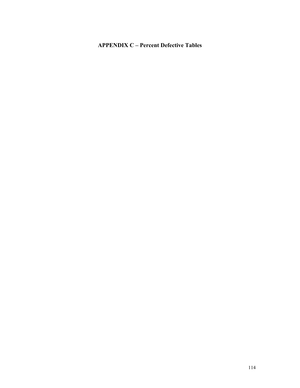# APPENDIX C – Percent Defective Tables